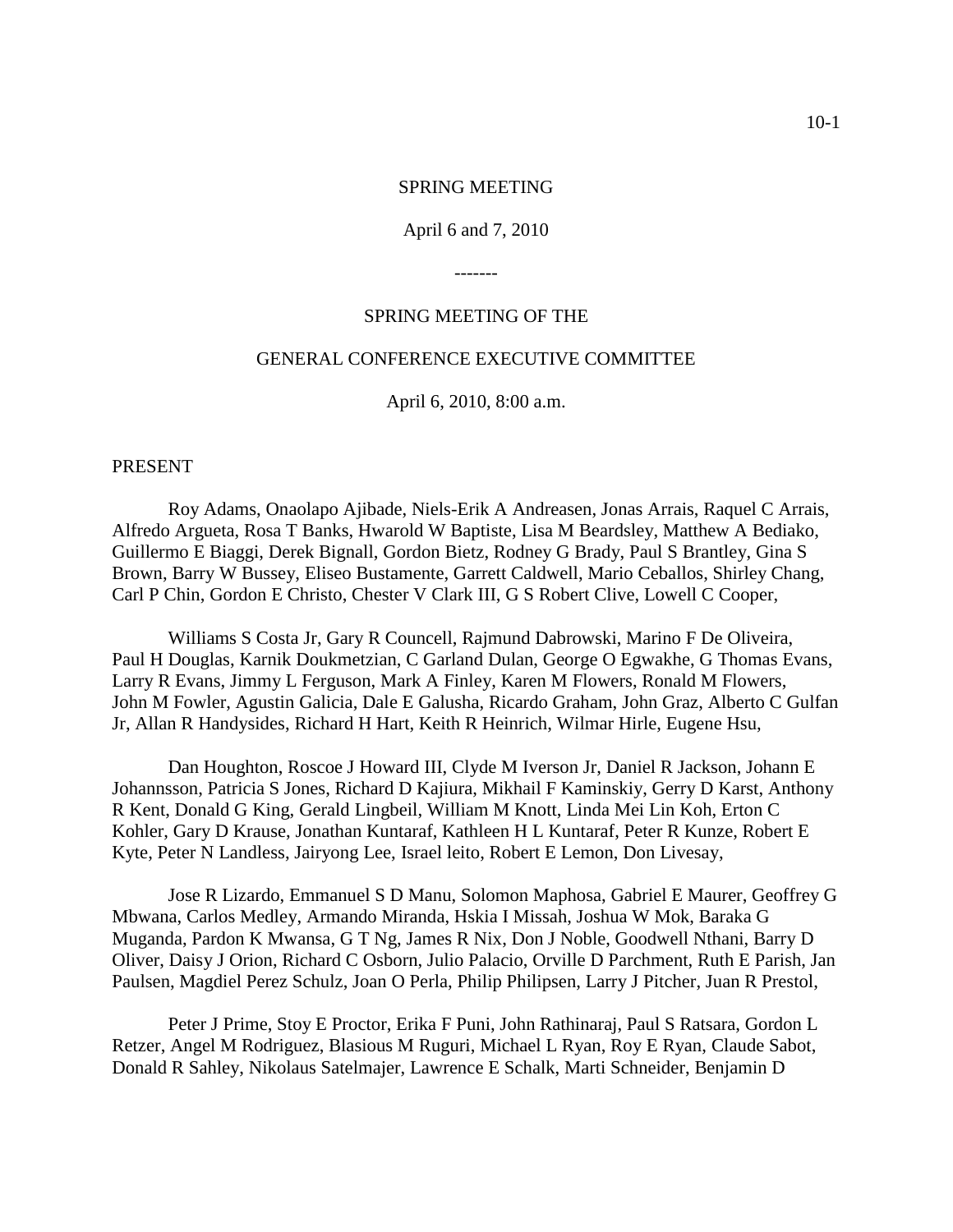#### SPRING MEETING

#### April 6 and 7, 2010

-------

### SPRING MEETING OF THE

## GENERAL CONFERENCE EXECUTIVE COMMITTEE

April 6, 2010, 8:00 a.m.

#### PRESENT

Roy Adams, Onaolapo Ajibade, Niels-Erik A Andreasen, Jonas Arrais, Raquel C Arrais, Alfredo Argueta, Rosa T Banks, Hwarold W Baptiste, Lisa M Beardsley, Matthew A Bediako, Guillermo E Biaggi, Derek Bignall, Gordon Bietz, Rodney G Brady, Paul S Brantley, Gina S Brown, Barry W Bussey, Eliseo Bustamente, Garrett Caldwell, Mario Ceballos, Shirley Chang, Carl P Chin, Gordon E Christo, Chester V Clark III, G S Robert Clive, Lowell C Cooper,

Williams S Costa Jr, Gary R Councell, Rajmund Dabrowski, Marino F De Oliveira, Paul H Douglas, Karnik Doukmetzian, C Garland Dulan, George O Egwakhe, G Thomas Evans, Larry R Evans, Jimmy L Ferguson, Mark A Finley, Karen M Flowers, Ronald M Flowers, John M Fowler, Agustin Galicia, Dale E Galusha, Ricardo Graham, John Graz, Alberto C Gulfan Jr, Allan R Handysides, Richard H Hart, Keith R Heinrich, Wilmar Hirle, Eugene Hsu,

Dan Houghton, Roscoe J Howard III, Clyde M Iverson Jr, Daniel R Jackson, Johann E Johannsson, Patricia S Jones, Richard D Kajiura, Mikhail F Kaminskiy, Gerry D Karst, Anthony R Kent, Donald G King, Gerald Lingbeil, William M Knott, Linda Mei Lin Koh, Erton C Kohler, Gary D Krause, Jonathan Kuntaraf, Kathleen H L Kuntaraf, Peter R Kunze, Robert E Kyte, Peter N Landless, Jairyong Lee, Israel leito, Robert E Lemon, Don Livesay,

Jose R Lizardo, Emmanuel S D Manu, Solomon Maphosa, Gabriel E Maurer, Geoffrey G Mbwana, Carlos Medley, Armando Miranda, Hskia I Missah, Joshua W Mok, Baraka G Muganda, Pardon K Mwansa, G T Ng, James R Nix, Don J Noble, Goodwell Nthani, Barry D Oliver, Daisy J Orion, Richard C Osborn, Julio Palacio, Orville D Parchment, Ruth E Parish, Jan Paulsen, Magdiel Perez Schulz, Joan O Perla, Philip Philipsen, Larry J Pitcher, Juan R Prestol,

Peter J Prime, Stoy E Proctor, Erika F Puni, John Rathinaraj, Paul S Ratsara, Gordon L Retzer, Angel M Rodriguez, Blasious M Ruguri, Michael L Ryan, Roy E Ryan, Claude Sabot, Donald R Sahley, Nikolaus Satelmajer, Lawrence E Schalk, Marti Schneider, Benjamin D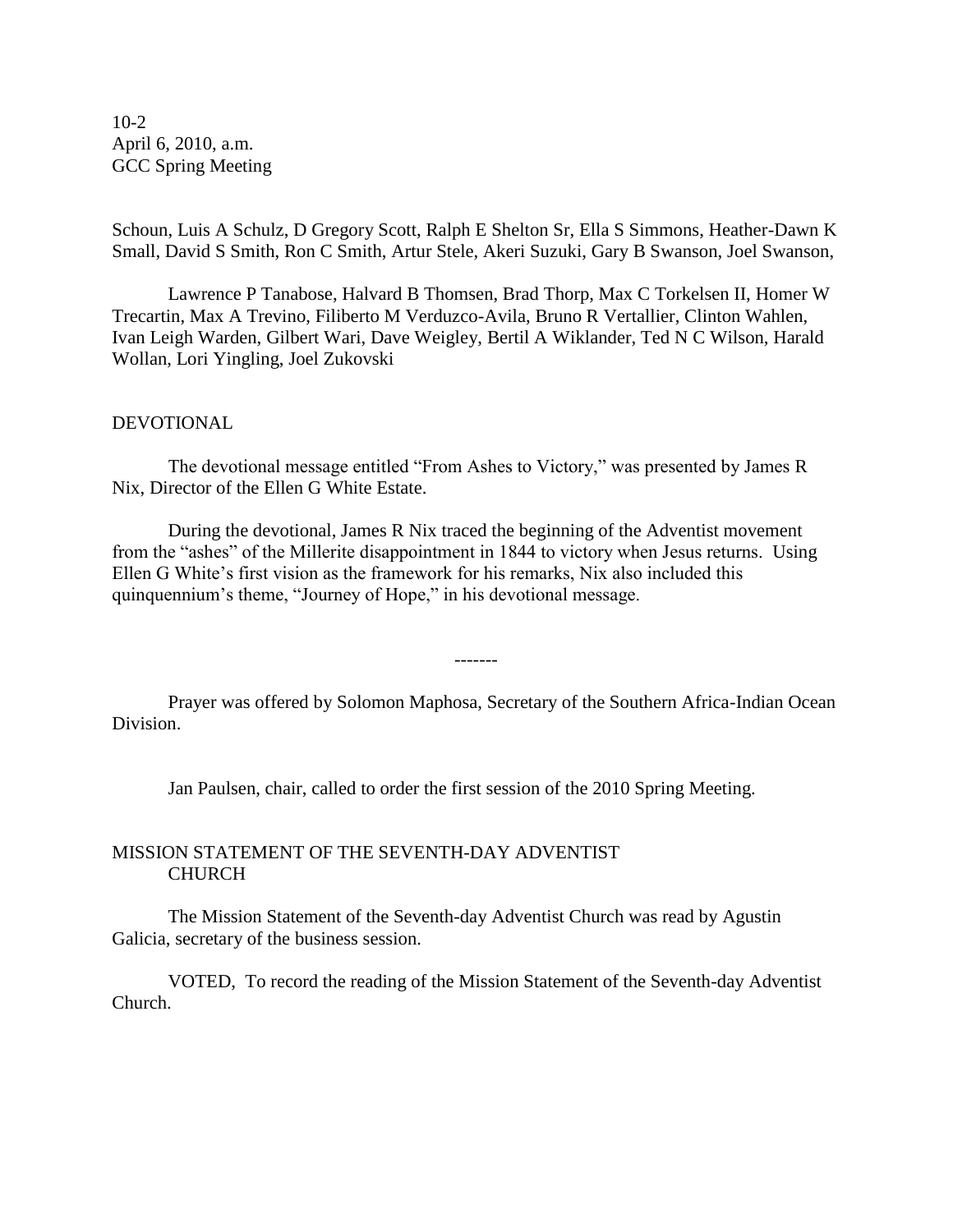10-2 April 6, 2010, a.m. GCC Spring Meeting

Schoun, Luis A Schulz, D Gregory Scott, Ralph E Shelton Sr, Ella S Simmons, Heather-Dawn K Small, David S Smith, Ron C Smith, Artur Stele, Akeri Suzuki, Gary B Swanson, Joel Swanson,

Lawrence P Tanabose, Halvard B Thomsen, Brad Thorp, Max C Torkelsen II, Homer W Trecartin, Max A Trevino, Filiberto M Verduzco-Avila, Bruno R Vertallier, Clinton Wahlen, Ivan Leigh Warden, Gilbert Wari, Dave Weigley, Bertil A Wiklander, Ted N C Wilson, Harald Wollan, Lori Yingling, Joel Zukovski

## DEVOTIONAL

The devotional message entitled "From Ashes to Victory," was presented by James R Nix, Director of the Ellen G White Estate.

During the devotional, James R Nix traced the beginning of the Adventist movement from the "ashes" of the Millerite disappointment in 1844 to victory when Jesus returns. Using Ellen G White's first vision as the framework for his remarks, Nix also included this quinquennium's theme, "Journey of Hope," in his devotional message.

Prayer was offered by Solomon Maphosa, Secretary of the Southern Africa-Indian Ocean Division.

-------

Jan Paulsen, chair, called to order the first session of the 2010 Spring Meeting.

### MISSION STATEMENT OF THE SEVENTH-DAY ADVENTIST CHURCH

The Mission Statement of the Seventh-day Adventist Church was read by Agustin Galicia, secretary of the business session.

VOTED, To record the reading of the Mission Statement of the Seventh-day Adventist Church.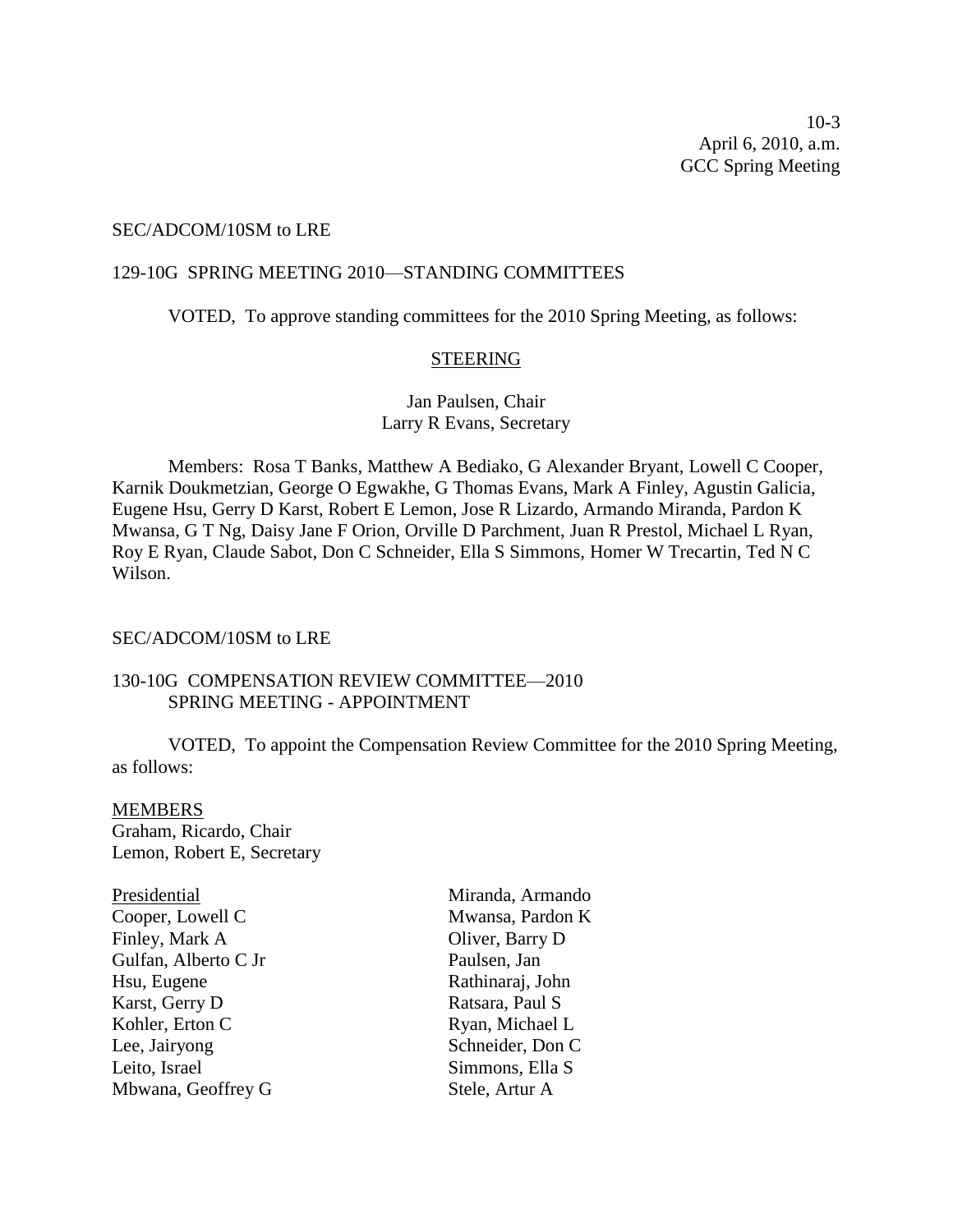#### SEC/ADCOM/10SM to LRE

### 129-10G SPRING MEETING 2010—STANDING COMMITTEES

VOTED, To approve standing committees for the 2010 Spring Meeting, as follows:

### **STEERING**

Jan Paulsen, Chair Larry R Evans, Secretary

Members: Rosa T Banks, Matthew A Bediako, G Alexander Bryant, Lowell C Cooper, Karnik Doukmetzian, George O Egwakhe, G Thomas Evans, Mark A Finley, Agustin Galicia, Eugene Hsu, Gerry D Karst, Robert E Lemon, Jose R Lizardo, Armando Miranda, Pardon K Mwansa, G T Ng, Daisy Jane F Orion, Orville D Parchment, Juan R Prestol, Michael L Ryan, Roy E Ryan, Claude Sabot, Don C Schneider, Ella S Simmons, Homer W Trecartin, Ted N C Wilson.

#### SEC/ADCOM/10SM to LRE

## 130-10G COMPENSATION REVIEW COMMITTEE—2010 SPRING MEETING - APPOINTMENT

VOTED, To appoint the Compensation Review Committee for the 2010 Spring Meeting, as follows:

#### **MEMBERS**

Graham, Ricardo, Chair Lemon, Robert E, Secretary

| Presidential         |
|----------------------|
| Cooper, Lowell C     |
| Finley, Mark A       |
| Gulfan, Alberto C Jr |
| Hsu, Eugene          |
| Karst, Gerry D       |
| Kohler, Erton C      |
| Lee, Jairyong        |
| Leito, Israel        |
| Mbwana, Geoffrey G   |
|                      |

esidential Miranda, Armando Mwansa, Pardon K Oliver, Barry D Paulsen, Jan Rathinaraj, John Ratsara, Paul S Ryan, Michael L Schneider, Don C Simmons, Ella S Stele, Artur A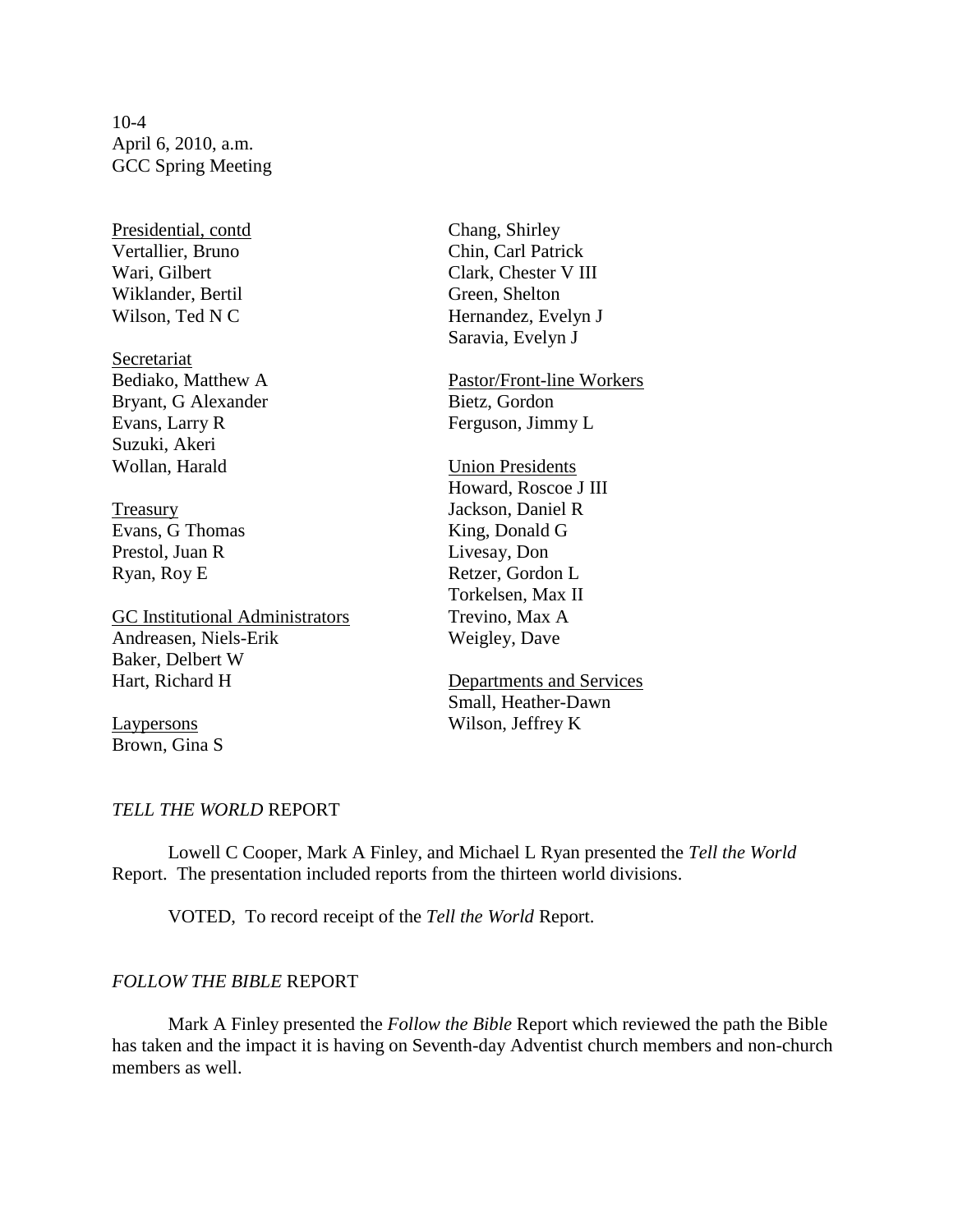10-4 April 6, 2010, a.m. GCC Spring Meeting

Presidential, contd Chang, Shirley Vertallier, Bruno Chin, Carl Patrick Wiklander, Bertil Green, Shelton

Secretariat Bryant, G Alexander Bietz, Gordon Evans, Larry R Ferguson, Jimmy L Suzuki, Akeri Wollan, Harald Union Presidents

Evans, G Thomas King, Donald G Prestol, Juan R Livesay, Don

GC Institutional Administrators Trevino, Max A Andreasen, Niels-Erik Weigley, Dave Baker, Delbert W Hart, Richard H Departments and Services

Brown, Gina S

Wari, Gilbert Clark, Chester V III Wilson, Ted N C Hernandez, Evelyn J Saravia, Evelyn J

Bediako, Matthew A Pastor/Front-line Workers

Howard, Roscoe J III Treasury Jackson, Daniel R Ryan, Roy E Retzer, Gordon L Torkelsen, Max II

Small, Heather-Dawn Laypersons Wilson, Jeffrey K

#### *TELL THE WORLD* REPORT

Lowell C Cooper, Mark A Finley, and Michael L Ryan presented the *Tell the World* Report. The presentation included reports from the thirteen world divisions.

VOTED, To record receipt of the *Tell the World* Report.

#### *FOLLOW THE BIBLE* REPORT

Mark A Finley presented the *Follow the Bible* Report which reviewed the path the Bible has taken and the impact it is having on Seventh-day Adventist church members and non-church members as well.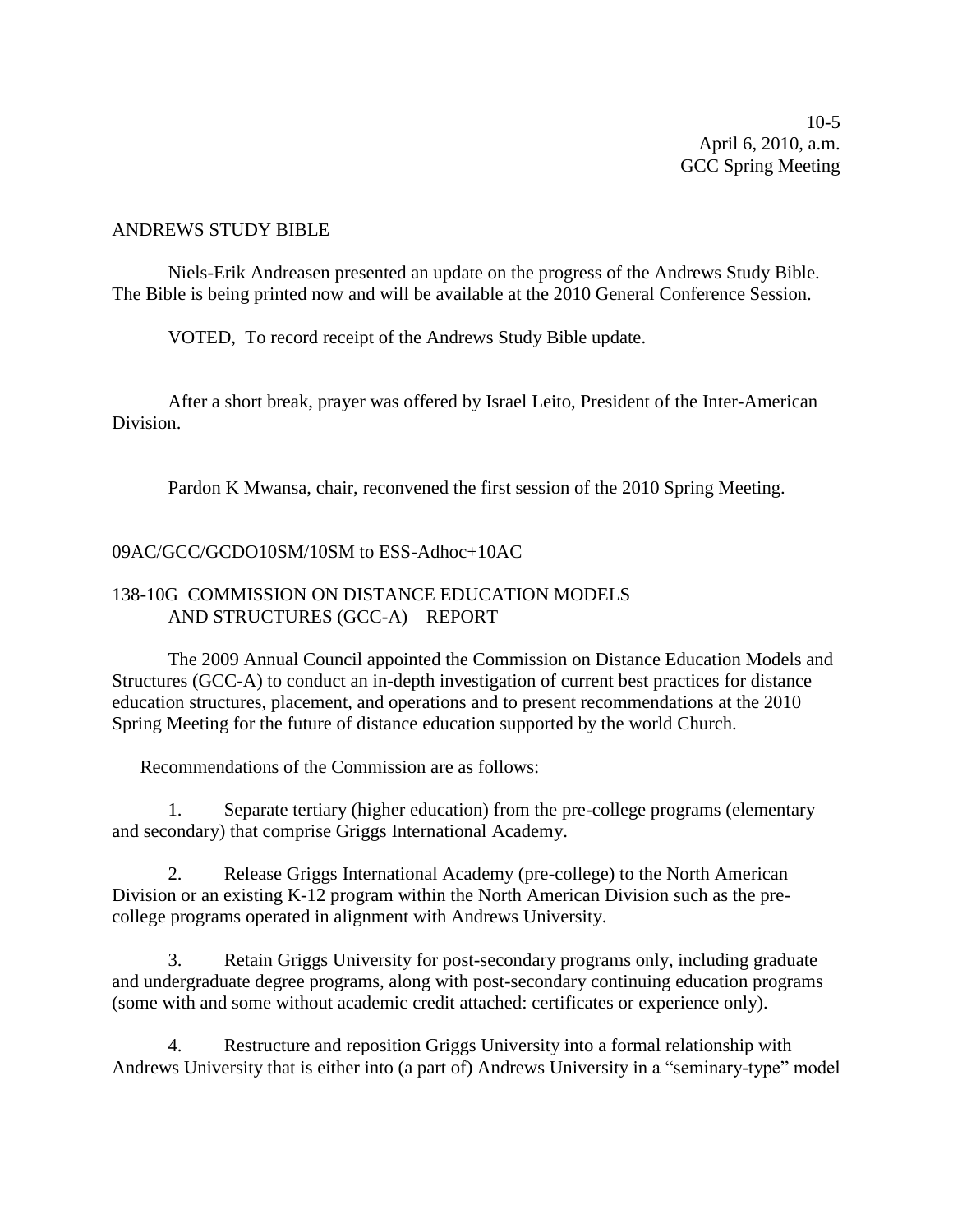10-5 April 6, 2010, a.m. GCC Spring Meeting

### ANDREWS STUDY BIBLE

Niels-Erik Andreasen presented an update on the progress of the Andrews Study Bible. The Bible is being printed now and will be available at the 2010 General Conference Session.

VOTED, To record receipt of the Andrews Study Bible update.

After a short break, prayer was offered by Israel Leito, President of the Inter-American Division.

Pardon K Mwansa, chair, reconvened the first session of the 2010 Spring Meeting.

## 09AC/GCC/GCDO10SM/10SM to ESS-Adhoc+10AC

## 138-10G COMMISSION ON DISTANCE EDUCATION MODELS AND STRUCTURES (GCC-A)—REPORT

The 2009 Annual Council appointed the Commission on Distance Education Models and Structures (GCC-A) to conduct an in-depth investigation of current best practices for distance education structures, placement, and operations and to present recommendations at the 2010 Spring Meeting for the future of distance education supported by the world Church.

Recommendations of the Commission are as follows:

1. Separate tertiary (higher education) from the pre-college programs (elementary and secondary) that comprise Griggs International Academy.

2. Release Griggs International Academy (pre-college) to the North American Division or an existing K-12 program within the North American Division such as the precollege programs operated in alignment with Andrews University.

3. Retain Griggs University for post-secondary programs only, including graduate and undergraduate degree programs, along with post-secondary continuing education programs (some with and some without academic credit attached: certificates or experience only).

4. Restructure and reposition Griggs University into a formal relationship with Andrews University that is either into (a part of) Andrews University in a "seminary-type" model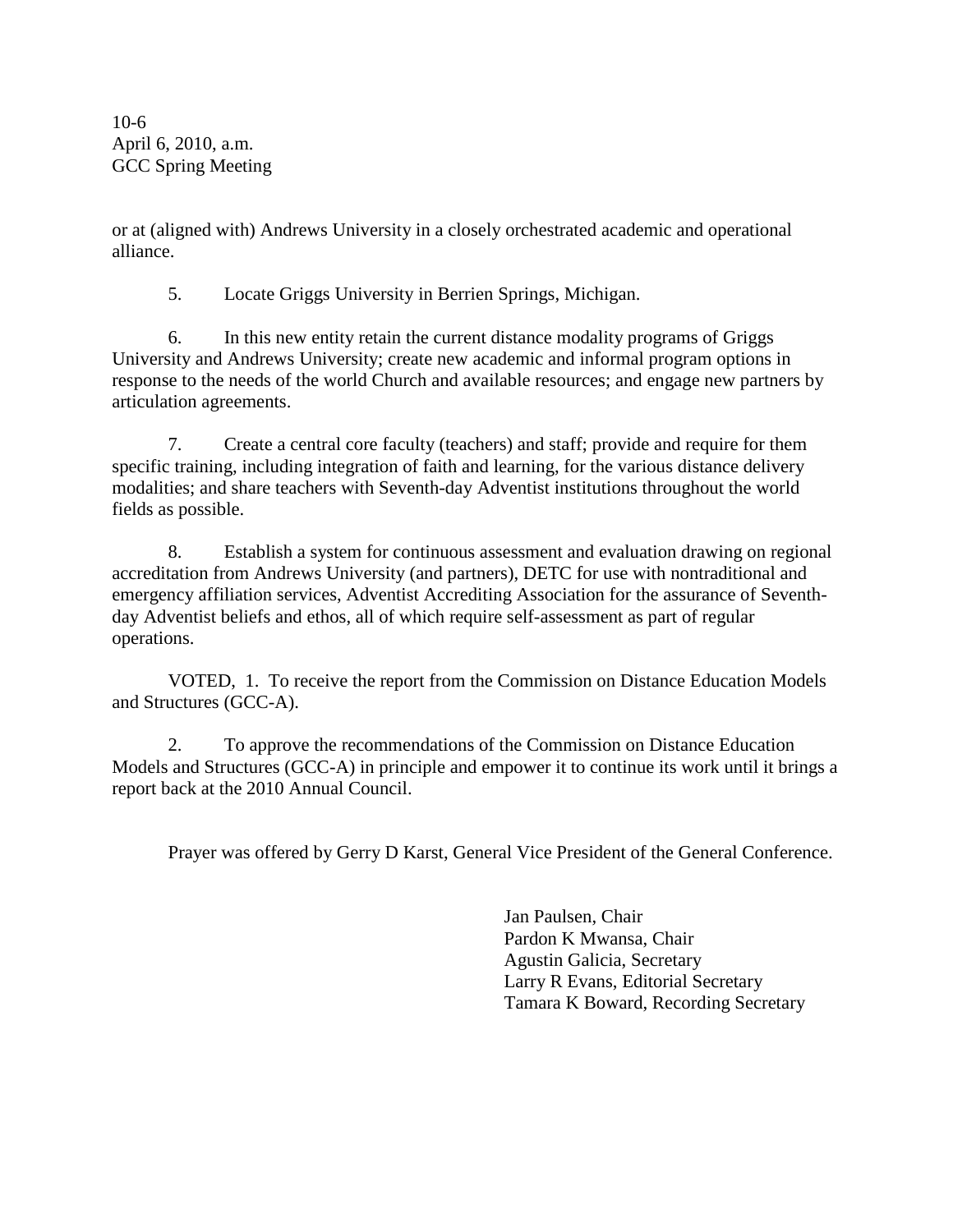10-6 April 6, 2010, a.m. GCC Spring Meeting

or at (aligned with) Andrews University in a closely orchestrated academic and operational alliance.

5. Locate Griggs University in Berrien Springs, Michigan.

6. In this new entity retain the current distance modality programs of Griggs University and Andrews University; create new academic and informal program options in response to the needs of the world Church and available resources; and engage new partners by articulation agreements.

7. Create a central core faculty (teachers) and staff; provide and require for them specific training, including integration of faith and learning, for the various distance delivery modalities; and share teachers with Seventh-day Adventist institutions throughout the world fields as possible.

8. Establish a system for continuous assessment and evaluation drawing on regional accreditation from Andrews University (and partners), DETC for use with nontraditional and emergency affiliation services, Adventist Accrediting Association for the assurance of Seventhday Adventist beliefs and ethos, all of which require self-assessment as part of regular operations.

VOTED, 1. To receive the report from the Commission on Distance Education Models and Structures (GCC-A).

2. To approve the recommendations of the Commission on Distance Education Models and Structures (GCC-A) in principle and empower it to continue its work until it brings a report back at the 2010 Annual Council.

Prayer was offered by Gerry D Karst, General Vice President of the General Conference.

Jan Paulsen, Chair Pardon K Mwansa, Chair Agustin Galicia, Secretary Larry R Evans, Editorial Secretary Tamara K Boward, Recording Secretary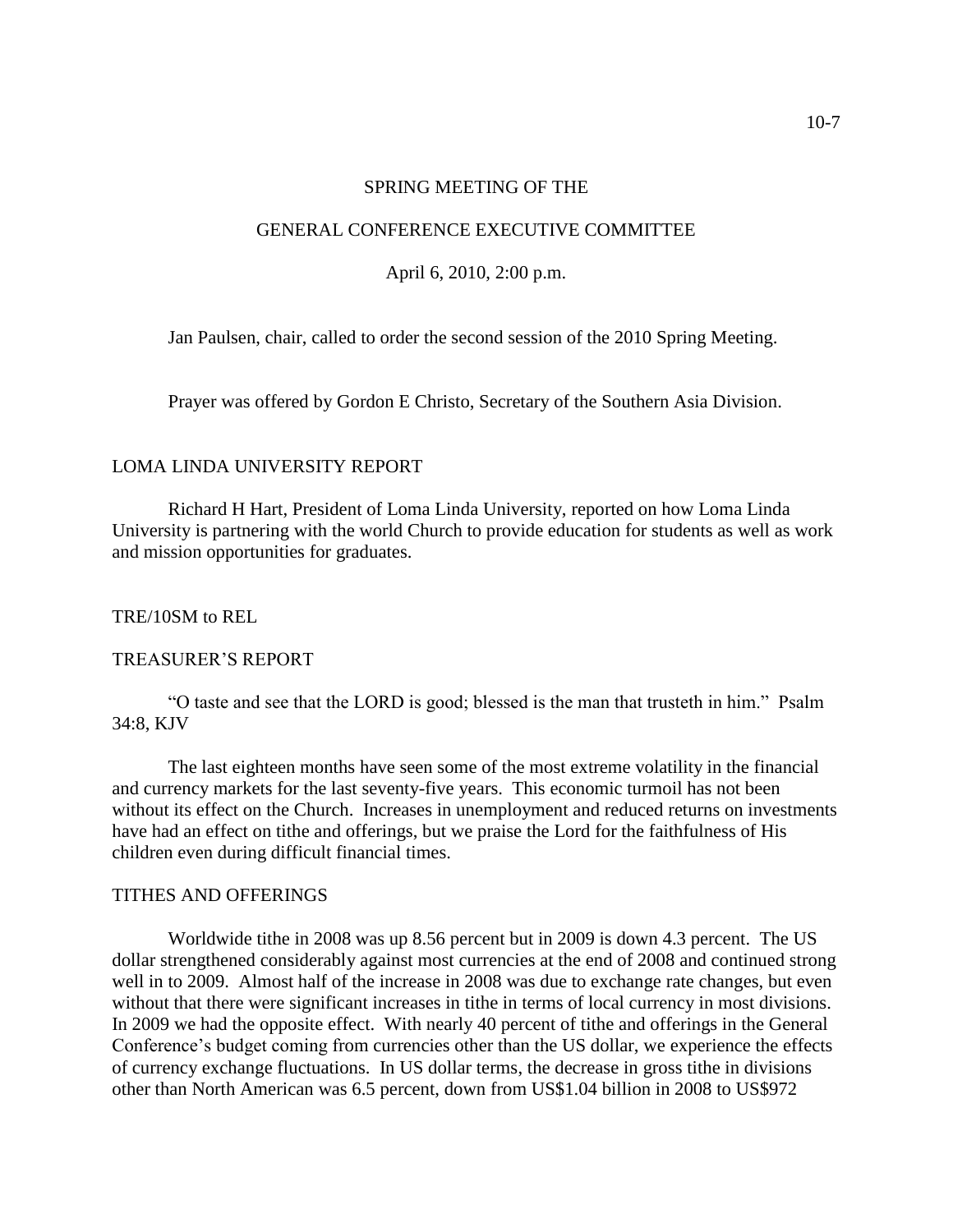#### SPRING MEETING OF THE

#### GENERAL CONFERENCE EXECUTIVE COMMITTEE

April 6, 2010, 2:00 p.m.

Jan Paulsen, chair, called to order the second session of the 2010 Spring Meeting.

Prayer was offered by Gordon E Christo, Secretary of the Southern Asia Division.

### LOMA LINDA UNIVERSITY REPORT

Richard H Hart, President of Loma Linda University, reported on how Loma Linda University is partnering with the world Church to provide education for students as well as work and mission opportunities for graduates.

#### TRE/10SM to REL

### TREASURER'S REPORT

"O taste and see that the LORD is good; blessed is the man that trusteth in him." Psalm 34:8, KJV

The last eighteen months have seen some of the most extreme volatility in the financial and currency markets for the last seventy-five years. This economic turmoil has not been without its effect on the Church. Increases in unemployment and reduced returns on investments have had an effect on tithe and offerings, but we praise the Lord for the faithfulness of His children even during difficult financial times.

#### TITHES AND OFFERINGS

Worldwide tithe in 2008 was up 8.56 percent but in 2009 is down 4.3 percent. The US dollar strengthened considerably against most currencies at the end of 2008 and continued strong well in to 2009. Almost half of the increase in 2008 was due to exchange rate changes, but even without that there were significant increases in tithe in terms of local currency in most divisions. In 2009 we had the opposite effect. With nearly 40 percent of tithe and offerings in the General Conference's budget coming from currencies other than the US dollar, we experience the effects of currency exchange fluctuations. In US dollar terms, the decrease in gross tithe in divisions other than North American was 6.5 percent, down from US\$1.04 billion in 2008 to US\$972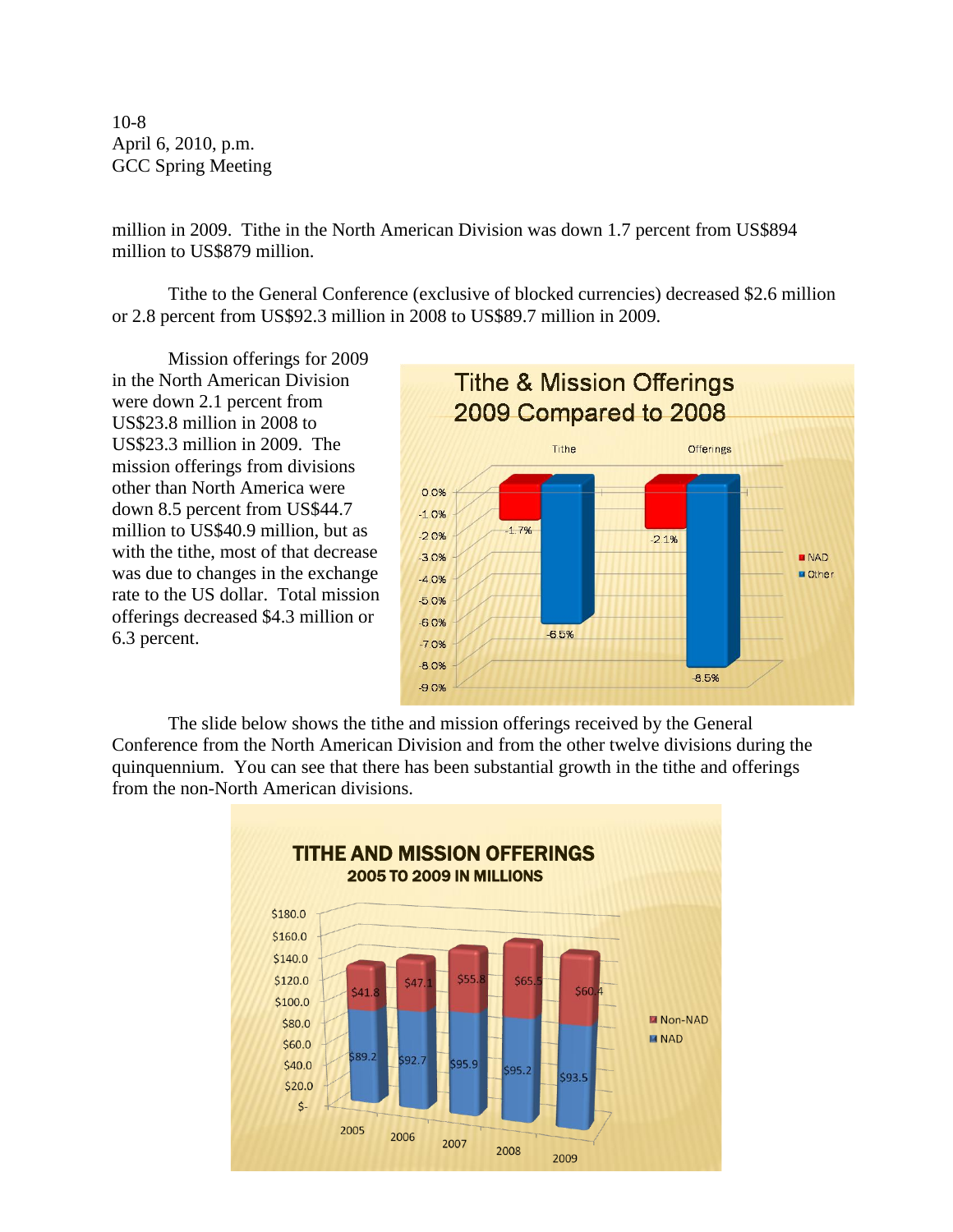10-8 April 6, 2010, p.m. GCC Spring Meeting

million in 2009. Tithe in the North American Division was down 1.7 percent from US\$894 million to US\$879 million.

Tithe to the General Conference (exclusive of blocked currencies) decreased \$2.6 million or 2.8 percent from US\$92.3 million in 2008 to US\$89.7 million in 2009.

Mission offerings for 2009 in the North American Division were down 2.1 percent from US\$23.8 million in 2008 to US\$23.3 million in 2009. The mission offerings from divisions other than North America were down 8.5 percent from US\$44.7 million to US\$40.9 million, but as with the tithe, most of that decrease was due to changes in the exchange rate to the US dollar. Total mission offerings decreased \$4.3 million or 6.3 percent.



The slide below shows the tithe and mission offerings received by the General Conference from the North American Division and from the other twelve divisions during the quinquennium. You can see that there has been substantial growth in the tithe and offerings from the non-North American divisions.

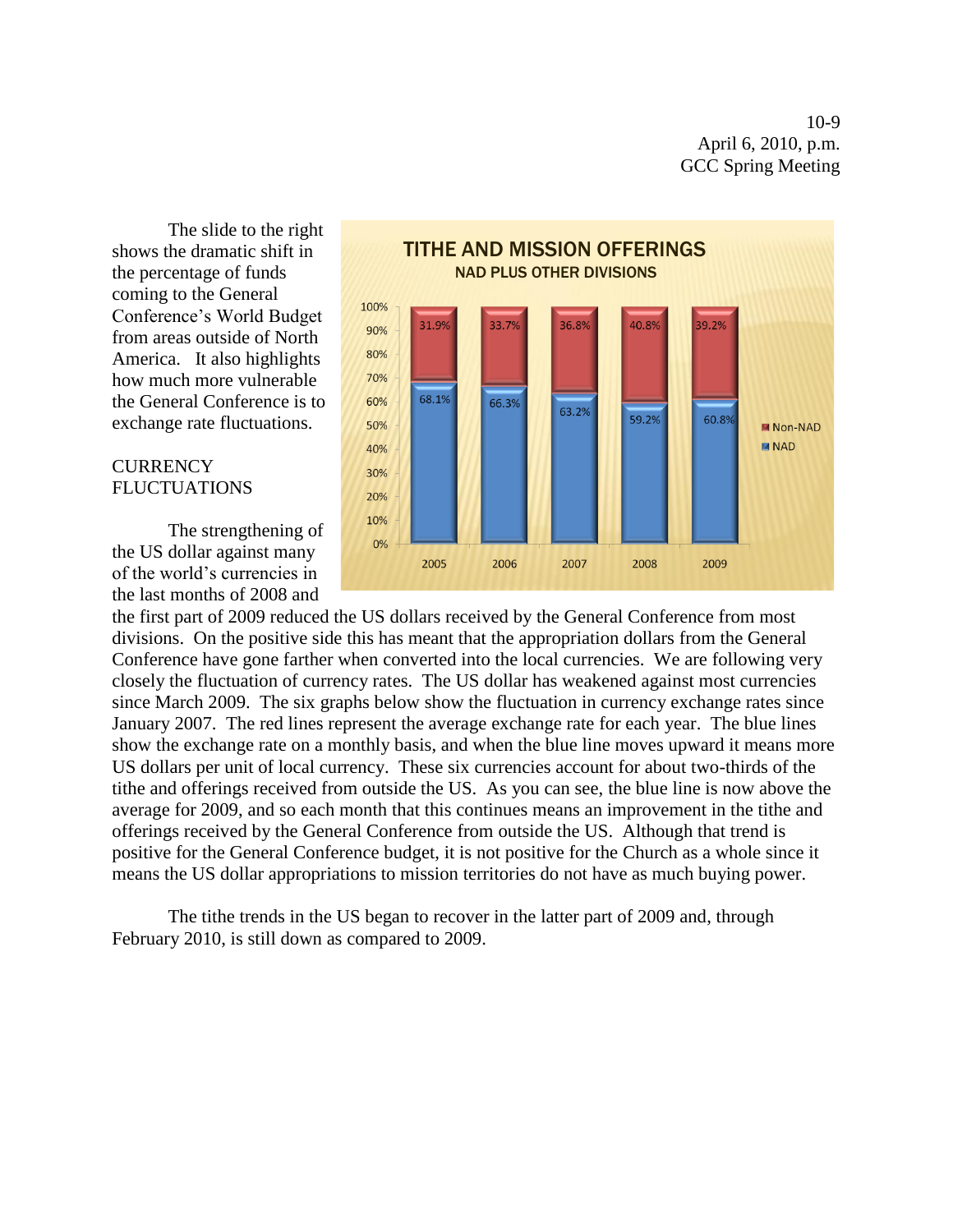10-9 April 6, 2010, p.m. GCC Spring Meeting

The slide to the right shows the dramatic shift in the percentage of funds coming to the General Conference's World Budget from areas outside of North America. It also highlights how much more vulnerable the General Conference is to exchange rate fluctuations.

## **CURRENCY FLUCTUATIONS**

The strengthening of the US dollar against many of the world's currencies in the last months of 2008 and



the first part of 2009 reduced the US dollars received by the General Conference from most divisions. On the positive side this has meant that the appropriation dollars from the General Conference have gone farther when converted into the local currencies. We are following very closely the fluctuation of currency rates. The US dollar has weakened against most currencies since March 2009. The six graphs below show the fluctuation in currency exchange rates since January 2007. The red lines represent the average exchange rate for each year. The blue lines show the exchange rate on a monthly basis, and when the blue line moves upward it means more US dollars per unit of local currency. These six currencies account for about two-thirds of the tithe and offerings received from outside the US. As you can see, the blue line is now above the average for 2009, and so each month that this continues means an improvement in the tithe and offerings received by the General Conference from outside the US. Although that trend is positive for the General Conference budget, it is not positive for the Church as a whole since it means the US dollar appropriations to mission territories do not have as much buying power.

The tithe trends in the US began to recover in the latter part of 2009 and, through February 2010, is still down as compared to 2009.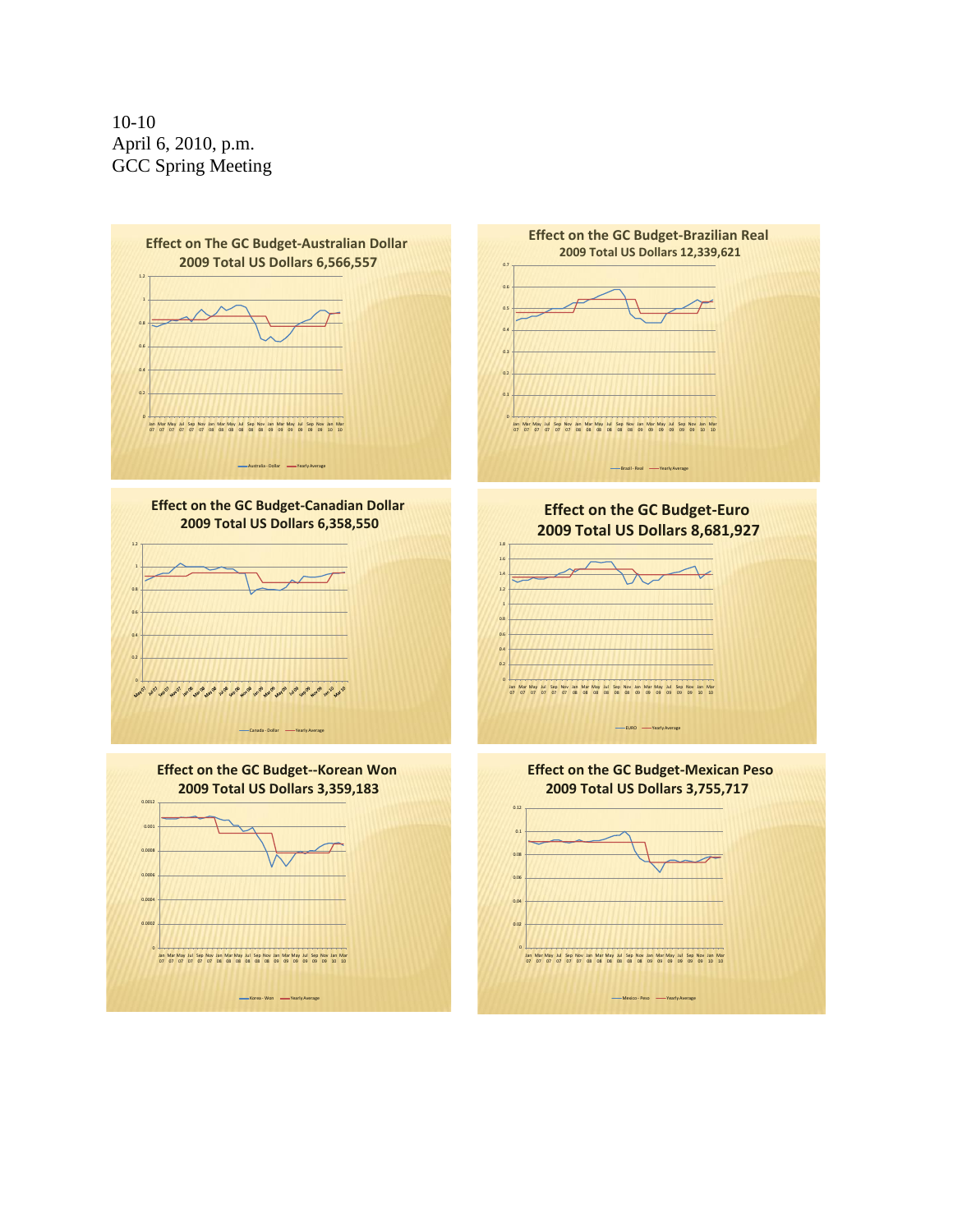10-10 April 6, 2010, p.m. GCC Spring Meeting

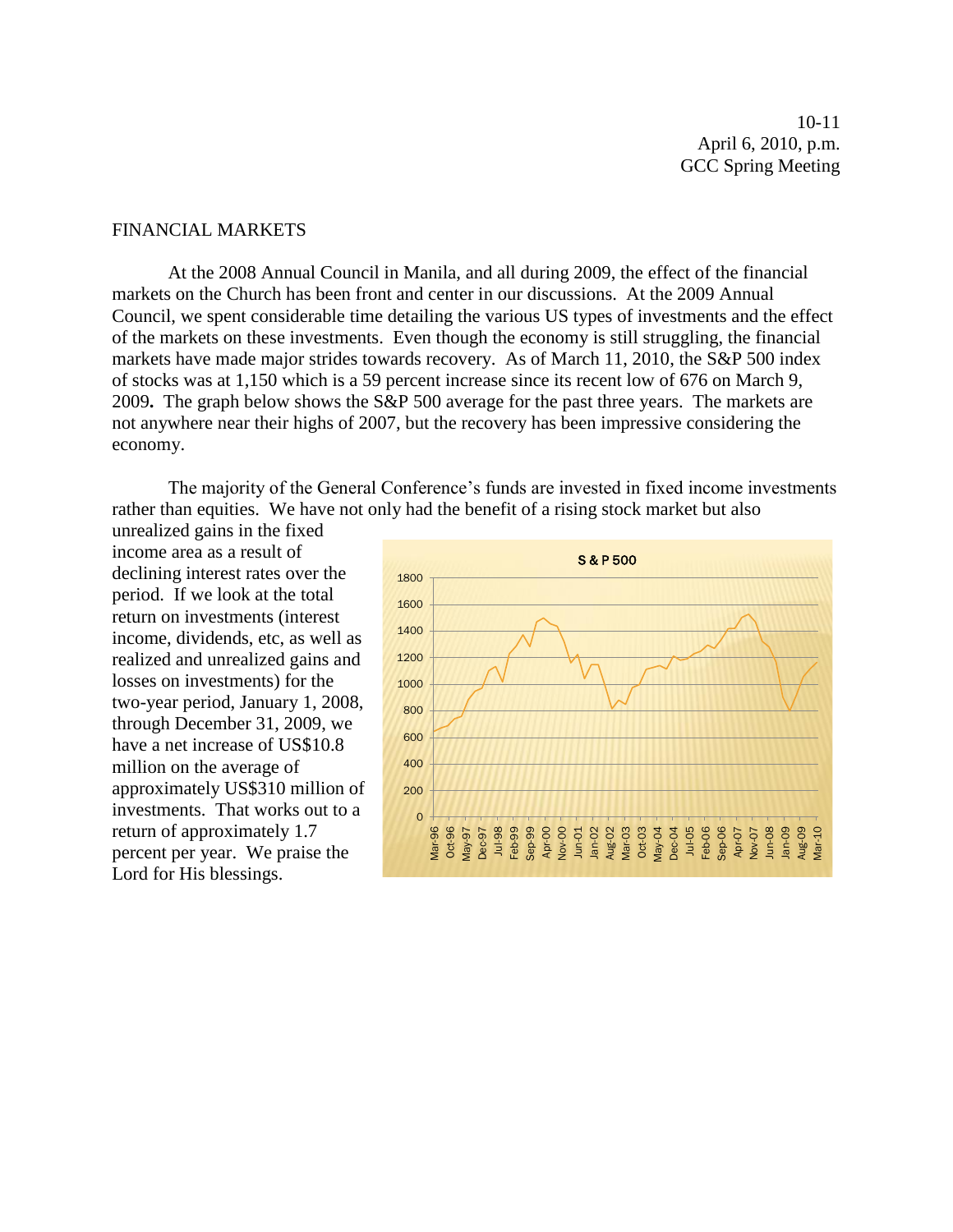10-11 April 6, 2010, p.m. GCC Spring Meeting

#### FINANCIAL MARKETS

At the 2008 Annual Council in Manila, and all during 2009, the effect of the financial markets on the Church has been front and center in our discussions. At the 2009 Annual Council, we spent considerable time detailing the various US types of investments and the effect of the markets on these investments. Even though the economy is still struggling, the financial markets have made major strides towards recovery. As of March 11, 2010, the S&P 500 index of stocks was at 1,150 which is a 59 percent increase since its recent low of 676 on March 9, 2009**.** The graph below shows the S&P 500 average for the past three years. The markets are not anywhere near their highs of 2007, but the recovery has been impressive considering the economy.

The majority of the General Conference's funds are invested in fixed income investments rather than equities. We have not only had the benefit of a rising stock market but also

unrealized gains in the fixed income area as a result of declining interest rates over the period. If we look at the total return on investments (interest income, dividends, etc, as well as realized and unrealized gains and losses on investments) for the two-year period, January 1, 2008, through December 31, 2009, we have a net increase of US\$10.8 million on the average of approximately US\$310 million of investments. That works out to a return of approximately 1.7 percent per year. We praise the Lord for His blessings.

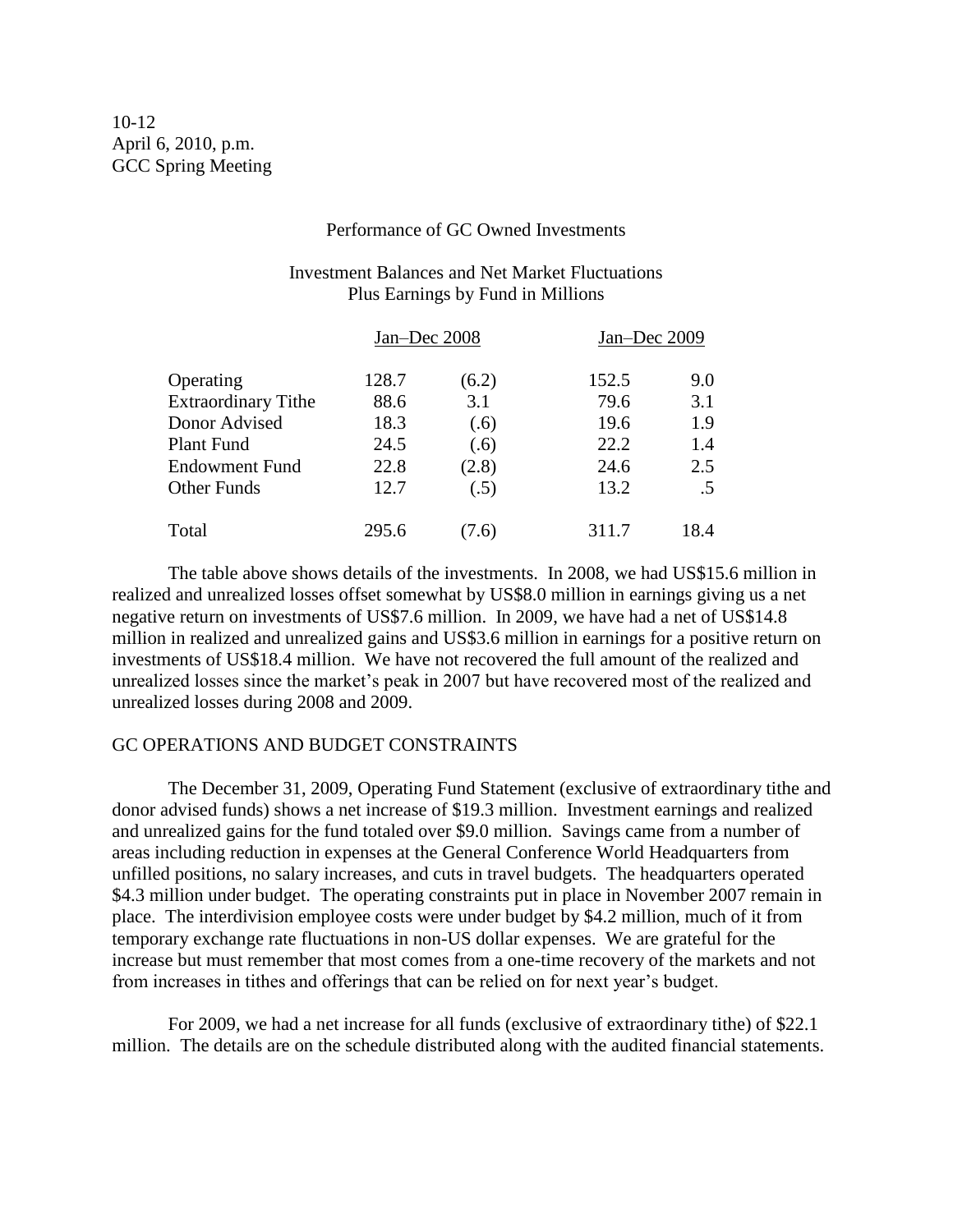#### Performance of GC Owned Investments

## Investment Balances and Net Market Fluctuations Plus Earnings by Fund in Millions

|                            | Jan-Dec 2008 |       | Jan-Dec 2009 |        |
|----------------------------|--------------|-------|--------------|--------|
| Operating                  | 128.7        | (6.2) | 152.5        | 9.0    |
| <b>Extraordinary Tithe</b> | 88.6         | 3.1   | 79.6         | 3.1    |
| Donor Advised              | 18.3         | (.6)  | 19.6         | 1.9    |
| <b>Plant Fund</b>          | 24.5         | (.6)  | 22.2         | 1.4    |
| <b>Endowment Fund</b>      | 22.8         | (2.8) | 24.6         | 2.5    |
| <b>Other Funds</b>         | 12.7         | (.5)  | 13.2         | $.5\,$ |
| Total                      | 295.6        | 7.6   | 311.7        | 18.4   |

The table above shows details of the investments. In 2008, we had US\$15.6 million in realized and unrealized losses offset somewhat by US\$8.0 million in earnings giving us a net negative return on investments of US\$7.6 million. In 2009, we have had a net of US\$14.8 million in realized and unrealized gains and US\$3.6 million in earnings for a positive return on investments of US\$18.4 million. We have not recovered the full amount of the realized and unrealized losses since the market's peak in 2007 but have recovered most of the realized and unrealized losses during 2008 and 2009.

### GC OPERATIONS AND BUDGET CONSTRAINTS

The December 31, 2009, Operating Fund Statement (exclusive of extraordinary tithe and donor advised funds) shows a net increase of \$19.3 million. Investment earnings and realized and unrealized gains for the fund totaled over \$9.0 million. Savings came from a number of areas including reduction in expenses at the General Conference World Headquarters from unfilled positions, no salary increases, and cuts in travel budgets. The headquarters operated \$4.3 million under budget. The operating constraints put in place in November 2007 remain in place. The interdivision employee costs were under budget by \$4.2 million, much of it from temporary exchange rate fluctuations in non-US dollar expenses. We are grateful for the increase but must remember that most comes from a one-time recovery of the markets and not from increases in tithes and offerings that can be relied on for next year's budget.

For 2009, we had a net increase for all funds (exclusive of extraordinary tithe) of \$22.1 million. The details are on the schedule distributed along with the audited financial statements.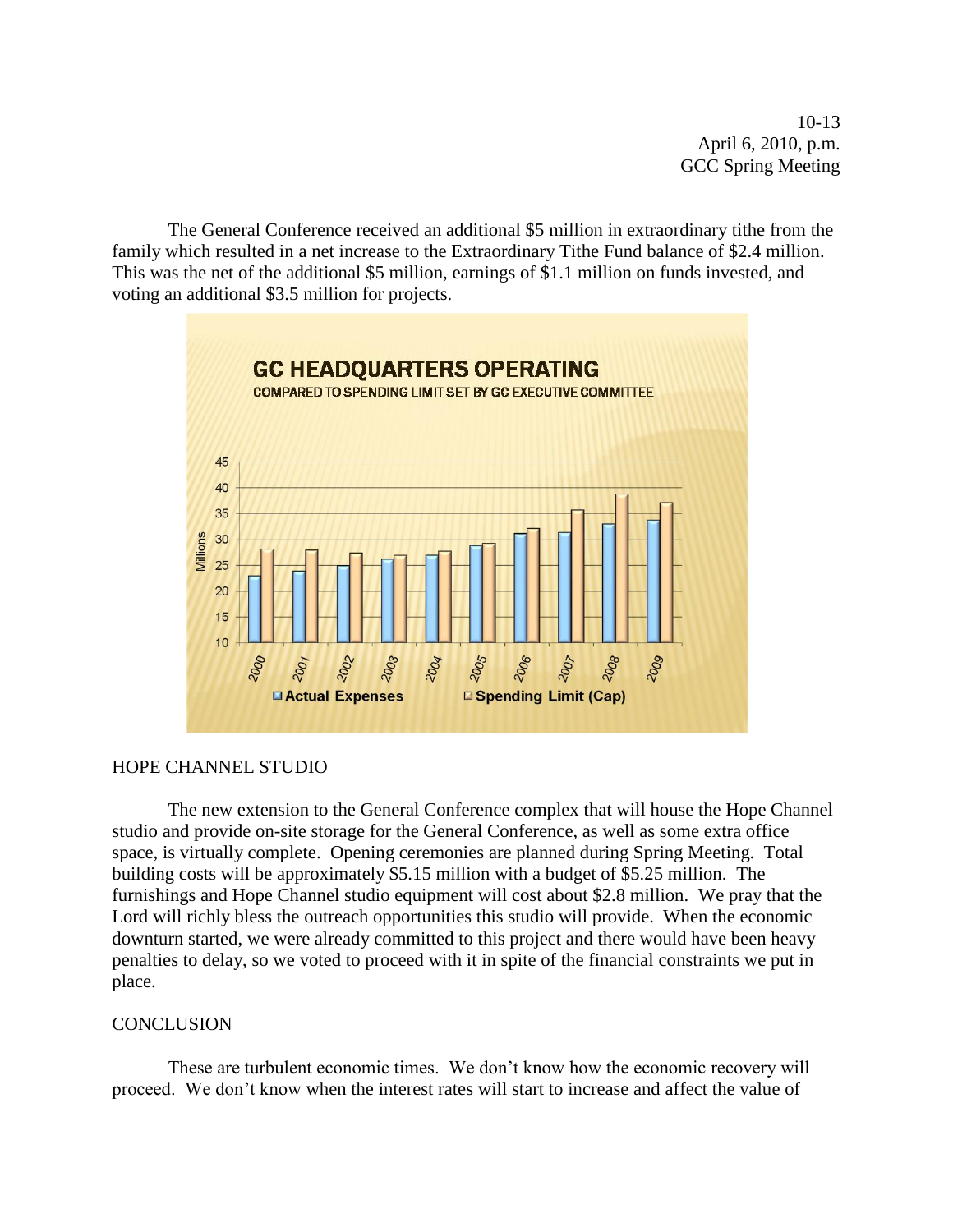10-13 April 6, 2010, p.m. GCC Spring Meeting

The General Conference received an additional \$5 million in extraordinary tithe from the family which resulted in a net increase to the Extraordinary Tithe Fund balance of \$2.4 million. This was the net of the additional \$5 million, earnings of \$1.1 million on funds invested, and voting an additional \$3.5 million for projects.



## HOPE CHANNEL STUDIO

The new extension to the General Conference complex that will house the Hope Channel studio and provide on-site storage for the General Conference, as well as some extra office space, is virtually complete. Opening ceremonies are planned during Spring Meeting. Total building costs will be approximately \$5.15 million with a budget of \$5.25 million. The furnishings and Hope Channel studio equipment will cost about \$2.8 million. We pray that the Lord will richly bless the outreach opportunities this studio will provide. When the economic downturn started, we were already committed to this project and there would have been heavy penalties to delay, so we voted to proceed with it in spite of the financial constraints we put in place.

#### **CONCLUSION**

These are turbulent economic times. We don't know how the economic recovery will proceed. We don't know when the interest rates will start to increase and affect the value of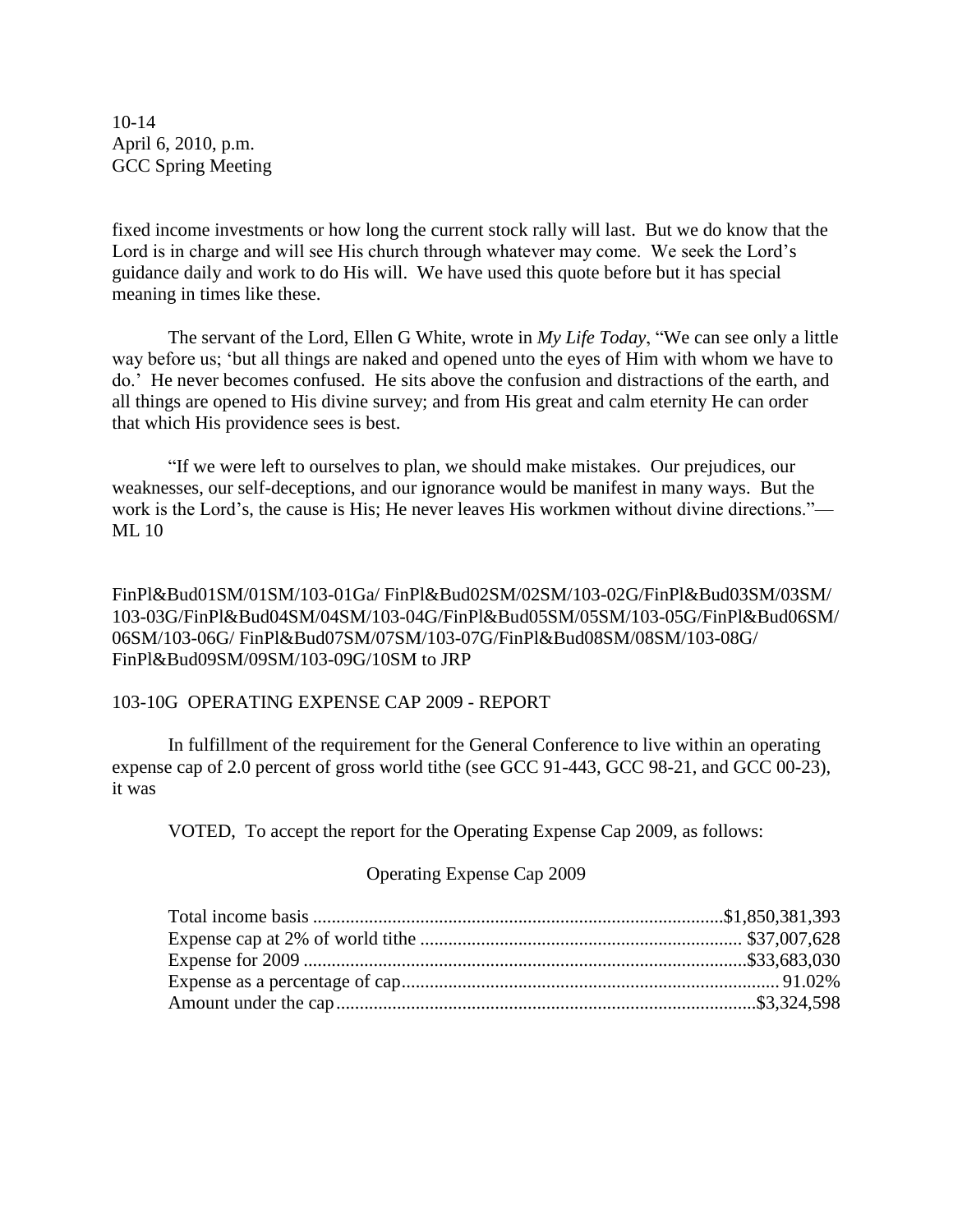10-14 April 6, 2010, p.m. GCC Spring Meeting

fixed income investments or how long the current stock rally will last. But we do know that the Lord is in charge and will see His church through whatever may come. We seek the Lord's guidance daily and work to do His will. We have used this quote before but it has special meaning in times like these.

The servant of the Lord, Ellen G White, wrote in *My Life Today*, "We can see only a little way before us; ‗but all things are naked and opened unto the eyes of Him with whom we have to do.' He never becomes confused. He sits above the confusion and distractions of the earth, and all things are opened to His divine survey; and from His great and calm eternity He can order that which His providence sees is best.

―If we were left to ourselves to plan, we should make mistakes. Our prejudices, our weaknesses, our self-deceptions, and our ignorance would be manifest in many ways. But the work is the Lord's, the cause is His; He never leaves His workmen without divine directions."— ML 10

FinPl&Bud01SM/01SM/103-01Ga/ FinPl&Bud02SM/02SM/103-02G/FinPl&Bud03SM/03SM/ 103-03G/FinPl&Bud04SM/04SM/103-04G/FinPl&Bud05SM/05SM/103-05G/FinPl&Bud06SM/ 06SM/103-06G/ FinPl&Bud07SM/07SM/103-07G/FinPl&Bud08SM/08SM/103-08G/ FinPl&Bud09SM/09SM/103-09G/10SM to JRP

#### 103-10G OPERATING EXPENSE CAP 2009 - REPORT

In fulfillment of the requirement for the General Conference to live within an operating expense cap of 2.0 percent of gross world tithe (see GCC 91-443, GCC 98-21, and GCC 00-23), it was

VOTED, To accept the report for the Operating Expense Cap 2009, as follows:

## Operating Expense Cap 2009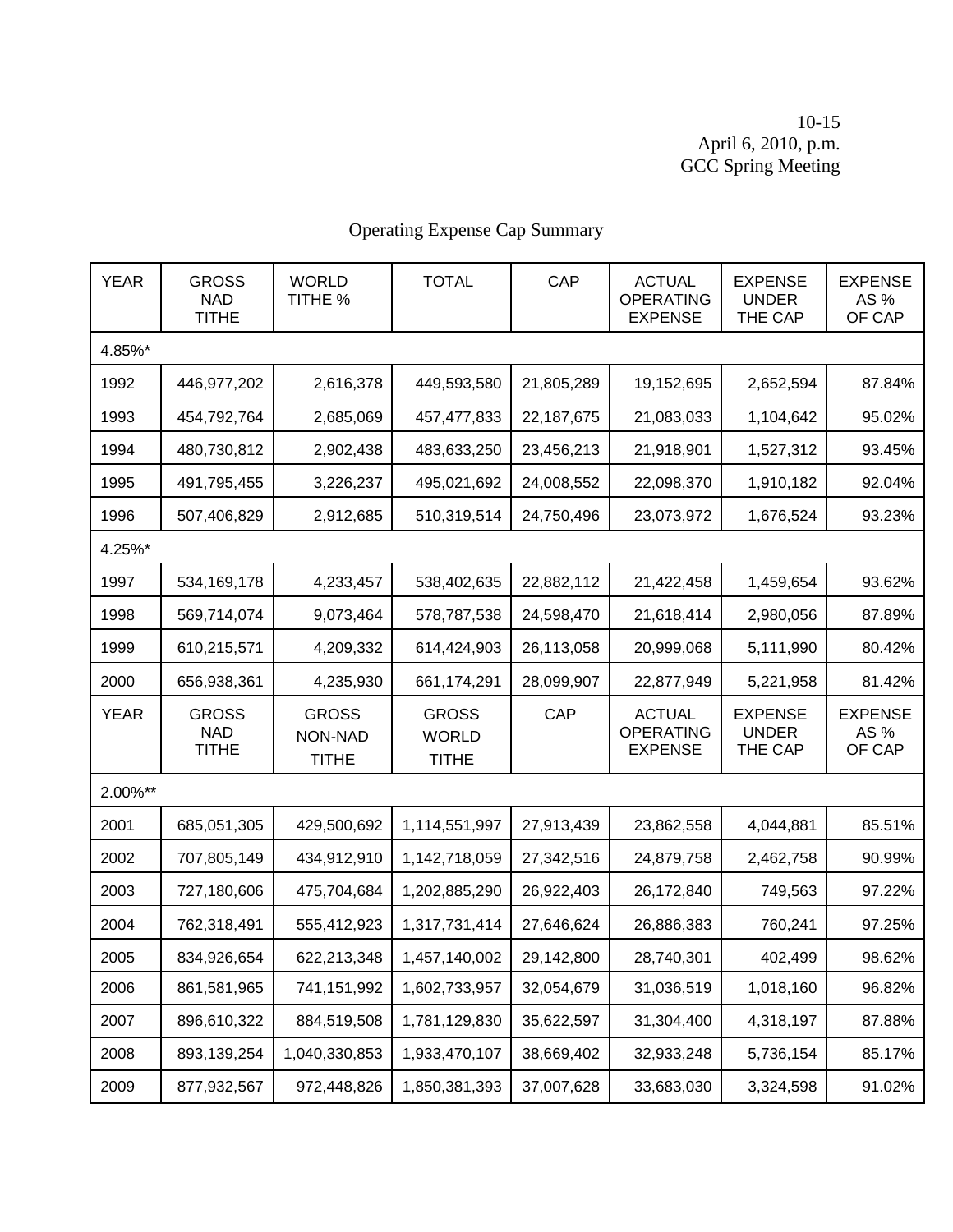10-15 April 6, 2010, p.m. GCC Spring Meeting

| <b>YEAR</b> | <b>GROSS</b><br><b>NAD</b><br><b>TITHE</b> | <b>WORLD</b><br>TITHE %                 | <b>TOTAL</b>                                 | CAP        | <b>ACTUAL</b><br><b>OPERATING</b><br><b>EXPENSE</b> | <b>EXPENSE</b><br><b>UNDER</b><br>THE CAP | <b>EXPENSE</b><br>AS %<br>OF CAP |
|-------------|--------------------------------------------|-----------------------------------------|----------------------------------------------|------------|-----------------------------------------------------|-------------------------------------------|----------------------------------|
| 4.85%*      |                                            |                                         |                                              |            |                                                     |                                           |                                  |
| 1992        | 446,977,202                                | 2,616,378                               | 449,593,580                                  | 21,805,289 | 19,152,695                                          | 2,652,594                                 | 87.84%                           |
| 1993        | 454,792,764                                | 2,685,069                               | 457,477,833                                  | 22,187,675 | 21,083,033                                          | 1,104,642                                 | 95.02%                           |
| 1994        | 480,730,812                                | 2,902,438                               | 483,633,250                                  | 23,456,213 | 21,918,901                                          | 1,527,312                                 | 93.45%                           |
| 1995        | 491,795,455                                | 3,226,237                               | 495,021,692                                  | 24,008,552 | 22,098,370                                          | 1,910,182                                 | 92.04%                           |
| 1996        | 507,406,829                                | 2,912,685                               | 510,319,514                                  | 24,750,496 | 23,073,972                                          | 1,676,524                                 | 93.23%                           |
| 4.25%*      |                                            |                                         |                                              |            |                                                     |                                           |                                  |
| 1997        | 534, 169, 178                              | 4,233,457                               | 538,402,635                                  | 22,882,112 | 21,422,458                                          | 1,459,654                                 | 93.62%                           |
| 1998        | 569,714,074                                | 9,073,464                               | 578,787,538                                  | 24,598,470 | 21,618,414                                          | 2,980,056                                 | 87.89%                           |
| 1999        | 610,215,571                                | 4,209,332                               | 614,424,903                                  | 26,113,058 | 20,999,068                                          | 5,111,990                                 | 80.42%                           |
| 2000        | 656,938,361                                | 4,235,930                               | 661,174,291                                  | 28,099,907 | 22,877,949                                          | 5,221,958                                 | 81.42%                           |
| <b>YEAR</b> | <b>GROSS</b><br><b>NAD</b><br><b>TITHE</b> | <b>GROSS</b><br>NON-NAD<br><b>TITHE</b> | <b>GROSS</b><br><b>WORLD</b><br><b>TITHE</b> | CAP        | <b>ACTUAL</b><br><b>OPERATING</b><br><b>EXPENSE</b> | <b>EXPENSE</b><br><b>UNDER</b><br>THE CAP | <b>EXPENSE</b><br>AS %<br>OF CAP |
| 2.00%**     |                                            |                                         |                                              |            |                                                     |                                           |                                  |
| 2001        | 685,051,305                                | 429,500,692                             | 1,114,551,997                                | 27,913,439 | 23,862,558                                          | 4,044,881                                 | 85.51%                           |
| 2002        | 707,805,149                                | 434,912,910                             | 1,142,718,059                                | 27,342,516 | 24,879,758                                          | 2,462,758                                 | 90.99%                           |
| 2003        | 727,180,606                                | 475,704,684                             | 1,202,885,290                                | 26,922,403 | 26,172,840                                          | 749,563                                   | 97.22%                           |
| 2004        | 762,318,491                                | 555,412,923                             | 1,317,731,414                                | 27,646,624 | 26,886,383                                          | 760,241                                   | 97.25%                           |
| 2005        | 834,926,654                                | 622,213,348                             | 1,457,140,002                                | 29,142,800 | 28,740,301                                          | 402,499                                   | 98.62%                           |
| 2006        | 861,581,965                                | 741,151,992                             | 1,602,733,957                                | 32,054,679 | 31,036,519                                          | 1,018,160                                 | 96.82%                           |
| 2007        | 896,610,322                                | 884,519,508                             | 1,781,129,830                                | 35,622,597 | 31,304,400                                          | 4,318,197                                 | 87.88%                           |
| 2008        | 893,139,254                                | 1,040,330,853                           | 1,933,470,107                                | 38,669,402 | 32,933,248                                          | 5,736,154                                 | 85.17%                           |
| 2009        | 877,932,567                                | 972,448,826                             | 1,850,381,393                                | 37,007,628 | 33,683,030                                          | 3,324,598                                 | 91.02%                           |

# Operating Expense Cap Summary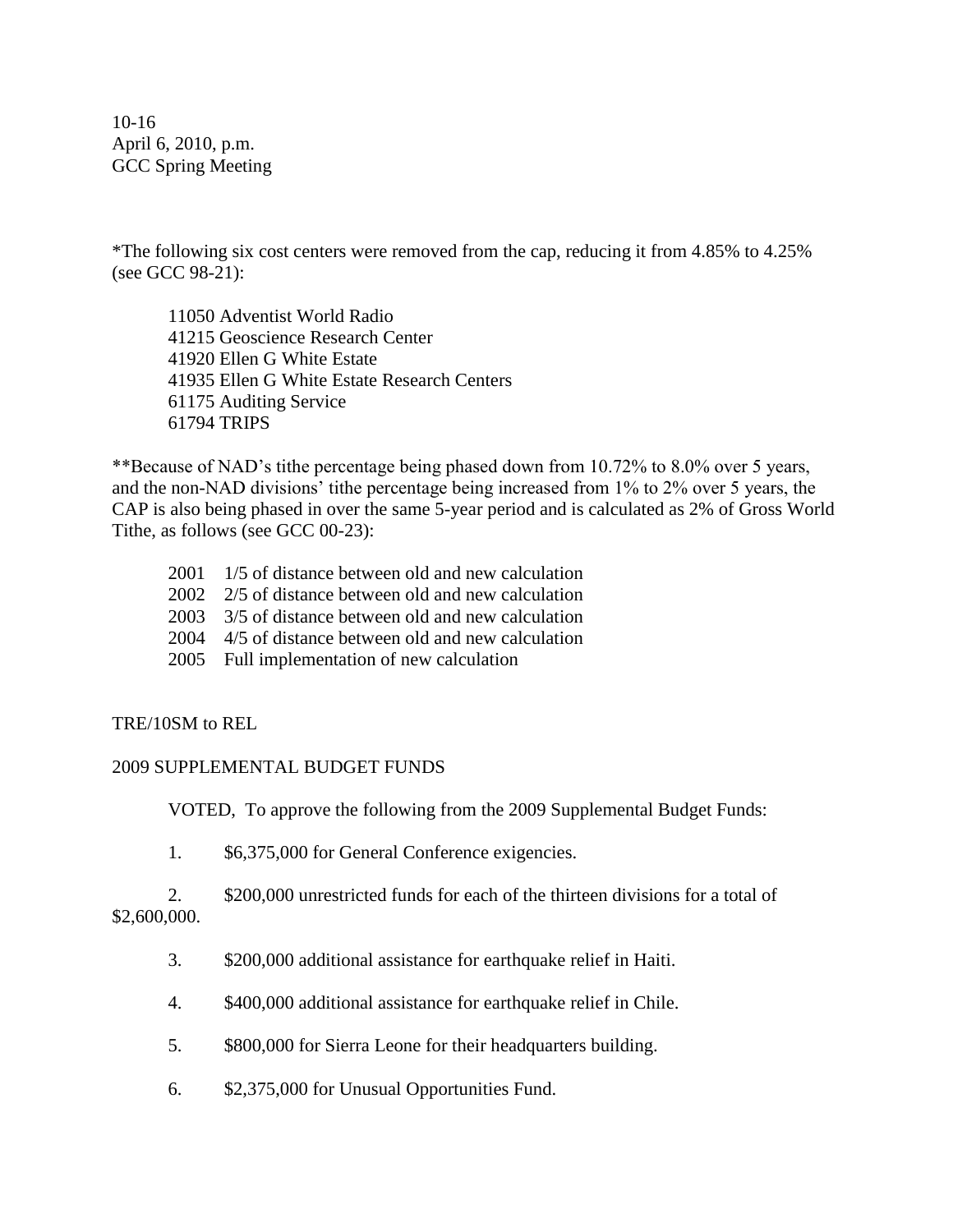10-16 April 6, 2010, p.m. GCC Spring Meeting

\*The following six cost centers were removed from the cap, reducing it from 4.85% to 4.25% (see GCC 98-21):

11050 Adventist World Radio 41215 Geoscience Research Center 41920 Ellen G White Estate 41935 Ellen G White Estate Research Centers 61175 Auditing Service 61794 TRIPS

\*\*Because of NAD's tithe percentage being phased down from 10.72% to 8.0% over 5 years, and the non-NAD divisions' tithe percentage being increased from 1% to 2% over 5 years, the CAP is also being phased in over the same 5-year period and is calculated as 2% of Gross World Tithe, as follows (see GCC 00-23):

- 2001 1/5 of distance between old and new calculation
- 2002 2/5 of distance between old and new calculation
- 2003 3/5 of distance between old and new calculation
- 2004 4/5 of distance between old and new calculation
- 2005 Full implementation of new calculation

## TRE/10SM to REL

## 2009 SUPPLEMENTAL BUDGET FUNDS

VOTED, To approve the following from the 2009 Supplemental Budget Funds:

1. \$6,375,000 for General Conference exigencies.

2. \$200,000 unrestricted funds for each of the thirteen divisions for a total of \$2,600,000.

- 3. \$200,000 additional assistance for earthquake relief in Haiti.
- 4. \$400,000 additional assistance for earthquake relief in Chile.
- 5. \$800,000 for Sierra Leone for their headquarters building.
- 6. \$2,375,000 for Unusual Opportunities Fund.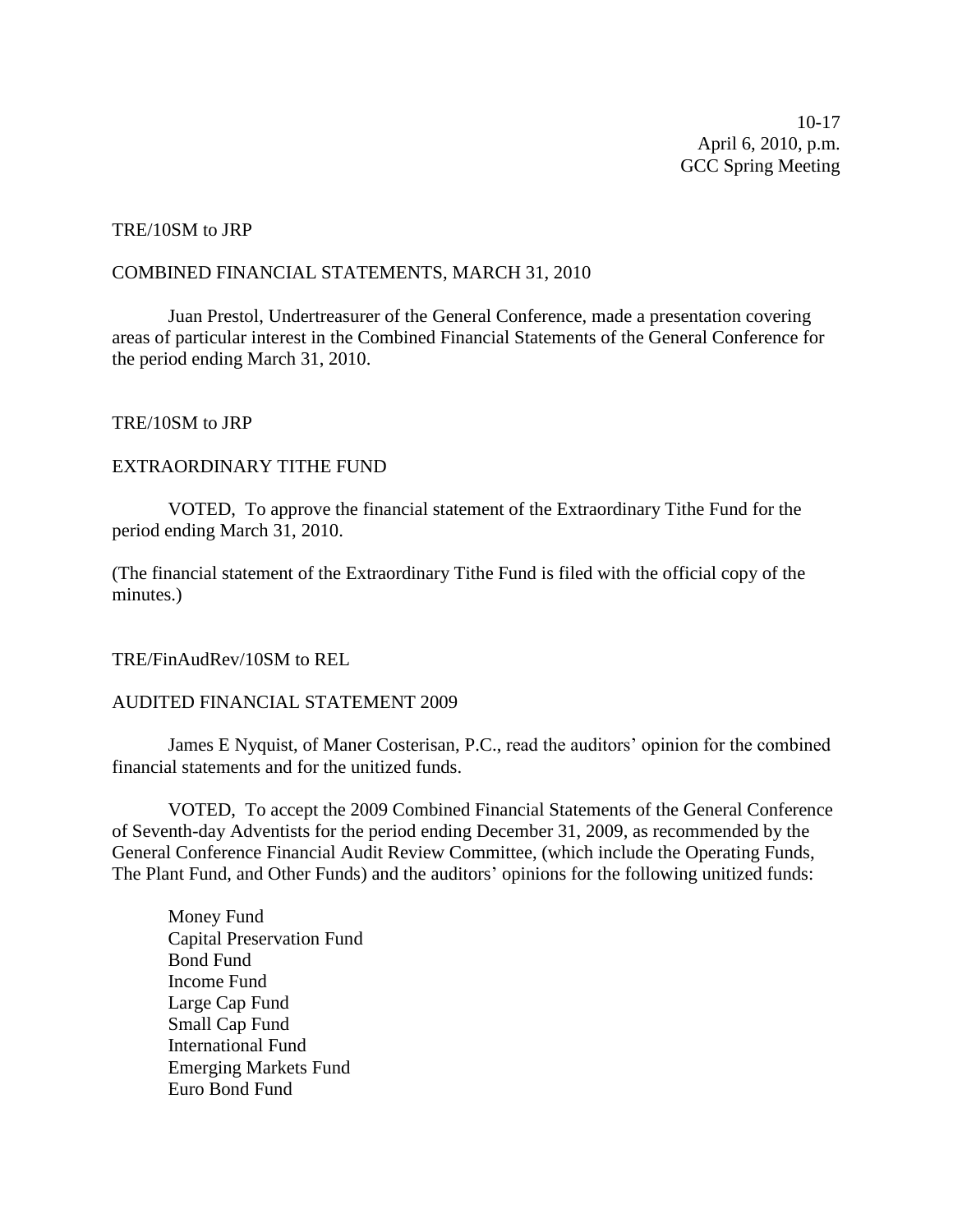10-17 April 6, 2010, p.m. GCC Spring Meeting

#### TRE/10SM to JRP

#### COMBINED FINANCIAL STATEMENTS, MARCH 31, 2010

Juan Prestol, Undertreasurer of the General Conference, made a presentation covering areas of particular interest in the Combined Financial Statements of the General Conference for the period ending March 31, 2010.

### TRE/10SM to JRP

### EXTRAORDINARY TITHE FUND

VOTED, To approve the financial statement of the Extraordinary Tithe Fund for the period ending March 31, 2010.

(The financial statement of the Extraordinary Tithe Fund is filed with the official copy of the minutes.)

### TRE/FinAudRev/10SM to REL

### AUDITED FINANCIAL STATEMENT 2009

James E Nyquist, of Maner Costerisan, P.C., read the auditors' opinion for the combined financial statements and for the unitized funds.

VOTED, To accept the 2009 Combined Financial Statements of the General Conference of Seventh-day Adventists for the period ending December 31, 2009, as recommended by the General Conference Financial Audit Review Committee, (which include the Operating Funds, The Plant Fund, and Other Funds) and the auditors' opinions for the following unitized funds:

Money Fund Capital Preservation Fund Bond Fund Income Fund Large Cap Fund Small Cap Fund International Fund Emerging Markets Fund Euro Bond Fund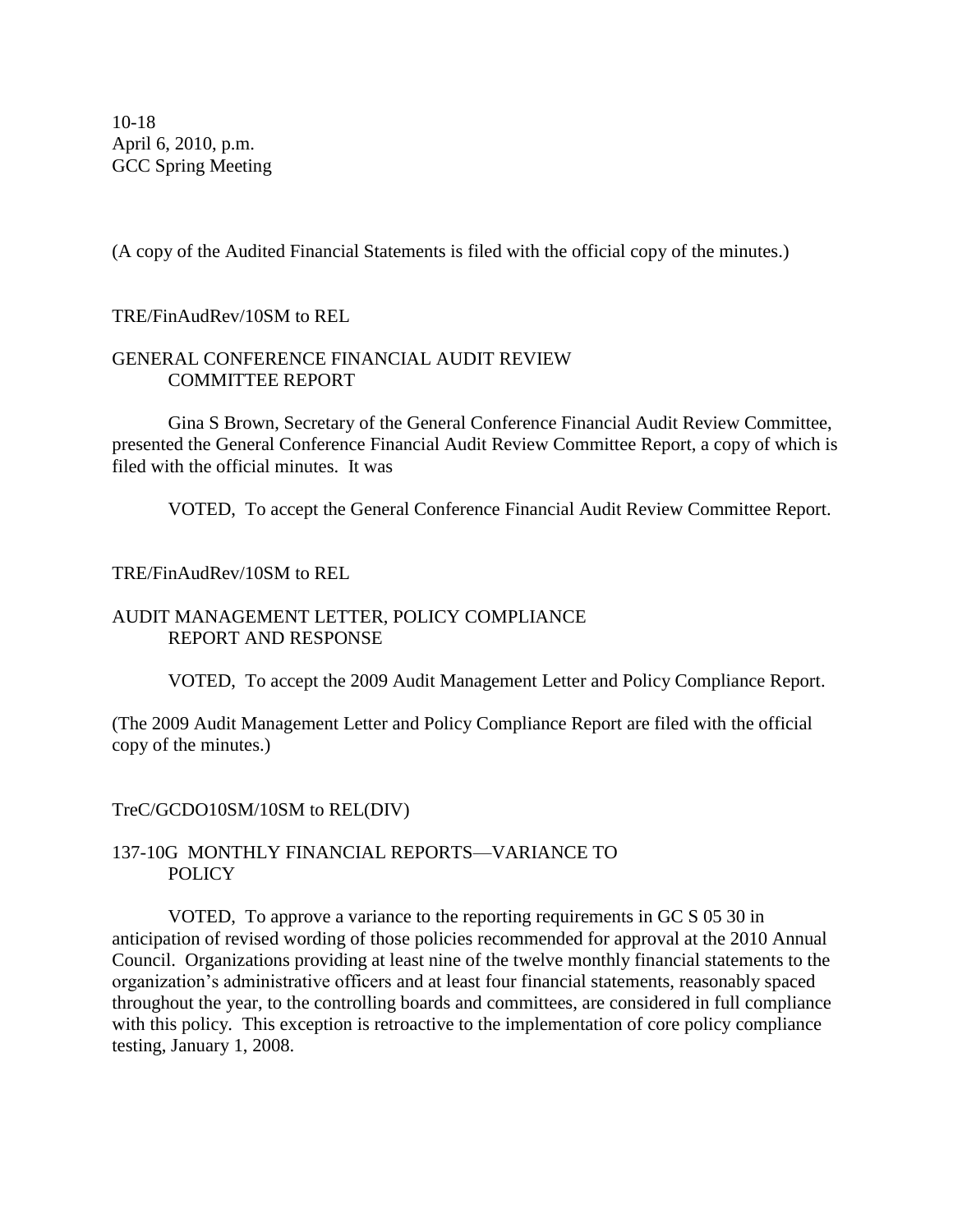10-18 April 6, 2010, p.m. GCC Spring Meeting

(A copy of the Audited Financial Statements is filed with the official copy of the minutes.)

## TRE/FinAudRev/10SM to REL

## GENERAL CONFERENCE FINANCIAL AUDIT REVIEW COMMITTEE REPORT

Gina S Brown, Secretary of the General Conference Financial Audit Review Committee, presented the General Conference Financial Audit Review Committee Report, a copy of which is filed with the official minutes. It was

VOTED, To accept the General Conference Financial Audit Review Committee Report.

## TRE/FinAudRev/10SM to REL

## AUDIT MANAGEMENT LETTER, POLICY COMPLIANCE REPORT AND RESPONSE

VOTED, To accept the 2009 Audit Management Letter and Policy Compliance Report.

(The 2009 Audit Management Letter and Policy Compliance Report are filed with the official copy of the minutes.)

## TreC/GCDO10SM/10SM to REL(DIV)

## 137-10G MONTHLY FINANCIAL REPORTS—VARIANCE TO **POLICY**

VOTED, To approve a variance to the reporting requirements in GC S 05 30 in anticipation of revised wording of those policies recommended for approval at the 2010 Annual Council. Organizations providing at least nine of the twelve monthly financial statements to the organization's administrative officers and at least four financial statements, reasonably spaced throughout the year, to the controlling boards and committees, are considered in full compliance with this policy. This exception is retroactive to the implementation of core policy compliance testing, January 1, 2008.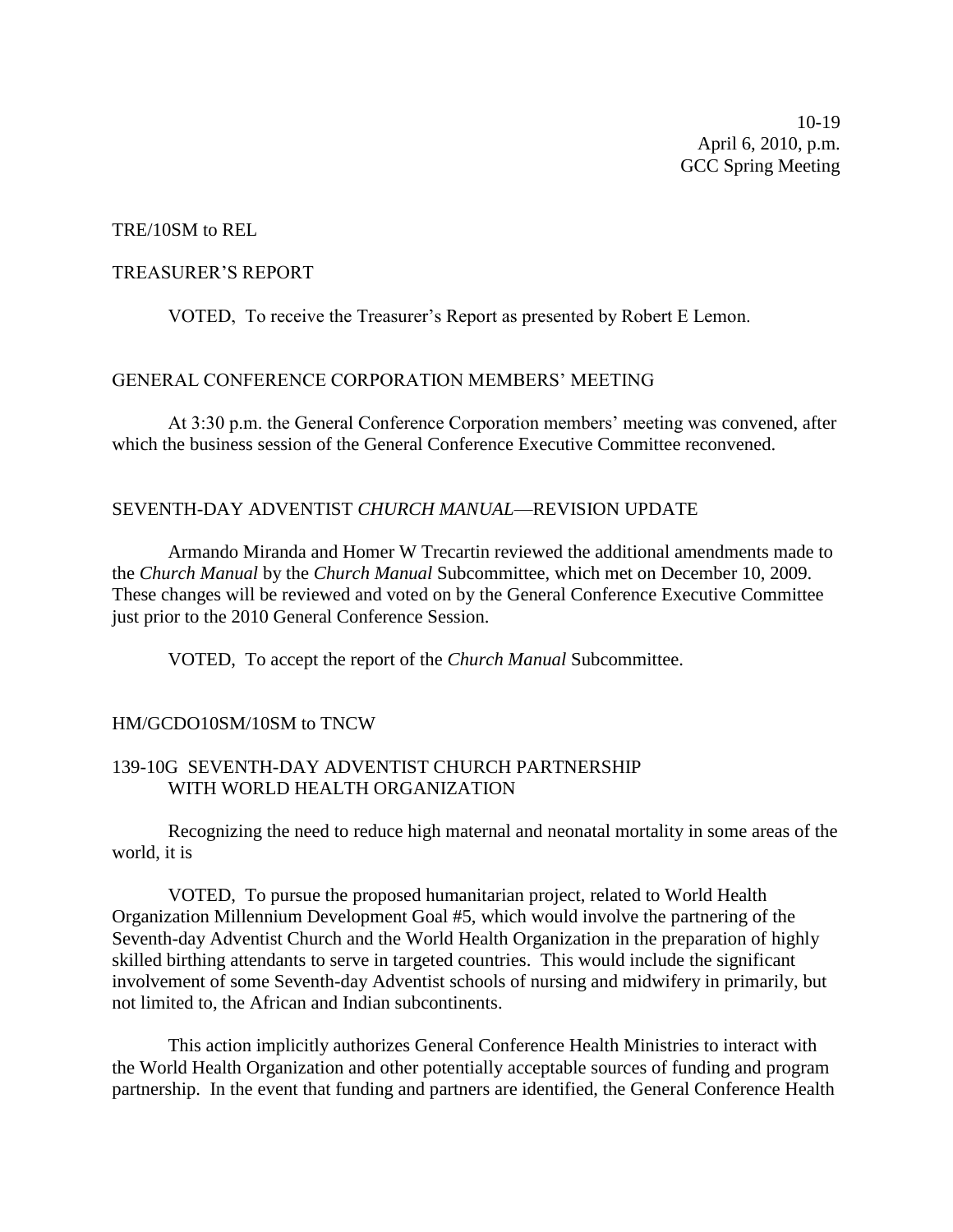10-19 April 6, 2010, p.m. GCC Spring Meeting

#### TRE/10SM to REL

#### TREASURER'S REPORT

VOTED, To receive the Treasurer's Report as presented by Robert E Lemon.

#### GENERAL CONFERENCE CORPORATION MEMBERS' MEETING

At 3:30 p.m. the General Conference Corporation members' meeting was convened, after which the business session of the General Conference Executive Committee reconvened.

#### SEVENTH-DAY ADVENTIST *CHURCH MANUAL*—REVISION UPDATE

Armando Miranda and Homer W Trecartin reviewed the additional amendments made to the *Church Manual* by the *Church Manual* Subcommittee, which met on December 10, 2009. These changes will be reviewed and voted on by the General Conference Executive Committee just prior to the 2010 General Conference Session.

VOTED, To accept the report of the *Church Manual* Subcommittee.

#### HM/GCDO10SM/10SM to TNCW

## 139-10G SEVENTH-DAY ADVENTIST CHURCH PARTNERSHIP WITH WORLD HEALTH ORGANIZATION

Recognizing the need to reduce high maternal and neonatal mortality in some areas of the world, it is

VOTED, To pursue the proposed humanitarian project, related to World Health Organization Millennium Development Goal #5, which would involve the partnering of the Seventh-day Adventist Church and the World Health Organization in the preparation of highly skilled birthing attendants to serve in targeted countries. This would include the significant involvement of some Seventh-day Adventist schools of nursing and midwifery in primarily, but not limited to, the African and Indian subcontinents.

This action implicitly authorizes General Conference Health Ministries to interact with the World Health Organization and other potentially acceptable sources of funding and program partnership. In the event that funding and partners are identified, the General Conference Health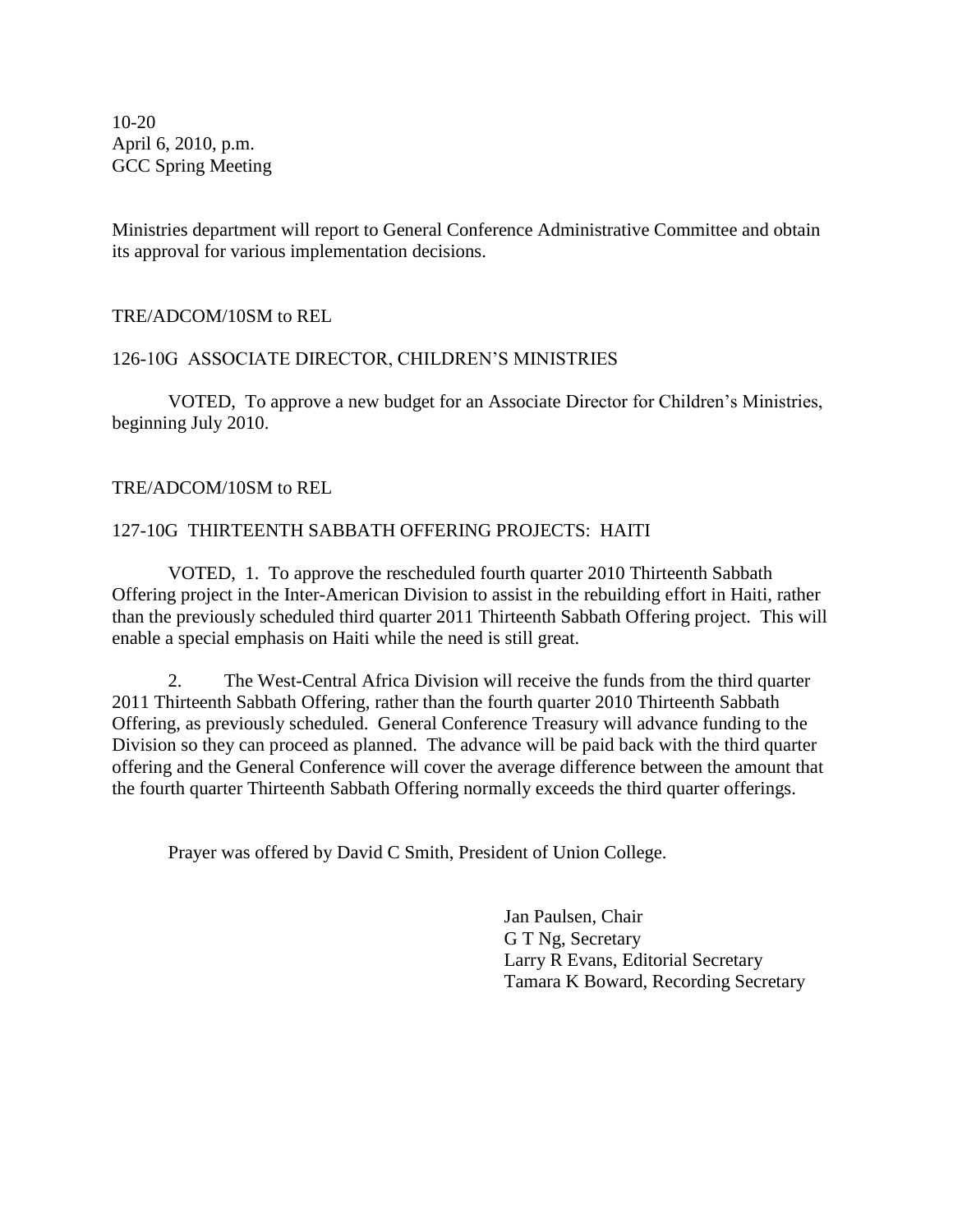10-20 April 6, 2010, p.m. GCC Spring Meeting

Ministries department will report to General Conference Administrative Committee and obtain its approval for various implementation decisions.

TRE/ADCOM/10SM to REL

## 126-10G ASSOCIATE DIRECTOR, CHILDREN'S MINISTRIES

VOTED, To approve a new budget for an Associate Director for Children's Ministries, beginning July 2010.

TRE/ADCOM/10SM to REL

## 127-10G THIRTEENTH SABBATH OFFERING PROJECTS: HAITI

VOTED, 1. To approve the rescheduled fourth quarter 2010 Thirteenth Sabbath Offering project in the Inter-American Division to assist in the rebuilding effort in Haiti, rather than the previously scheduled third quarter 2011 Thirteenth Sabbath Offering project. This will enable a special emphasis on Haiti while the need is still great.

2. The West-Central Africa Division will receive the funds from the third quarter 2011 Thirteenth Sabbath Offering, rather than the fourth quarter 2010 Thirteenth Sabbath Offering, as previously scheduled. General Conference Treasury will advance funding to the Division so they can proceed as planned. The advance will be paid back with the third quarter offering and the General Conference will cover the average difference between the amount that the fourth quarter Thirteenth Sabbath Offering normally exceeds the third quarter offerings.

Prayer was offered by David C Smith, President of Union College.

Jan Paulsen, Chair G T Ng, Secretary Larry R Evans, Editorial Secretary Tamara K Boward, Recording Secretary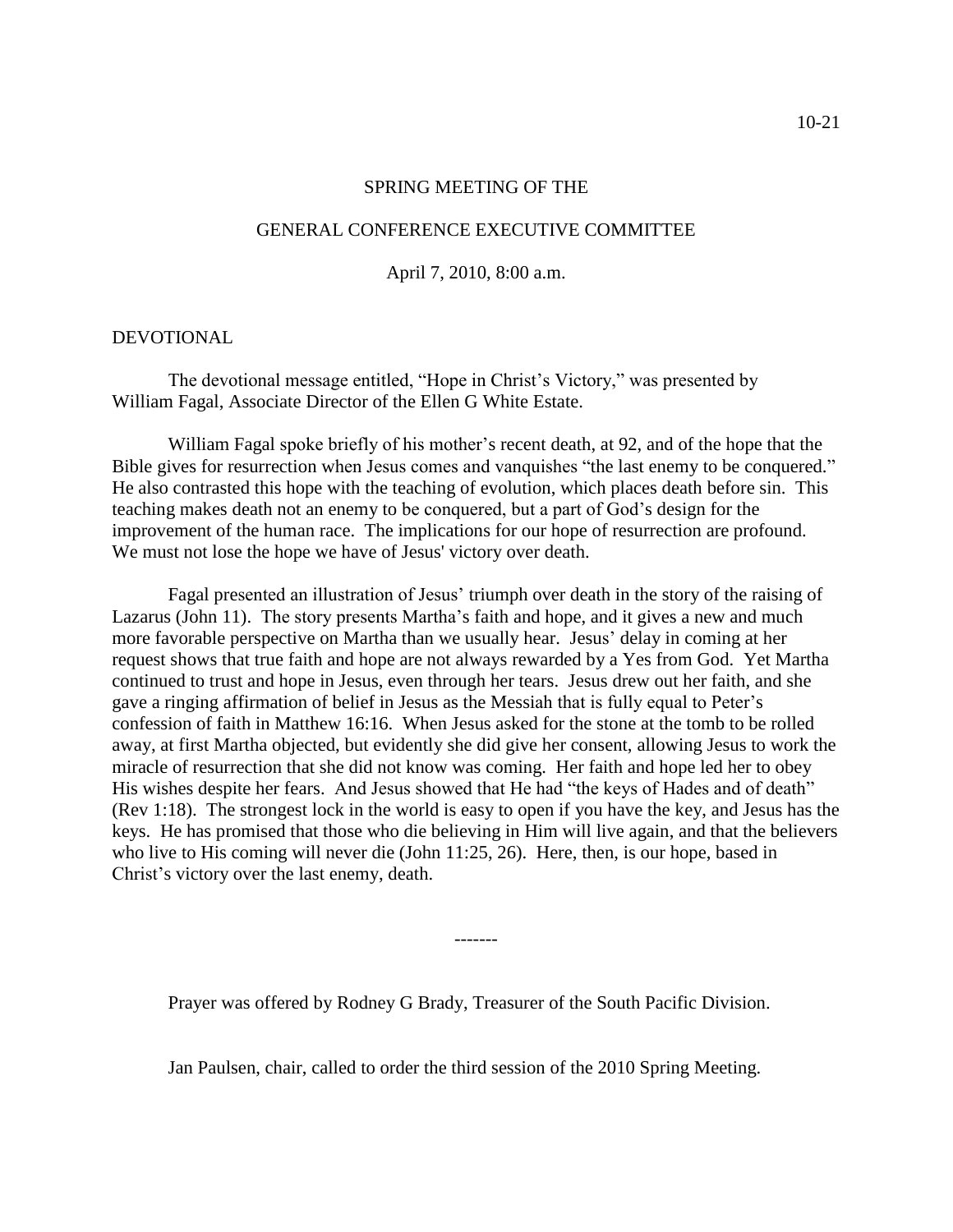#### SPRING MEETING OF THE

#### GENERAL CONFERENCE EXECUTIVE COMMITTEE

#### April 7, 2010, 8:00 a.m.

#### DEVOTIONAL

The devotional message entitled, "Hope in Christ's Victory," was presented by William Fagal, Associate Director of the Ellen G White Estate.

William Fagal spoke briefly of his mother's recent death, at 92, and of the hope that the Bible gives for resurrection when Jesus comes and vanquishes "the last enemy to be conquered." He also contrasted this hope with the teaching of evolution, which places death before sin. This teaching makes death not an enemy to be conquered, but a part of God's design for the improvement of the human race. The implications for our hope of resurrection are profound. We must not lose the hope we have of Jesus' victory over death.

Fagal presented an illustration of Jesus' triumph over death in the story of the raising of Lazarus (John 11). The story presents Martha's faith and hope, and it gives a new and much more favorable perspective on Martha than we usually hear. Jesus' delay in coming at her request shows that true faith and hope are not always rewarded by a Yes from God. Yet Martha continued to trust and hope in Jesus, even through her tears. Jesus drew out her faith, and she gave a ringing affirmation of belief in Jesus as the Messiah that is fully equal to Peter's confession of faith in Matthew 16:16. When Jesus asked for the stone at the tomb to be rolled away, at first Martha objected, but evidently she did give her consent, allowing Jesus to work the miracle of resurrection that she did not know was coming. Her faith and hope led her to obey His wishes despite her fears. And Jesus showed that He had "the keys of Hades and of death" (Rev 1:18). The strongest lock in the world is easy to open if you have the key, and Jesus has the keys. He has promised that those who die believing in Him will live again, and that the believers who live to His coming will never die (John 11:25, 26). Here, then, is our hope, based in Christ's victory over the last enemy, death.

Prayer was offered by Rodney G Brady, Treasurer of the South Pacific Division.

Jan Paulsen, chair, called to order the third session of the 2010 Spring Meeting.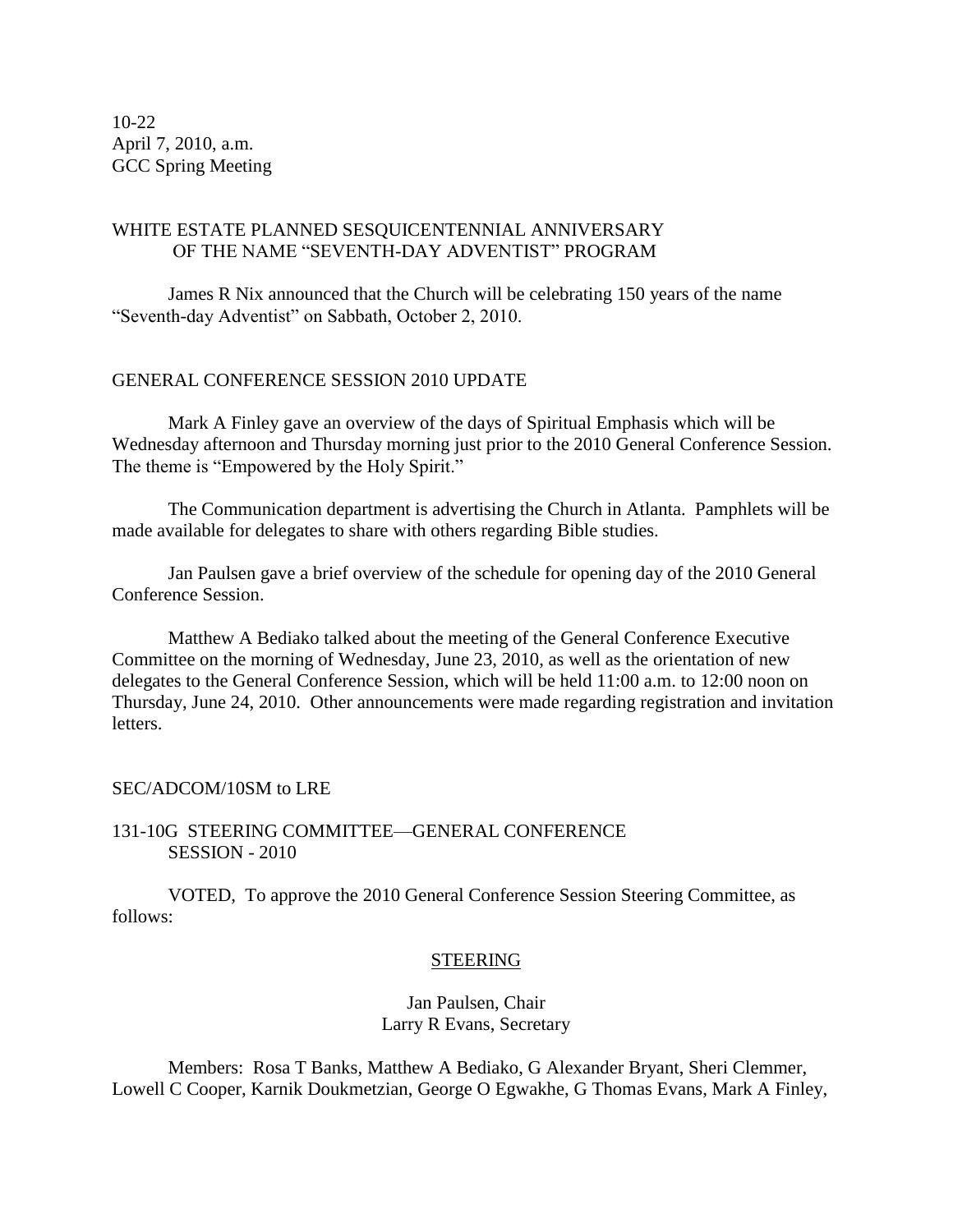10-22 April 7, 2010, a.m. GCC Spring Meeting

## WHITE ESTATE PLANNED SESQUICENTENNIAL ANNIVERSARY OF THE NAME "SEVENTH-DAY ADVENTIST" PROGRAM

James R Nix announced that the Church will be celebrating 150 years of the name "Seventh-day Adventist" on Sabbath, October 2, 2010.

## GENERAL CONFERENCE SESSION 2010 UPDATE

Mark A Finley gave an overview of the days of Spiritual Emphasis which will be Wednesday afternoon and Thursday morning just prior to the 2010 General Conference Session. The theme is "Empowered by the Holy Spirit."

The Communication department is advertising the Church in Atlanta. Pamphlets will be made available for delegates to share with others regarding Bible studies.

Jan Paulsen gave a brief overview of the schedule for opening day of the 2010 General Conference Session.

Matthew A Bediako talked about the meeting of the General Conference Executive Committee on the morning of Wednesday, June 23, 2010, as well as the orientation of new delegates to the General Conference Session, which will be held 11:00 a.m. to 12:00 noon on Thursday, June 24, 2010. Other announcements were made regarding registration and invitation letters.

#### SEC/ADCOM/10SM to LRE

### 131-10G STEERING COMMITTEE—GENERAL CONFERENCE SESSION - 2010

VOTED, To approve the 2010 General Conference Session Steering Committee, as follows:

#### STEERING

Jan Paulsen, Chair Larry R Evans, Secretary

Members: Rosa T Banks, Matthew A Bediako, G Alexander Bryant, Sheri Clemmer, Lowell C Cooper, Karnik Doukmetzian, George O Egwakhe, G Thomas Evans, Mark A Finley,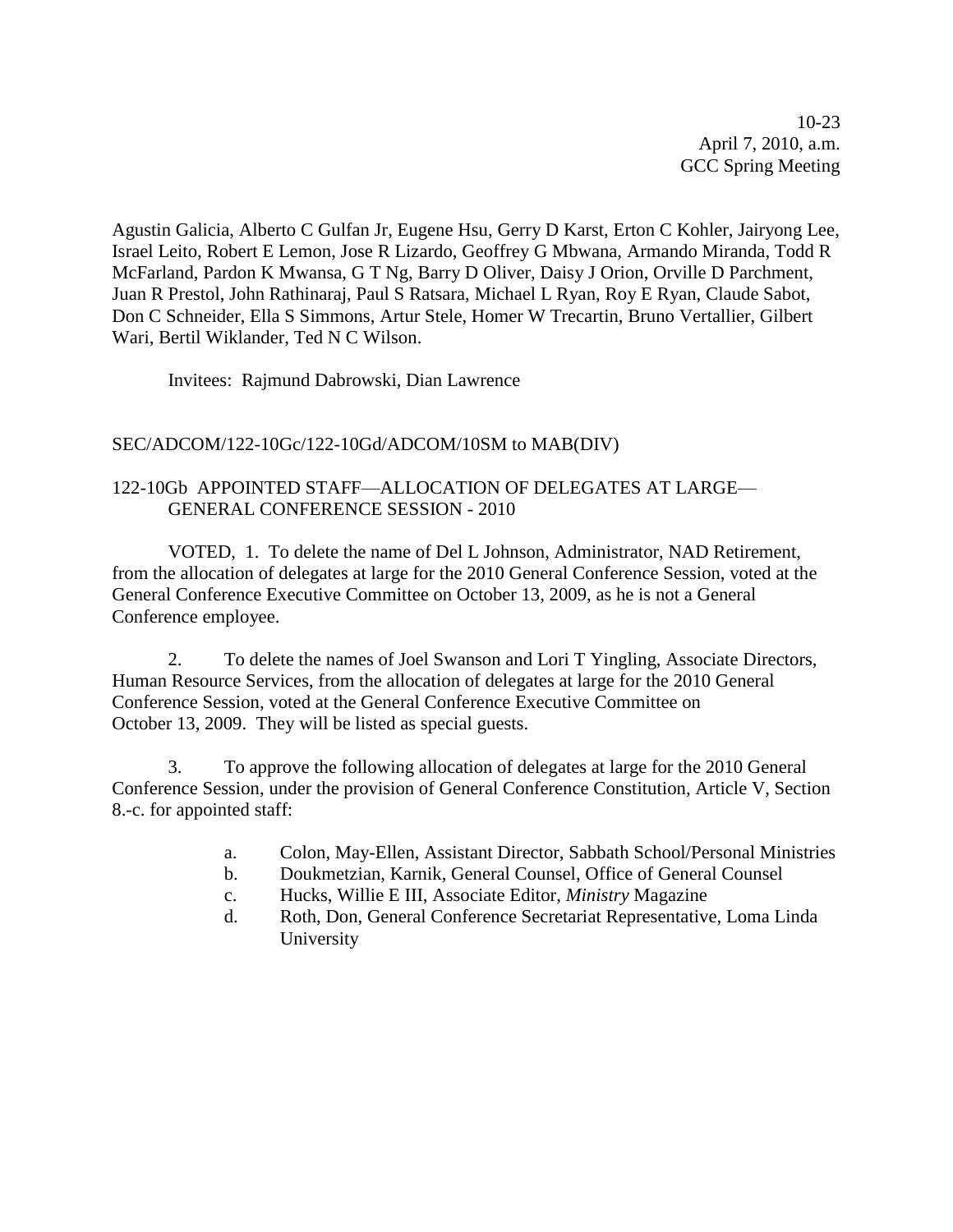10-23 April 7, 2010, a.m. GCC Spring Meeting

Agustin Galicia, Alberto C Gulfan Jr, Eugene Hsu, Gerry D Karst, Erton C Kohler, Jairyong Lee, Israel Leito, Robert E Lemon, Jose R Lizardo, Geoffrey G Mbwana, Armando Miranda, Todd R McFarland, Pardon K Mwansa, G T Ng, Barry D Oliver, Daisy J Orion, Orville D Parchment, Juan R Prestol, John Rathinaraj, Paul S Ratsara, Michael L Ryan, Roy E Ryan, Claude Sabot, Don C Schneider, Ella S Simmons, Artur Stele, Homer W Trecartin, Bruno Vertallier, Gilbert Wari, Bertil Wiklander, Ted N C Wilson.

Invitees: Rajmund Dabrowski, Dian Lawrence

## SEC/ADCOM/122-10Gc/122-10Gd/ADCOM/10SM to MAB(DIV)

## 122-10Gb APPOINTED STAFF—ALLOCATION OF DELEGATES AT LARGE— GENERAL CONFERENCE SESSION - 2010

VOTED, 1. To delete the name of Del L Johnson, Administrator, NAD Retirement, from the allocation of delegates at large for the 2010 General Conference Session, voted at the General Conference Executive Committee on October 13, 2009, as he is not a General Conference employee.

2. To delete the names of Joel Swanson and Lori T Yingling, Associate Directors, Human Resource Services, from the allocation of delegates at large for the 2010 General Conference Session, voted at the General Conference Executive Committee on October 13, 2009. They will be listed as special guests.

3. To approve the following allocation of delegates at large for the 2010 General Conference Session, under the provision of General Conference Constitution, Article V, Section 8.-c. for appointed staff:

- a. Colon, May-Ellen, Assistant Director, Sabbath School/Personal Ministries
- b. Doukmetzian, Karnik, General Counsel, Office of General Counsel
- c. Hucks, Willie E III, Associate Editor, *Ministry* Magazine
- d. Roth, Don, General Conference Secretariat Representative, Loma Linda University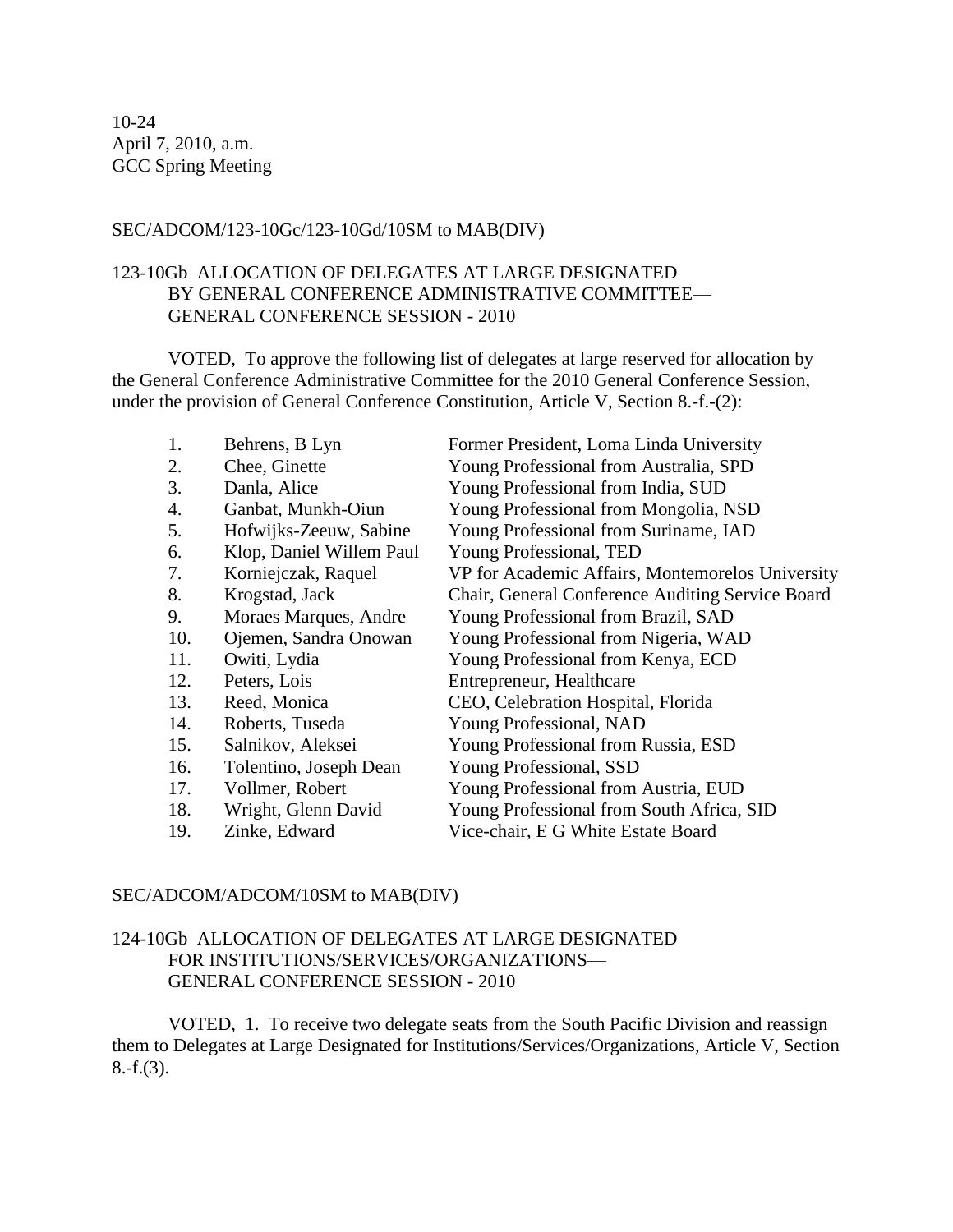## SEC/ADCOM/123-10Gc/123-10Gd/10SM to MAB(DIV)

## 123-10Gb ALLOCATION OF DELEGATES AT LARGE DESIGNATED BY GENERAL CONFERENCE ADMINISTRATIVE COMMITTEE— GENERAL CONFERENCE SESSION - 2010

VOTED, To approve the following list of delegates at large reserved for allocation by the General Conference Administrative Committee for the 2010 General Conference Session, under the provision of General Conference Constitution, Article V, Section 8.-f.-(2):

| 1.  | Behrens, B Lyn           | Former President, Loma Linda University          |
|-----|--------------------------|--------------------------------------------------|
| 2.  | Chee, Ginette            | Young Professional from Australia, SPD           |
| 3.  | Danla, Alice             | Young Professional from India, SUD               |
| 4.  | Ganbat, Munkh-Oiun       | Young Professional from Mongolia, NSD            |
| 5.  | Hofwijks-Zeeuw, Sabine   | Young Professional from Suriname, IAD            |
| 6.  | Klop, Daniel Willem Paul | Young Professional, TED                          |
| 7.  | Korniejczak, Raquel      | VP for Academic Affairs, Montemorelos University |
| 8.  | Krogstad, Jack           | Chair, General Conference Auditing Service Board |
| 9.  | Moraes Marques, Andre    | Young Professional from Brazil, SAD              |
| 10. | Ojemen, Sandra Onowan    | Young Professional from Nigeria, WAD             |
| 11. | Owiti, Lydia             | Young Professional from Kenya, ECD               |
| 12. | Peters, Lois             | Entrepreneur, Healthcare                         |
| 13. | Reed, Monica             | CEO, Celebration Hospital, Florida               |
| 14. | Roberts, Tuseda          | Young Professional, NAD                          |
| 15. | Salnikov, Aleksei        | Young Professional from Russia, ESD              |
| 16. | Tolentino, Joseph Dean   | Young Professional, SSD                          |
| 17. | Vollmer, Robert          | Young Professional from Austria, EUD             |
| 18. | Wright, Glenn David      | Young Professional from South Africa, SID        |
| 19. | Zinke, Edward            | Vice-chair, E G White Estate Board               |

#### SEC/ADCOM/ADCOM/10SM to MAB(DIV)

## 124-10Gb ALLOCATION OF DELEGATES AT LARGE DESIGNATED FOR INSTITUTIONS/SERVICES/ORGANIZATIONS— GENERAL CONFERENCE SESSION - 2010

VOTED, 1. To receive two delegate seats from the South Pacific Division and reassign them to Delegates at Large Designated for Institutions/Services/Organizations, Article V, Section 8.-f.(3).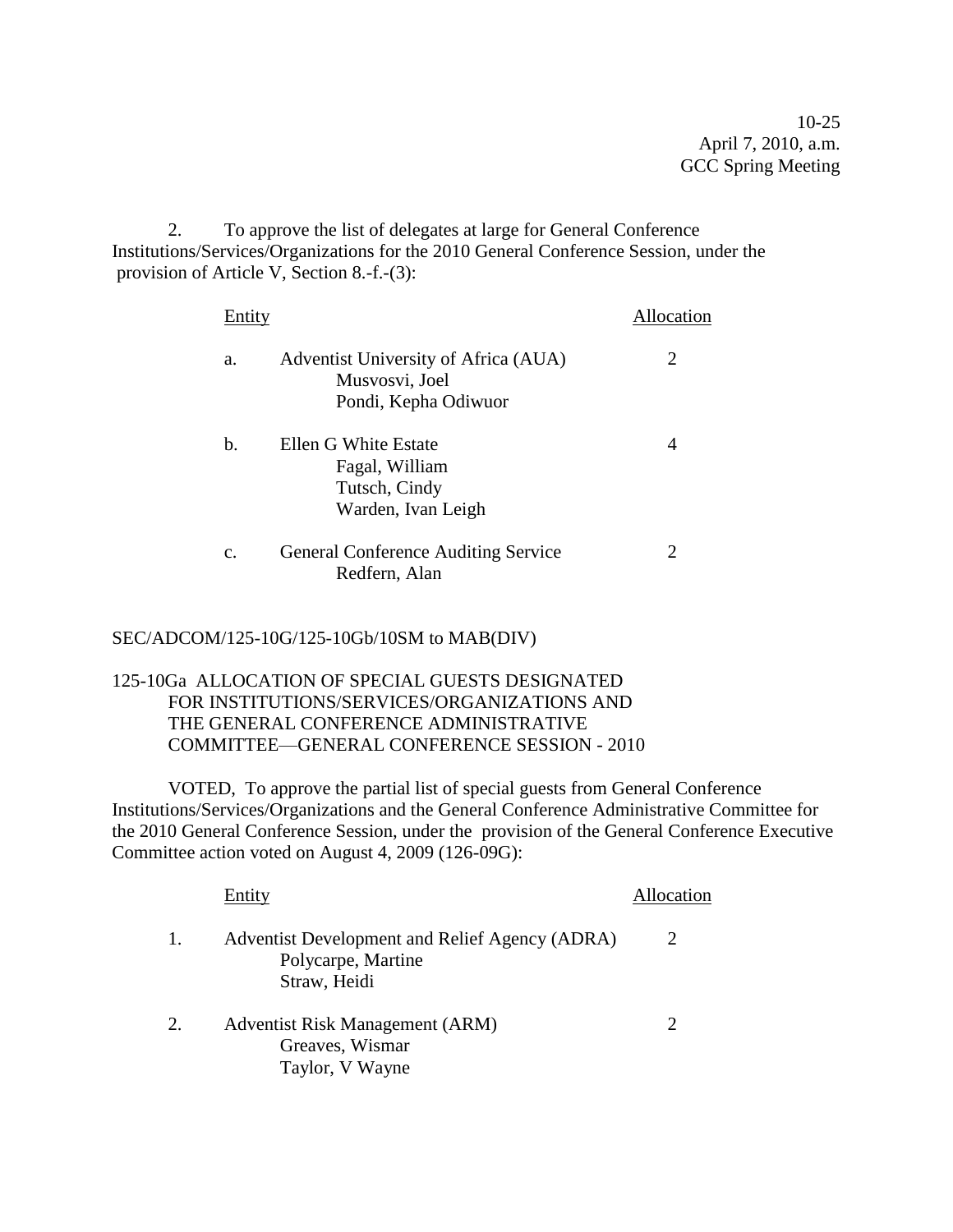10-25 April 7, 2010, a.m. GCC Spring Meeting

2. To approve the list of delegates at large for General Conference Institutions/Services/Organizations for the 2010 General Conference Session, under the provision of Article V, Section 8.-f.-(3):

| Entity |                                                             | Allocation |
|--------|-------------------------------------------------------------|------------|
| a.     | Adventist University of Africa (AUA)<br>Musvosvi, Joel      | 2          |
|        | Pondi, Kepha Odiwuor                                        |            |
| b.     | Ellen G White Estate<br>Fagal, William<br>Tutsch, Cindy     | 4          |
|        | Warden, Ivan Leigh                                          |            |
| C.     | <b>General Conference Auditing Service</b><br>Redfern, Alan | 2          |

## SEC/ADCOM/125-10G/125-10Gb/10SM to MAB(DIV)

## 125-10Ga ALLOCATION OF SPECIAL GUESTS DESIGNATED FOR INSTITUTIONS/SERVICES/ORGANIZATIONS AND THE GENERAL CONFERENCE ADMINISTRATIVE COMMITTEE—GENERAL CONFERENCE SESSION - 2010

VOTED, To approve the partial list of special guests from General Conference Institutions/Services/Organizations and the General Conference Administrative Committee for the 2010 General Conference Session, under the provision of the General Conference Executive Committee action voted on August 4, 2009 (126-09G):

|         | Entity                                                                               | Allocation                  |
|---------|--------------------------------------------------------------------------------------|-----------------------------|
|         | Adventist Development and Relief Agency (ADRA)<br>Polycarpe, Martine<br>Straw, Heidi | 2                           |
| $2^{1}$ | Adventist Risk Management (ARM)<br>Greaves, Wismar<br>Taylor, V Wayne                | $\mathcal{D}_{\mathcal{L}}$ |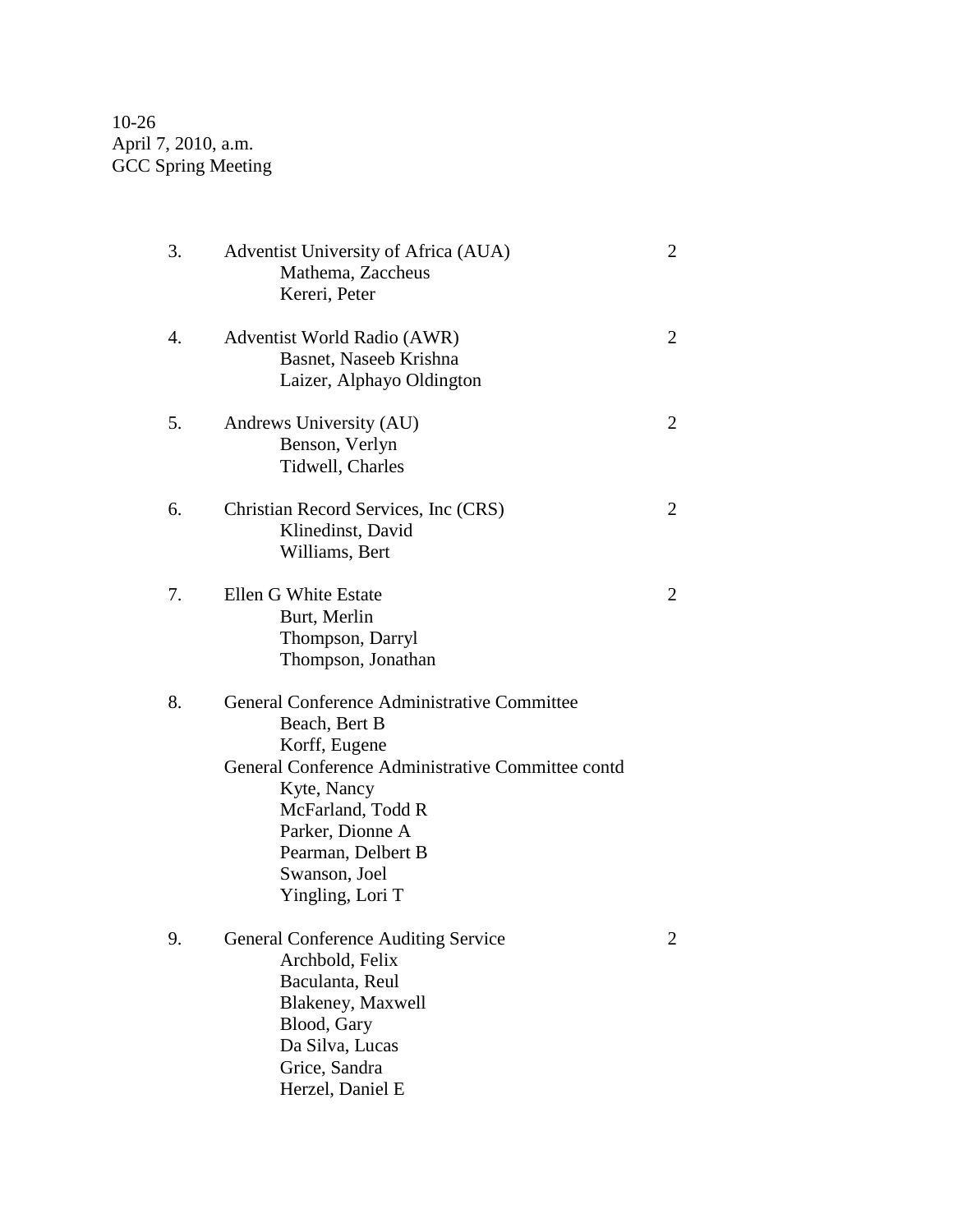10-26 April 7, 2010, a.m. GCC Spring Meeting

| 3. | Adventist University of Africa (AUA)<br>Mathema, Zaccheus<br>Kereri, Peter                                                                                                                                                                            | $\overline{2}$ |
|----|-------------------------------------------------------------------------------------------------------------------------------------------------------------------------------------------------------------------------------------------------------|----------------|
| 4. | Adventist World Radio (AWR)<br>Basnet, Naseeb Krishna<br>Laizer, Alphayo Oldington                                                                                                                                                                    | $\overline{2}$ |
| 5. | Andrews University (AU)<br>Benson, Verlyn<br>Tidwell, Charles                                                                                                                                                                                         | $\overline{2}$ |
| 6. | Christian Record Services, Inc (CRS)<br>Klinedinst, David<br>Williams, Bert                                                                                                                                                                           | 2              |
| 7. | Ellen G White Estate<br>Burt, Merlin<br>Thompson, Darryl<br>Thompson, Jonathan                                                                                                                                                                        | 2              |
| 8. | General Conference Administrative Committee<br>Beach, Bert B<br>Korff, Eugene<br>General Conference Administrative Committee contd<br>Kyte, Nancy<br>McFarland, Todd R<br>Parker, Dionne A<br>Pearman, Delbert B<br>Swanson, Joel<br>Yingling, Lori T |                |
| 9. | <b>General Conference Auditing Service</b><br>Archbold, Felix<br>Baculanta, Reul<br>Blakeney, Maxwell<br>Blood, Gary<br>Da Silva, Lucas<br>Grice, Sandra<br>Herzel, Daniel E                                                                          | 2              |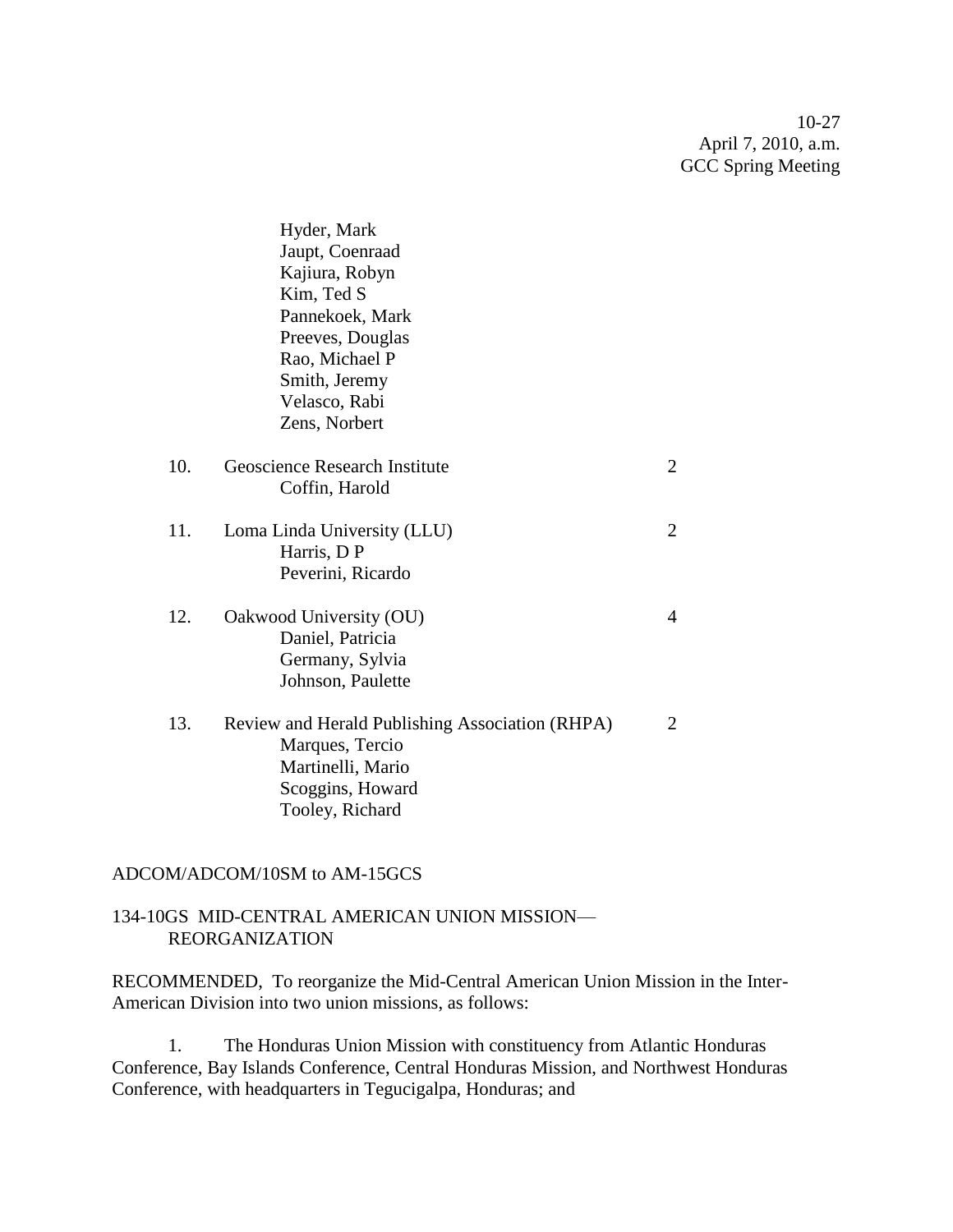10-27 April 7, 2010, a.m. GCC Spring Meeting

|     | Hyder, Mark<br>Jaupt, Coenraad<br>Kajiura, Robyn<br>Kim, Ted S<br>Pannekoek, Mark<br>Preeves, Douglas                          |                |
|-----|--------------------------------------------------------------------------------------------------------------------------------|----------------|
|     | Rao, Michael P<br>Smith, Jeremy                                                                                                |                |
|     | Velasco, Rabi                                                                                                                  |                |
|     | Zens, Norbert                                                                                                                  |                |
| 10. | Geoscience Research Institute<br>Coffin, Harold                                                                                | 2              |
| 11. | Loma Linda University (LLU)<br>Harris, D P<br>Peverini, Ricardo                                                                | $\overline{2}$ |
| 12. | Oakwood University (OU)<br>Daniel, Patricia<br>Germany, Sylvia<br>Johnson, Paulette                                            | 4              |
| 13. | Review and Herald Publishing Association (RHPA)<br>Marques, Tercio<br>Martinelli, Mario<br>Scoggins, Howard<br>Tooley, Richard | 2              |

## ADCOM/ADCOM/10SM to AM-15GCS

## 134-10GS MID-CENTRAL AMERICAN UNION MISSION— REORGANIZATION

RECOMMENDED, To reorganize the Mid-Central American Union Mission in the Inter-American Division into two union missions, as follows:

1. The Honduras Union Mission with constituency from Atlantic Honduras Conference, Bay Islands Conference, Central Honduras Mission, and Northwest Honduras Conference, with headquarters in Tegucigalpa, Honduras; and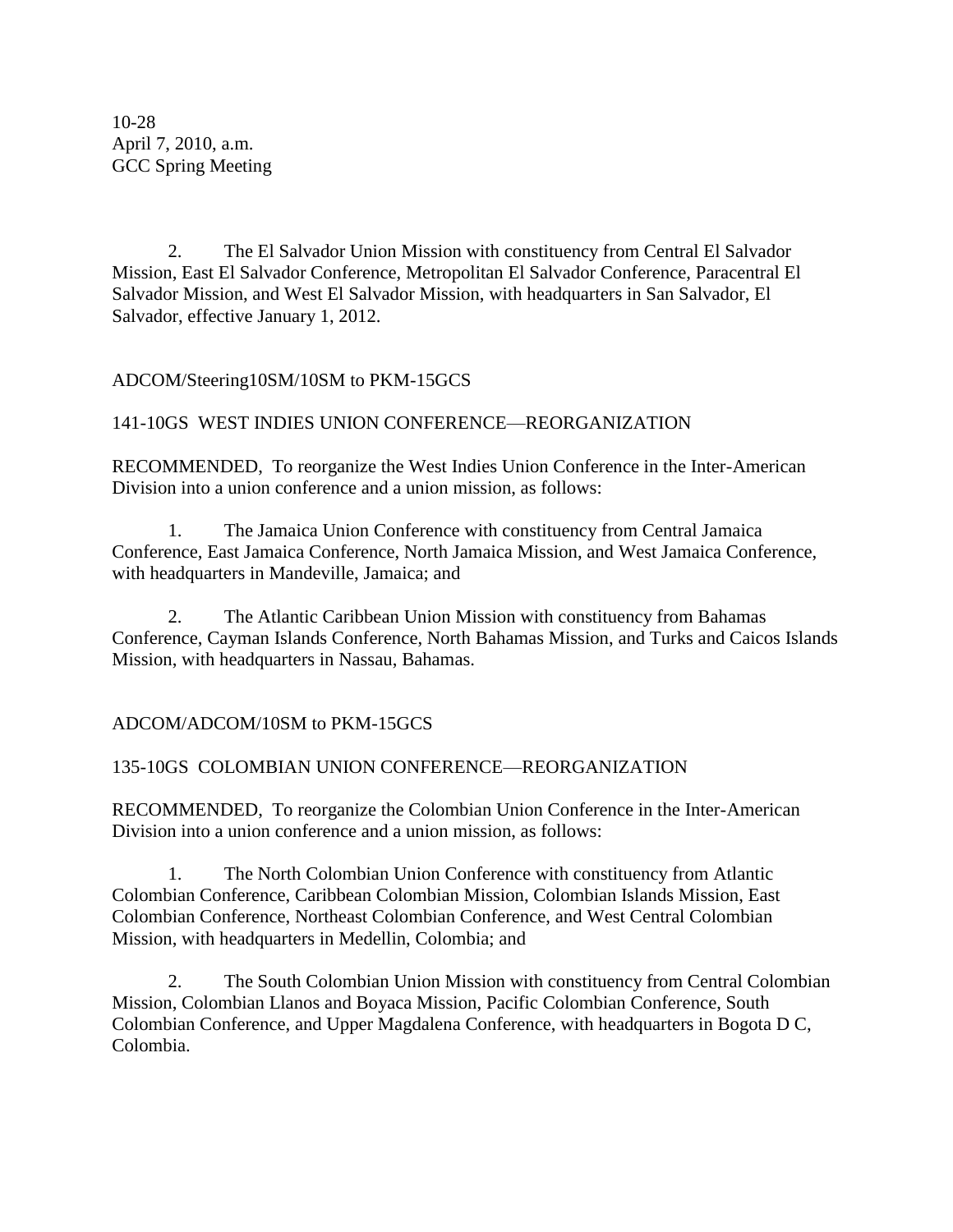10-28 April 7, 2010, a.m. GCC Spring Meeting

2. The El Salvador Union Mission with constituency from Central El Salvador Mission, East El Salvador Conference, Metropolitan El Salvador Conference, Paracentral El Salvador Mission, and West El Salvador Mission, with headquarters in San Salvador, El Salvador, effective January 1, 2012.

## ADCOM/Steering10SM/10SM to PKM-15GCS

## 141-10GS WEST INDIES UNION CONFERENCE—REORGANIZATION

RECOMMENDED, To reorganize the West Indies Union Conference in the Inter-American Division into a union conference and a union mission, as follows:

1. The Jamaica Union Conference with constituency from Central Jamaica Conference, East Jamaica Conference, North Jamaica Mission, and West Jamaica Conference, with headquarters in Mandeville, Jamaica; and

2. The Atlantic Caribbean Union Mission with constituency from Bahamas Conference, Cayman Islands Conference, North Bahamas Mission, and Turks and Caicos Islands Mission, with headquarters in Nassau, Bahamas.

## ADCOM/ADCOM/10SM to PKM-15GCS

## 135-10GS COLOMBIAN UNION CONFERENCE—REORGANIZATION

RECOMMENDED, To reorganize the Colombian Union Conference in the Inter-American Division into a union conference and a union mission, as follows:

1. The North Colombian Union Conference with constituency from Atlantic Colombian Conference, Caribbean Colombian Mission, Colombian Islands Mission, East Colombian Conference, Northeast Colombian Conference, and West Central Colombian Mission, with headquarters in Medellin, Colombia; and

2. The South Colombian Union Mission with constituency from Central Colombian Mission, Colombian Llanos and Boyaca Mission, Pacific Colombian Conference, South Colombian Conference, and Upper Magdalena Conference, with headquarters in Bogota D C, Colombia.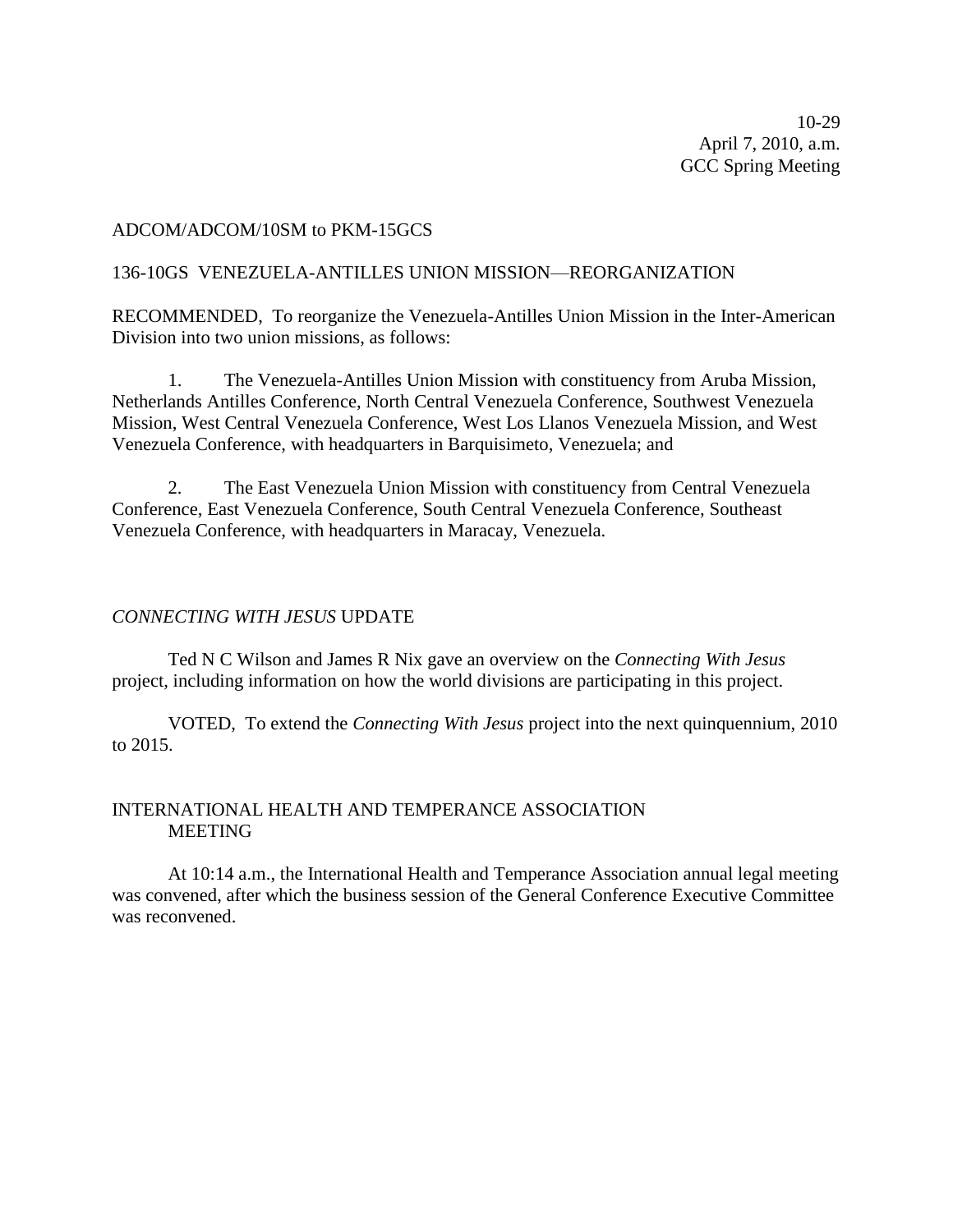10-29 April 7, 2010, a.m. GCC Spring Meeting

#### ADCOM/ADCOM/10SM to PKM-15GCS

#### 136-10GS VENEZUELA-ANTILLES UNION MISSION—REORGANIZATION

RECOMMENDED, To reorganize the Venezuela-Antilles Union Mission in the Inter-American Division into two union missions, as follows:

1. The Venezuela-Antilles Union Mission with constituency from Aruba Mission, Netherlands Antilles Conference, North Central Venezuela Conference, Southwest Venezuela Mission, West Central Venezuela Conference, West Los Llanos Venezuela Mission, and West Venezuela Conference, with headquarters in Barquisimeto, Venezuela; and

2. The East Venezuela Union Mission with constituency from Central Venezuela Conference, East Venezuela Conference, South Central Venezuela Conference, Southeast Venezuela Conference, with headquarters in Maracay, Venezuela.

#### *CONNECTING WITH JESUS* UPDATE

Ted N C Wilson and James R Nix gave an overview on the *Connecting With Jesus* project, including information on how the world divisions are participating in this project.

VOTED, To extend the *Connecting With Jesus* project into the next quinquennium, 2010 to 2015.

## INTERNATIONAL HEALTH AND TEMPERANCE ASSOCIATION MEETING

At 10:14 a.m., the International Health and Temperance Association annual legal meeting was convened, after which the business session of the General Conference Executive Committee was reconvened.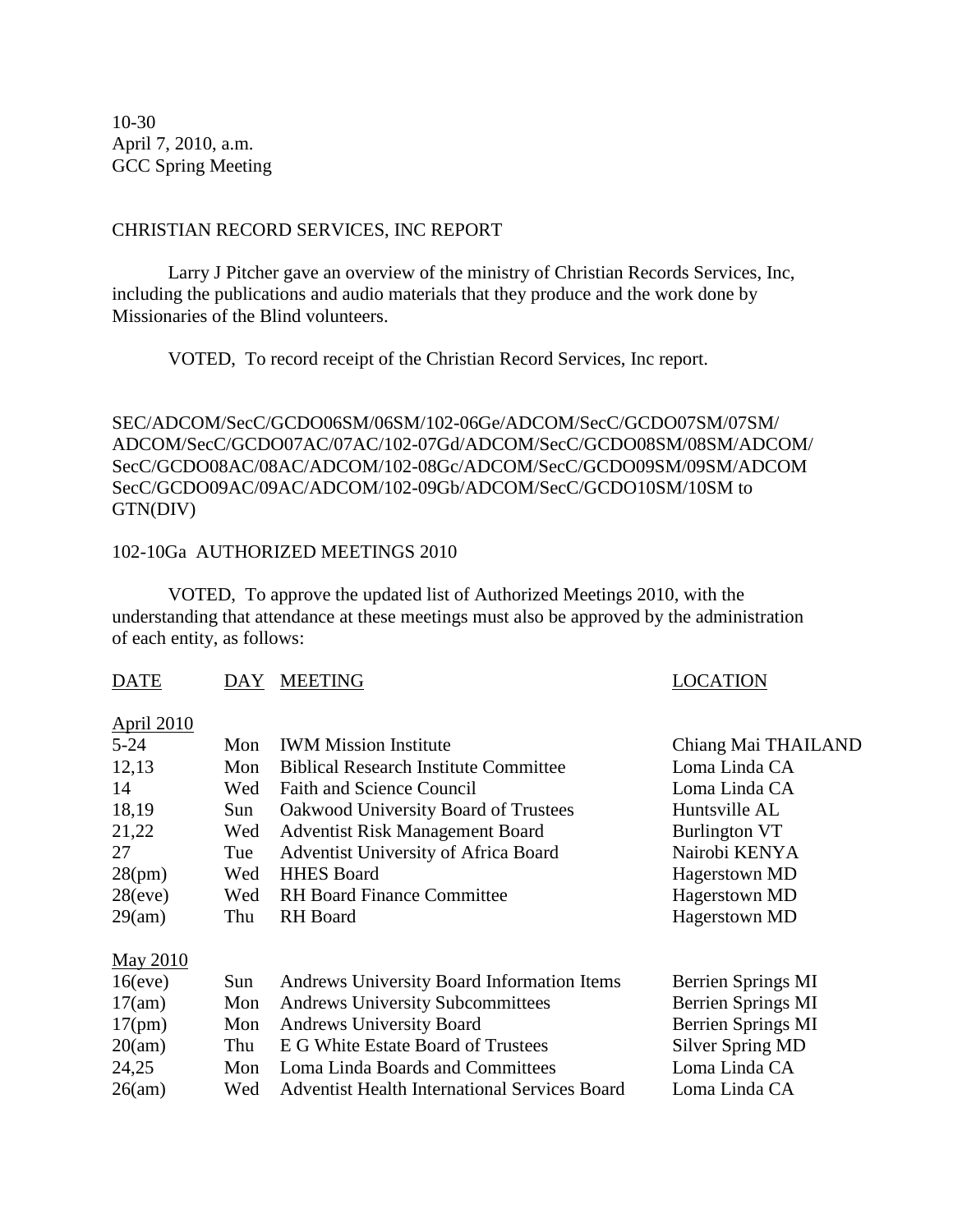10-30 April 7, 2010, a.m. GCC Spring Meeting

## CHRISTIAN RECORD SERVICES, INC REPORT

Larry J Pitcher gave an overview of the ministry of Christian Records Services, Inc, including the publications and audio materials that they produce and the work done by Missionaries of the Blind volunteers.

VOTED, To record receipt of the Christian Record Services, Inc report.

SEC/ADCOM/SecC/GCDO06SM/06SM/102-06Ge/ADCOM/SecC/GCDO07SM/07SM/ ADCOM/SecC/GCDO07AC/07AC/102-07Gd/ADCOM/SecC/GCDO08SM/08SM/ADCOM/ SecC/GCDO08AC/08AC/ADCOM/102-08Gc/ADCOM/SecC/GCDO09SM/09SM/ADCOM SecC/GCDO09AC/09AC/ADCOM/102-09Gb/ADCOM/SecC/GCDO10SM/10SM to GTN(DIV)

## 102-10Ga AUTHORIZED MEETINGS 2010

VOTED, To approve the updated list of Authorized Meetings 2010, with the understanding that attendance at these meetings must also be approved by the administration of each entity, as follows:

## DATE DAY MEETING DATE LOCATION

April 2010

## 5-24 Mon IWM Mission Institute Chiang Mai THAILAND 12,13 Mon Biblical Research Institute Committee Loma Linda CA 14 Wed Faith and Science Council Loma Linda CA 18,19 Sun Oakwood University Board of Trustees Huntsville AL 21,22 Wed Adventist Risk Management Board Burlington VT 27 Tue Adventist University of Africa Board Nairobi KENYA 28(pm) Wed HHES Board Hagerstown MD 28(eve) Wed RH Board Finance Committee Hagerstown MD 29(am) Thu RH Board Hagerstown MD May 2010 16(eve) Sun Andrews University Board Information Items Berrien Springs MI 17(am) Mon Andrews University Subcommittees Berrien Springs MI 17(pm) Mon Andrews University Board Berrien Springs MI 20(am) Thu E G White Estate Board of Trustees Silver Spring MD 24,25 Mon Loma Linda Boards and Committees Loma Linda CA

26(am) Wed Adventist Health International Services Board Loma Linda CA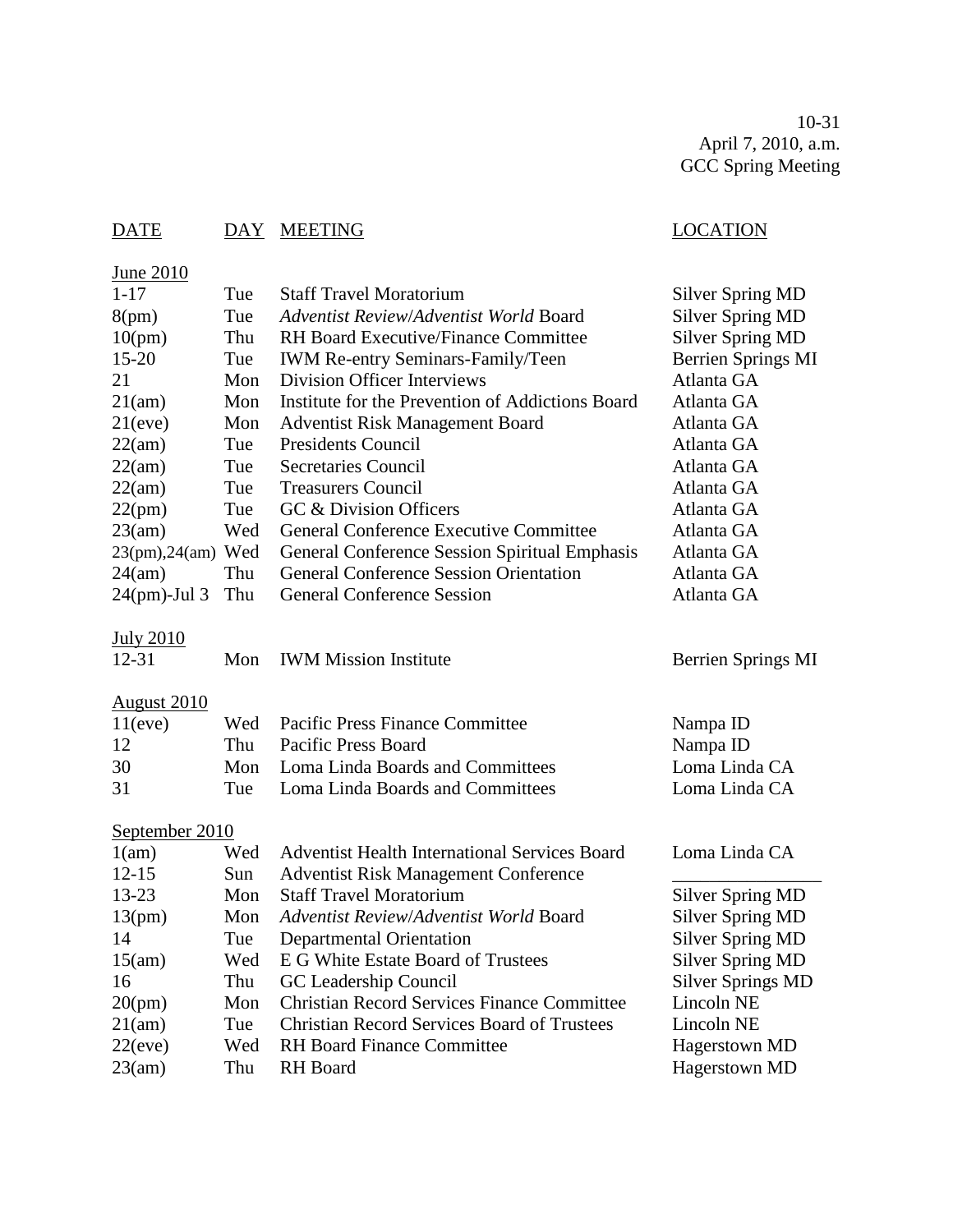10-31 April 7, 2010, a.m. GCC Spring Meeting

# DATE DAY MEETING LOCATION

| June 2010               |     |                                                      |                          |
|-------------------------|-----|------------------------------------------------------|--------------------------|
| $1 - 17$                | Tue | <b>Staff Travel Moratorium</b>                       | <b>Silver Spring MD</b>  |
| 8(pm)                   | Tue | Adventist Review/Adventist World Board               | <b>Silver Spring MD</b>  |
| 10(pm)                  | Thu | <b>RH Board Executive/Finance Committee</b>          | <b>Silver Spring MD</b>  |
| 15-20                   | Tue | <b>IWM Re-entry Seminars-Family/Teen</b>             | Berrien Springs MI       |
| 21                      | Mon | <b>Division Officer Interviews</b>                   | Atlanta GA               |
| 21(am)                  | Mon | Institute for the Prevention of Addictions Board     | Atlanta GA               |
| 21(eve)                 | Mon | <b>Adventist Risk Management Board</b>               | Atlanta GA               |
| 22(am)                  | Tue | Presidents Council                                   | Atlanta GA               |
| 22(am)                  | Tue | <b>Secretaries Council</b>                           | Atlanta GA               |
| 22(am)                  | Tue | <b>Treasurers Council</b>                            | Atlanta GA               |
| 22(pm)                  | Tue | GC & Division Officers                               | Atlanta GA               |
| 23(am)                  | Wed | <b>General Conference Executive Committee</b>        | Atlanta GA               |
| $23(pm)$ , $24(am)$ Wed |     | General Conference Session Spiritual Emphasis        | Atlanta GA               |
| 24(am)                  | Thu | <b>General Conference Session Orientation</b>        | Atlanta GA               |
| $24$ (pm)-Jul 3         | Thu | <b>General Conference Session</b>                    | Atlanta GA               |
| <b>July 2010</b>        |     |                                                      |                          |
| $12 - 31$               | Mon | <b>IWM Mission Institute</b>                         | Berrien Springs MI       |
| <u>August 2010</u>      |     |                                                      |                          |
| 11(eve)                 | Wed | <b>Pacific Press Finance Committee</b>               | Nampa ID                 |
| 12                      | Thu | <b>Pacific Press Board</b>                           | Nampa ID                 |
| 30                      | Mon | Loma Linda Boards and Committees                     | Loma Linda CA            |
| 31                      | Tue | Loma Linda Boards and Committees                     | Loma Linda CA            |
| September 2010          |     |                                                      |                          |
| 1(am)                   | Wed | <b>Adventist Health International Services Board</b> | Loma Linda CA            |
| $12 - 15$               | Sun | <b>Adventist Risk Management Conference</b>          |                          |
| 13-23                   | Mon | <b>Staff Travel Moratorium</b>                       | <b>Silver Spring MD</b>  |
| 13(pm)                  | Mon | Adventist Review/Adventist World Board               | <b>Silver Spring MD</b>  |
| 14                      | Tue | <b>Departmental Orientation</b>                      | <b>Silver Spring MD</b>  |
| 15(am)                  | Wed | E G White Estate Board of Trustees                   | <b>Silver Spring MD</b>  |
| 16                      | Thu | GC Leadership Council                                | <b>Silver Springs MD</b> |
| 20(pm)                  | Mon | <b>Christian Record Services Finance Committee</b>   | Lincoln NE               |
| 21(am)                  | Tue | <b>Christian Record Services Board of Trustees</b>   | Lincoln NE               |
| 22(eve)                 | Wed | <b>RH Board Finance Committee</b>                    | <b>Hagerstown MD</b>     |
| 23(am)                  | Thu | RH Board                                             | Hagerstown MD            |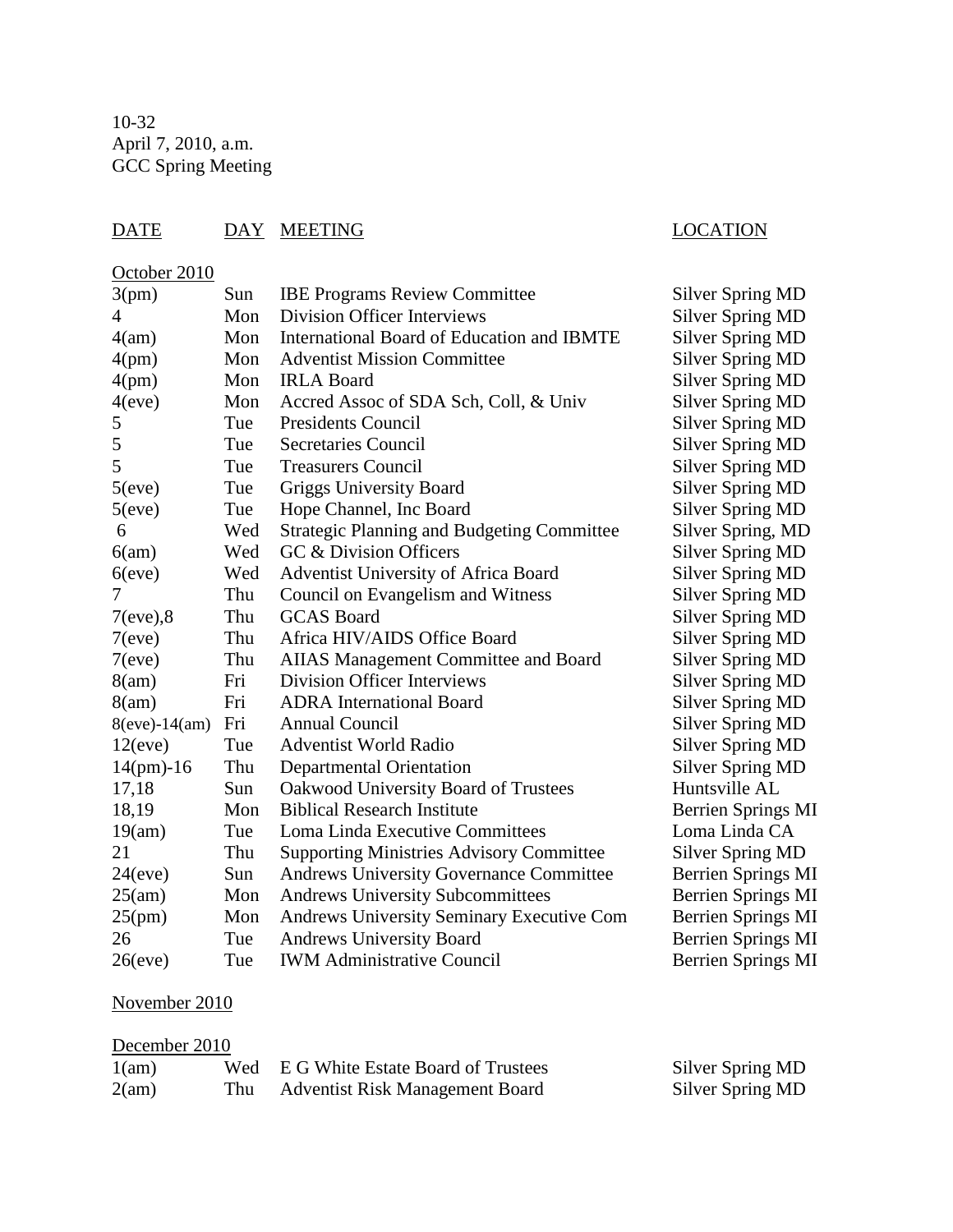## DATE DAY MEETING LOCATION

## October 2010

| 3(pm)           | Sun | <b>IBE Programs Review Committee</b>              | <b>Silver Spring MD</b>   |
|-----------------|-----|---------------------------------------------------|---------------------------|
| 4               | Mon | <b>Division Officer Interviews</b>                | <b>Silver Spring MD</b>   |
| 4(am)           | Mon | International Board of Education and IBMTE        | <b>Silver Spring MD</b>   |
| 4(pm)           | Mon | <b>Adventist Mission Committee</b>                | <b>Silver Spring MD</b>   |
| 4(pm)           | Mon | <b>IRLA Board</b>                                 | <b>Silver Spring MD</b>   |
| 4(eve)          | Mon | Accred Assoc of SDA Sch, Coll, & Univ             | <b>Silver Spring MD</b>   |
| 5               | Tue | <b>Presidents Council</b>                         | <b>Silver Spring MD</b>   |
| 5               | Tue | <b>Secretaries Council</b>                        | <b>Silver Spring MD</b>   |
| 5               | Tue | <b>Treasurers Council</b>                         | <b>Silver Spring MD</b>   |
| 5(eve)          | Tue | <b>Griggs University Board</b>                    | <b>Silver Spring MD</b>   |
| 5(eve)          | Tue | Hope Channel, Inc Board                           | <b>Silver Spring MD</b>   |
| 6               | Wed | <b>Strategic Planning and Budgeting Committee</b> | Silver Spring, MD         |
| 6(am)           | Wed | GC & Division Officers                            | <b>Silver Spring MD</b>   |
| $6$ (eve)       | Wed | Adventist University of Africa Board              | <b>Silver Spring MD</b>   |
| 7               | Thu | Council on Evangelism and Witness                 | <b>Silver Spring MD</b>   |
| $7(eve)$ ,8     | Thu | <b>GCAS</b> Board                                 | <b>Silver Spring MD</b>   |
| 7(eve)          | Thu | Africa HIV/AIDS Office Board                      | <b>Silver Spring MD</b>   |
| 7(eve)          | Thu | AIIAS Management Committee and Board              | <b>Silver Spring MD</b>   |
| 8(am)           | Fri | <b>Division Officer Interviews</b>                | <b>Silver Spring MD</b>   |
| 8(am)           | Fri | <b>ADRA</b> International Board                   | <b>Silver Spring MD</b>   |
| $8(eve)-14(am)$ | Fri | <b>Annual Council</b>                             | <b>Silver Spring MD</b>   |
| 12(eve)         | Tue | <b>Adventist World Radio</b>                      | <b>Silver Spring MD</b>   |
| $14(pm)-16$     | Thu | <b>Departmental Orientation</b>                   | <b>Silver Spring MD</b>   |
| 17,18           | Sun | Oakwood University Board of Trustees              | Huntsville AL             |
| 18,19           | Mon | <b>Biblical Research Institute</b>                | <b>Berrien Springs MI</b> |
| 19(am)          | Tue | Loma Linda Executive Committees                   | Loma Linda CA             |
| 21              | Thu | <b>Supporting Ministries Advisory Committee</b>   | Silver Spring MD          |
| 24(eve)         | Sun | <b>Andrews University Governance Committee</b>    | <b>Berrien Springs MI</b> |
| 25(am)          | Mon | <b>Andrews University Subcommittees</b>           | <b>Berrien Springs MI</b> |
| 25(pm)          | Mon | Andrews University Seminary Executive Com         | <b>Berrien Springs MI</b> |
| 26              | Tue | <b>Andrews University Board</b>                   | <b>Berrien Springs MI</b> |
| 26(eve)         | Tue | <b>IWM Administrative Council</b>                 | <b>Berrien Springs MI</b> |

# November 2010

|  | December 2010 |  |
|--|---------------|--|
|--|---------------|--|

| 1(am) | Wed E G White Estate Board of Trustees | Silver Spring MD |
|-------|----------------------------------------|------------------|
| 2(am) | <b>Adventist Risk Management Board</b> | Silver Spring MD |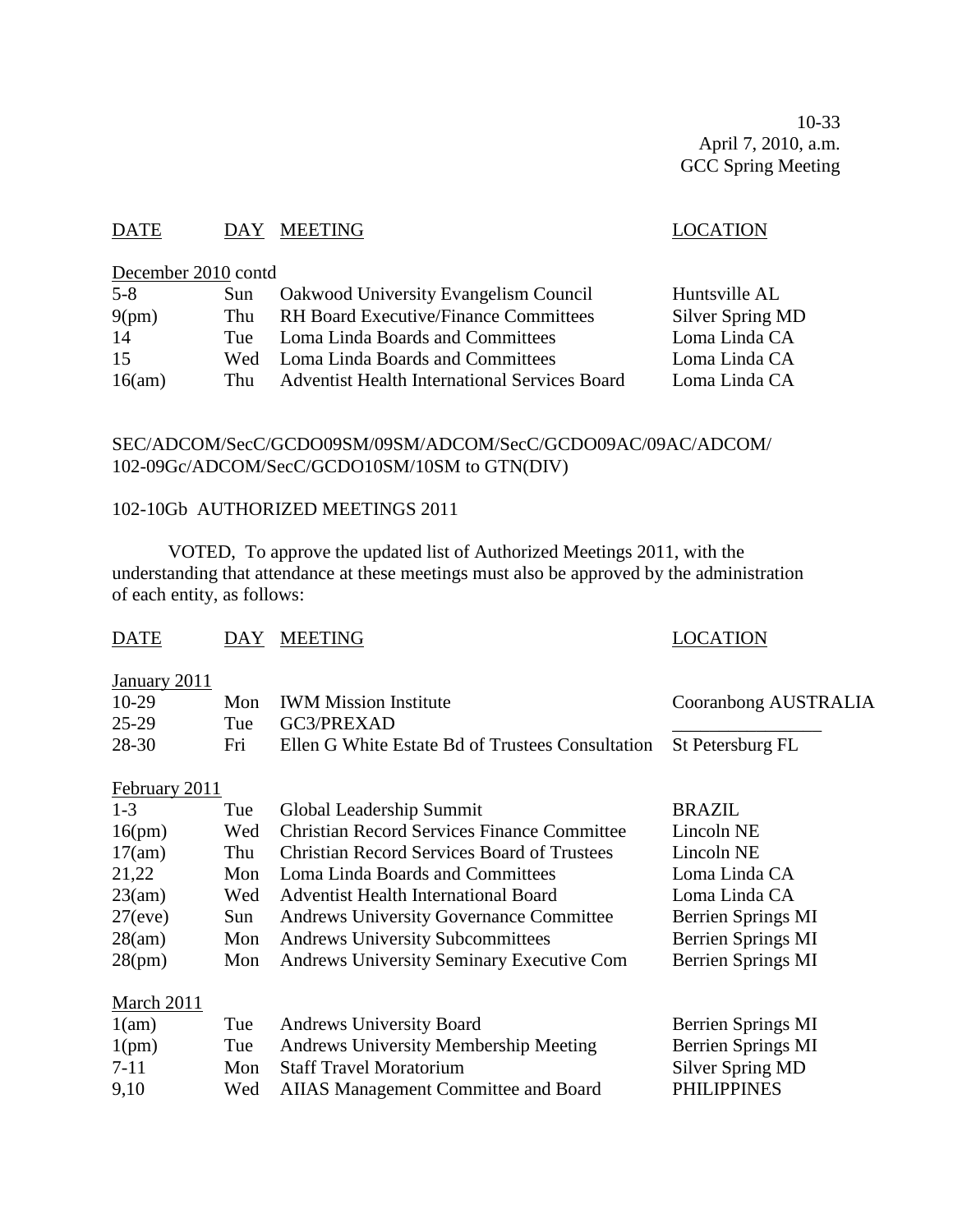10-33 April 7, 2010, a.m. GCC Spring Meeting

## DATE DAY MEETING DATE LOCATION

## December 2010 contd

| $5 - 8$ | Sun   | <b>Oakwood University Evangelism Council</b>         | Huntsville AL    |
|---------|-------|------------------------------------------------------|------------------|
| 9(pm)   | Thu   | <b>RH Board Executive/Finance Committees</b>         | Silver Spring MD |
| 14      | Tue – | Loma Linda Boards and Committees                     | Loma Linda CA    |
| 15      |       | Wed Loma Linda Boards and Committees                 | Loma Linda CA    |
| 16(am)  | Thu   | <b>Adventist Health International Services Board</b> | Loma Linda CA    |

## SEC/ADCOM/SecC/GCDO09SM/09SM/ADCOM/SecC/GCDO09AC/09AC/ADCOM/ 102-09Gc/ADCOM/SecC/GCDO10SM/10SM to GTN(DIV)

## 102-10Gb AUTHORIZED MEETINGS 2011

VOTED, To approve the updated list of Authorized Meetings 2011, with the understanding that attendance at these meetings must also be approved by the administration of each entity, as follows:

| <b>DATE</b>   | DAY | <b>MEETING</b>                                     | LOCATION                  |
|---------------|-----|----------------------------------------------------|---------------------------|
| January 2011  |     |                                                    |                           |
| $10-29$       | Mon | <b>IWM Mission Institute</b>                       | Cooranbong AUSTRALIA      |
| $25-29$       | Tue | GC3/PREXAD                                         |                           |
| 28-30         | Fri | Ellen G White Estate Bd of Trustees Consultation   | St Petersburg FL          |
| February 2011 |     |                                                    |                           |
| $1-3$         | Tue | Global Leadership Summit                           | <b>BRAZIL</b>             |
| 16(pm)        | Wed | <b>Christian Record Services Finance Committee</b> | Lincoln NE                |
| 17(am)        | Thu | <b>Christian Record Services Board of Trustees</b> | Lincoln NE                |
| 21,22         | Mon | Loma Linda Boards and Committees                   | Loma Linda CA             |
| 23(am)        | Wed | <b>Adventist Health International Board</b>        | Loma Linda CA             |
| $27$ (eve)    | Sun | <b>Andrews University Governance Committee</b>     | Berrien Springs MI        |
| 28(am)        | Mon | <b>Andrews University Subcommittees</b>            | Berrien Springs MI        |
| 28(pm)        | Mon | <b>Andrews University Seminary Executive Com</b>   | <b>Berrien Springs MI</b> |
| March 2011    |     |                                                    |                           |
| 1(am)         | Tue | <b>Andrews University Board</b>                    | Berrien Springs MI        |
| 1(pm)         | Tue | Andrews University Membership Meeting              | Berrien Springs MI        |
| $7-11$        | Mon | <b>Staff Travel Moratorium</b>                     | <b>Silver Spring MD</b>   |
| 9,10          | Wed | <b>AIIAS Management Committee and Board</b>        | <b>PHILIPPINES</b>        |
|               |     |                                                    |                           |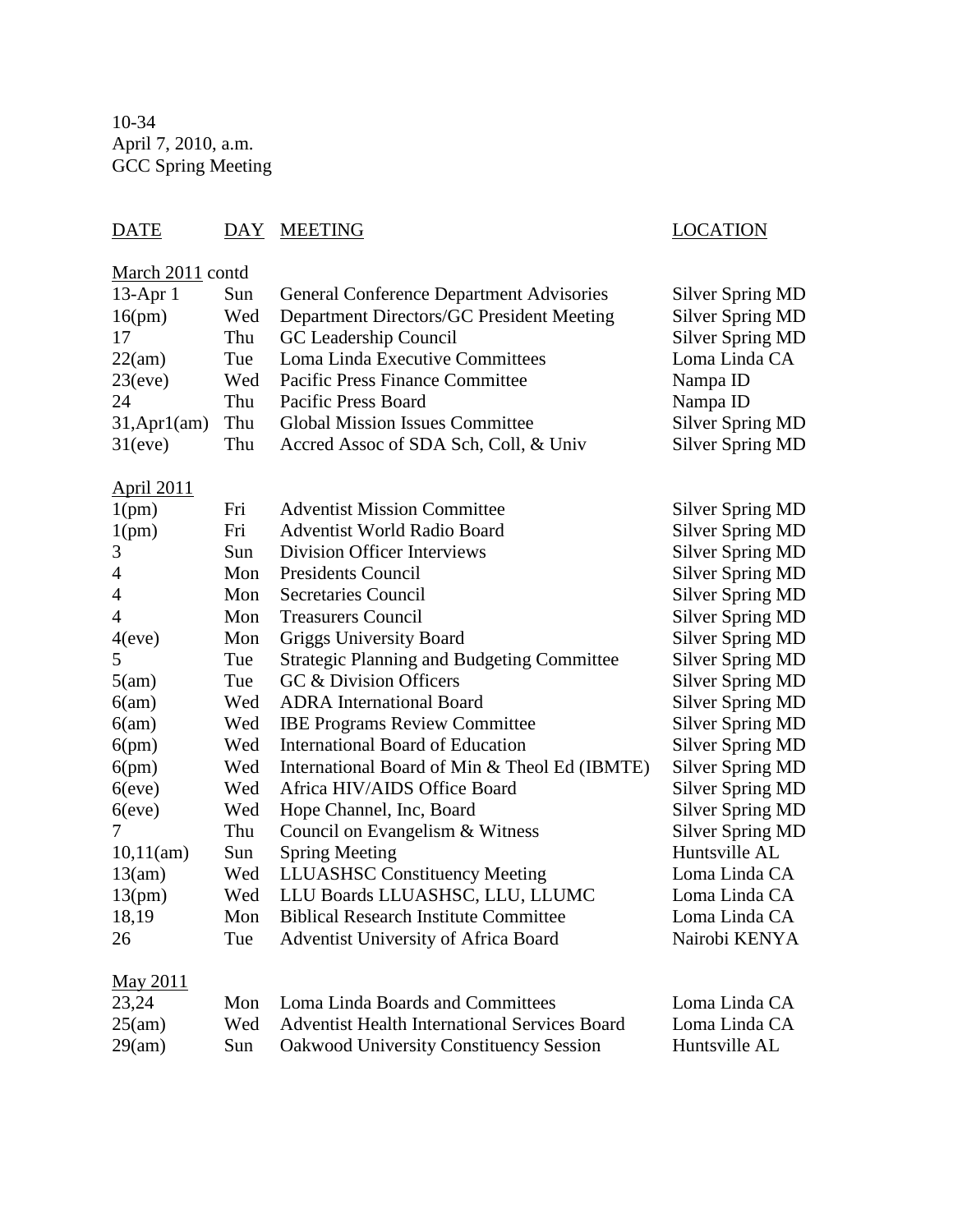10-34 April 7, 2010, a.m. GCC Spring Meeting

## DATE DAY MEETING LOCATION

## March 2011 contd

| 13-Apr 1           | Sun | <b>General Conference Department Advisories</b>      | <b>Silver Spring MD</b> |
|--------------------|-----|------------------------------------------------------|-------------------------|
| 16(pm)             | Wed | Department Directors/GC President Meeting            | <b>Silver Spring MD</b> |
| 17                 | Thu | GC Leadership Council                                | <b>Silver Spring MD</b> |
| 22(am)             | Tue | Loma Linda Executive Committees                      | Loma Linda CA           |
| 23(eve)            | Wed | Pacific Press Finance Committee                      | Nampa ID                |
| 24                 | Thu | Pacific Press Board                                  | Nampa ID                |
| $31,$ Apr $1$ (am) | Thu | <b>Global Mission Issues Committee</b>               | <b>Silver Spring MD</b> |
| 31(eve)            | Thu | Accred Assoc of SDA Sch, Coll, & Univ                | <b>Silver Spring MD</b> |
| <b>April 2011</b>  |     |                                                      |                         |
| 1(pm)              | Fri | <b>Adventist Mission Committee</b>                   | <b>Silver Spring MD</b> |
| 1(pm)              | Fri | <b>Adventist World Radio Board</b>                   | <b>Silver Spring MD</b> |
| 3                  | Sun | <b>Division Officer Interviews</b>                   | <b>Silver Spring MD</b> |
| $\overline{4}$     | Mon | <b>Presidents Council</b>                            | <b>Silver Spring MD</b> |
| $\overline{4}$     | Mon | <b>Secretaries Council</b>                           | <b>Silver Spring MD</b> |
| 4                  | Mon | <b>Treasurers Council</b>                            | <b>Silver Spring MD</b> |
| 4(eve)             | Mon | <b>Griggs University Board</b>                       | <b>Silver Spring MD</b> |
| 5                  | Tue | <b>Strategic Planning and Budgeting Committee</b>    | <b>Silver Spring MD</b> |
| 5(am)              | Tue | GC & Division Officers                               | <b>Silver Spring MD</b> |
| 6(am)              | Wed | <b>ADRA</b> International Board                      | <b>Silver Spring MD</b> |
| 6(am)              | Wed | <b>IBE Programs Review Committee</b>                 | <b>Silver Spring MD</b> |
| 6(pm)              | Wed | <b>International Board of Education</b>              | <b>Silver Spring MD</b> |
| 6(pm)              | Wed | International Board of Min & Theol Ed (IBMTE)        | <b>Silver Spring MD</b> |
| $6$ (eve)          | Wed | Africa HIV/AIDS Office Board                         | <b>Silver Spring MD</b> |
| $6$ (eve)          | Wed | Hope Channel, Inc, Board                             | <b>Silver Spring MD</b> |
| 7                  | Thu | Council on Evangelism & Witness                      | <b>Silver Spring MD</b> |
| 10,11(am)          | Sun | <b>Spring Meeting</b>                                | Huntsville AL           |
| 13(am)             | Wed | <b>LLUASHSC Constituency Meeting</b>                 | Loma Linda CA           |
| 13(pm)             | Wed | LLU Boards LLUASHSC, LLU, LLUMC                      | Loma Linda CA           |
| 18,19              | Mon | <b>Biblical Research Institute Committee</b>         | Loma Linda CA           |
| 26                 | Tue | Adventist University of Africa Board                 | Nairobi KENYA           |
| <b>May 2011</b>    |     |                                                      |                         |
| 23,24              | Mon | Loma Linda Boards and Committees                     | Loma Linda CA           |
| 25(am)             | Wed | <b>Adventist Health International Services Board</b> | Loma Linda CA           |

29(am) Sun Oakwood University Constituency Session Huntsville AL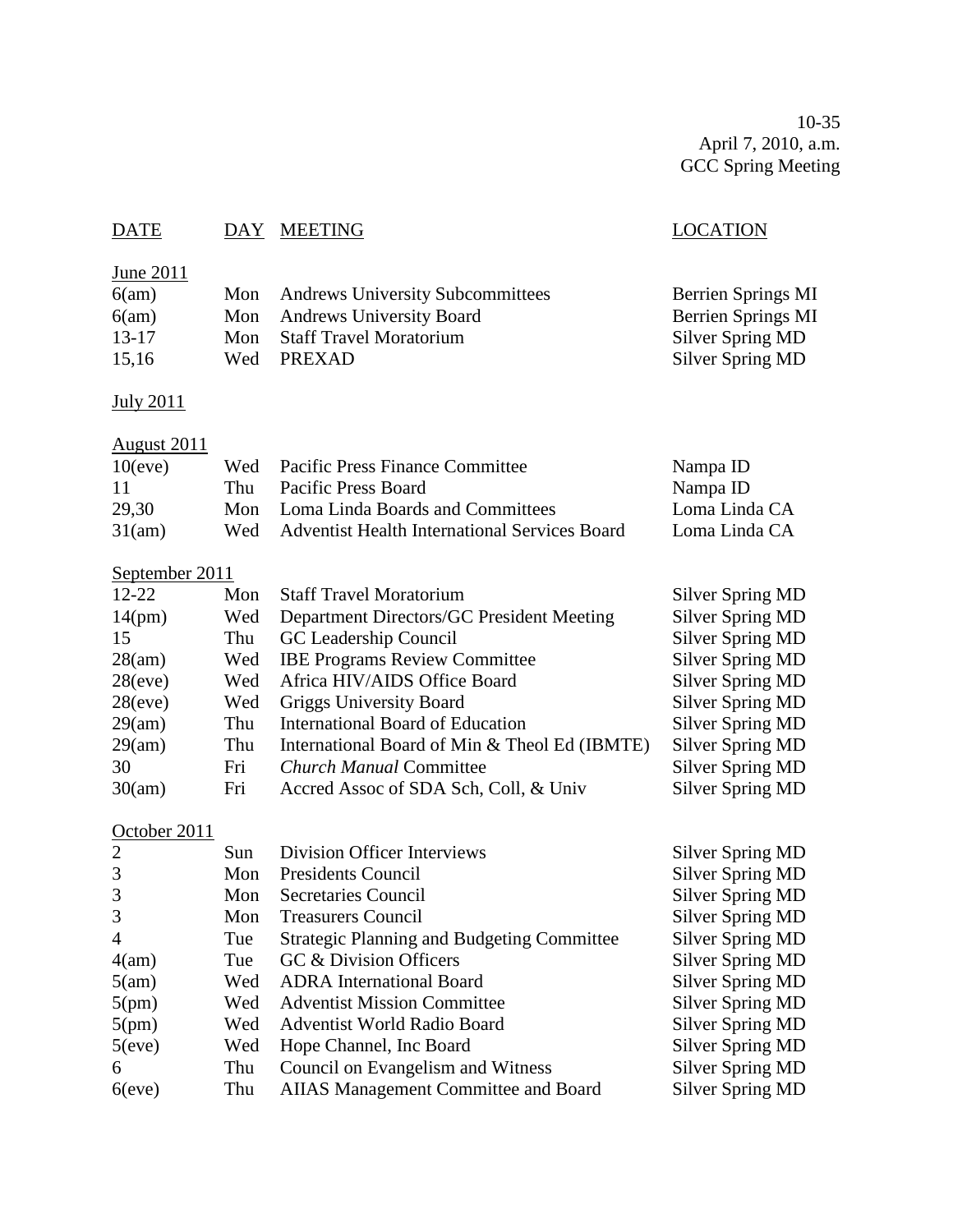10-35 April 7, 2010, a.m. GCC Spring Meeting

## DATE DAY MEETING SERVES AND LOCATION

## June 2011

| 6(am) | Mon Andrews University Subcommittees | Berrien Springs MI |
|-------|--------------------------------------|--------------------|
| 6(am) | Mon Andrews University Board         | Berrien Springs MI |
| 13-17 | Mon Staff Travel Moratorium          | Silver Spring MD   |
| 15,16 | Wed PREXAD                           | Silver Spring MD   |
|       |                                      |                    |

## July 2011

## August 2011

|     |                     | Nampa ID                                                                                                                     |
|-----|---------------------|------------------------------------------------------------------------------------------------------------------------------|
| Thu | Pacific Press Board | Nampa ID                                                                                                                     |
|     |                     | Loma Linda CA                                                                                                                |
| Wed |                     | Loma Linda CA                                                                                                                |
|     |                     | Wed Pacific Press Finance Committee<br>Mon Loma Linda Boards and Committees<br>Adventist Health International Services Board |

## September 2011

| $12 - 22$  | Mon | <b>Staff Travel Moratorium</b>                | Silver Spring MD        |
|------------|-----|-----------------------------------------------|-------------------------|
| 14(pm)     | Wed | Department Directors/GC President Meeting     | Silver Spring MD        |
| 15         | Thu | GC Leadership Council                         | <b>Silver Spring MD</b> |
| 28(am)     |     | Wed IBE Programs Review Committee             | Silver Spring MD        |
| $28$ (eve) | Wed | Africa HIV/AIDS Office Board                  | Silver Spring MD        |
| $28$ (eve) | Wed | <b>Griggs University Board</b>                | Silver Spring MD        |
| 29(am)     | Thu | <b>International Board of Education</b>       | Silver Spring MD        |
| 29(am)     | Thu | International Board of Min & Theol Ed (IBMTE) | <b>Silver Spring MD</b> |
| 30         | Fri | <b>Church Manual Committee</b>                | <b>Silver Spring MD</b> |
| 30(am)     | Fri | Accred Assoc of SDA Sch, Coll, & Univ         | Silver Spring MD        |

# October 2011

| 2              | Sun | Division Officer Interviews                       | <b>Silver Spring MD</b> |
|----------------|-----|---------------------------------------------------|-------------------------|
| 3              | Mon | Presidents Council                                | <b>Silver Spring MD</b> |
| 3              | Mon | <b>Secretaries Council</b>                        | <b>Silver Spring MD</b> |
| 3              | Mon | <b>Treasurers Council</b>                         | <b>Silver Spring MD</b> |
| $\overline{4}$ | Tue | <b>Strategic Planning and Budgeting Committee</b> | <b>Silver Spring MD</b> |
| 4(am)          | Tue | GC & Division Officers                            | <b>Silver Spring MD</b> |
| 5(am)          | Wed | <b>ADRA</b> International Board                   | <b>Silver Spring MD</b> |
| 5(pm)          | Wed | <b>Adventist Mission Committee</b>                | <b>Silver Spring MD</b> |
| 5(pm)          | Wed | <b>Adventist World Radio Board</b>                | <b>Silver Spring MD</b> |
| 5(eve)         | Wed | Hope Channel, Inc Board                           | <b>Silver Spring MD</b> |
| 6              | Thu | Council on Evangelism and Witness                 | <b>Silver Spring MD</b> |
| $6$ (eve)      | Thu | <b>AIIAS Management Committee and Board</b>       | <b>Silver Spring MD</b> |
|                |     |                                                   |                         |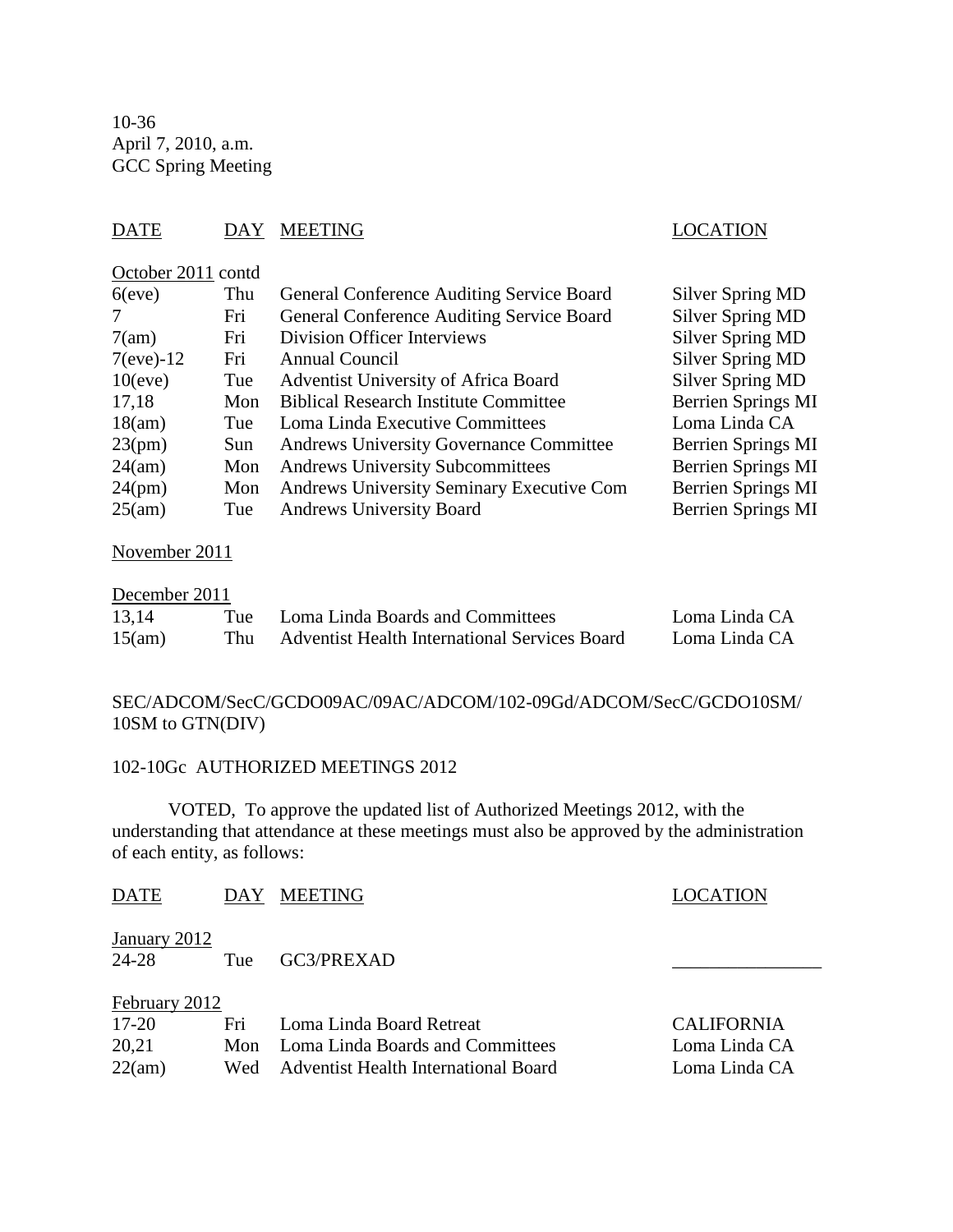10-36 April 7, 2010, a.m. GCC Spring Meeting

## DATE DAY MEETING DATE LOCATION

## October 2011 contd

| Thu  | General Conference Auditing Service Board      | <b>Silver Spring MD</b>   |
|------|------------------------------------------------|---------------------------|
| Fri  | General Conference Auditing Service Board      | <b>Silver Spring MD</b>   |
| Fri  | <b>Division Officer Interviews</b>             | <b>Silver Spring MD</b>   |
| Fri  | Annual Council                                 | <b>Silver Spring MD</b>   |
| Tue  | Adventist University of Africa Board           | <b>Silver Spring MD</b>   |
| Mon  | <b>Biblical Research Institute Committee</b>   | <b>Berrien Springs MI</b> |
| Tue  | Loma Linda Executive Committees                | Loma Linda CA             |
| Sun. | <b>Andrews University Governance Committee</b> | Berrien Springs MI        |
| Mon  | <b>Andrews University Subcommittees</b>        | <b>Berrien Springs MI</b> |
| Mon  | Andrews University Seminary Executive Com      | <b>Berrien Springs MI</b> |
| Tue  | <b>Andrews University Board</b>                | <b>Berrien Springs MI</b> |
|      |                                                |                           |

## November 2011

### December 2011

| 13,14  | Tue | Loma Linda Boards and Committees                     | Loma Linda CA |
|--------|-----|------------------------------------------------------|---------------|
| 15(am) | Thu | <b>Adventist Health International Services Board</b> | Loma Linda CA |

## SEC/ADCOM/SecC/GCDO09AC/09AC/ADCOM/102-09Gd/ADCOM/SecC/GCDO10SM/ 10SM to GTN(DIV)

#### 102-10Gc AUTHORIZED MEETINGS 2012

VOTED, To approve the updated list of Authorized Meetings 2012, with the understanding that attendance at these meetings must also be approved by the administration of each entity, as follows:

| <b>DATE</b>           | <b>DAY</b> | <b>MEETING</b>                              | <b>LOCATION</b>   |
|-----------------------|------------|---------------------------------------------|-------------------|
| January 2012<br>24-28 | Tue        | GC3/PREXAD                                  |                   |
| February 2012         |            |                                             |                   |
| $17 - 20$             | Fri        | Loma Linda Board Retreat                    | <b>CALIFORNIA</b> |
| 20,21                 | Mon        | Loma Linda Boards and Committees            | Loma Linda CA     |
| 22(am)                | Wed        | <b>Adventist Health International Board</b> | Loma Linda CA     |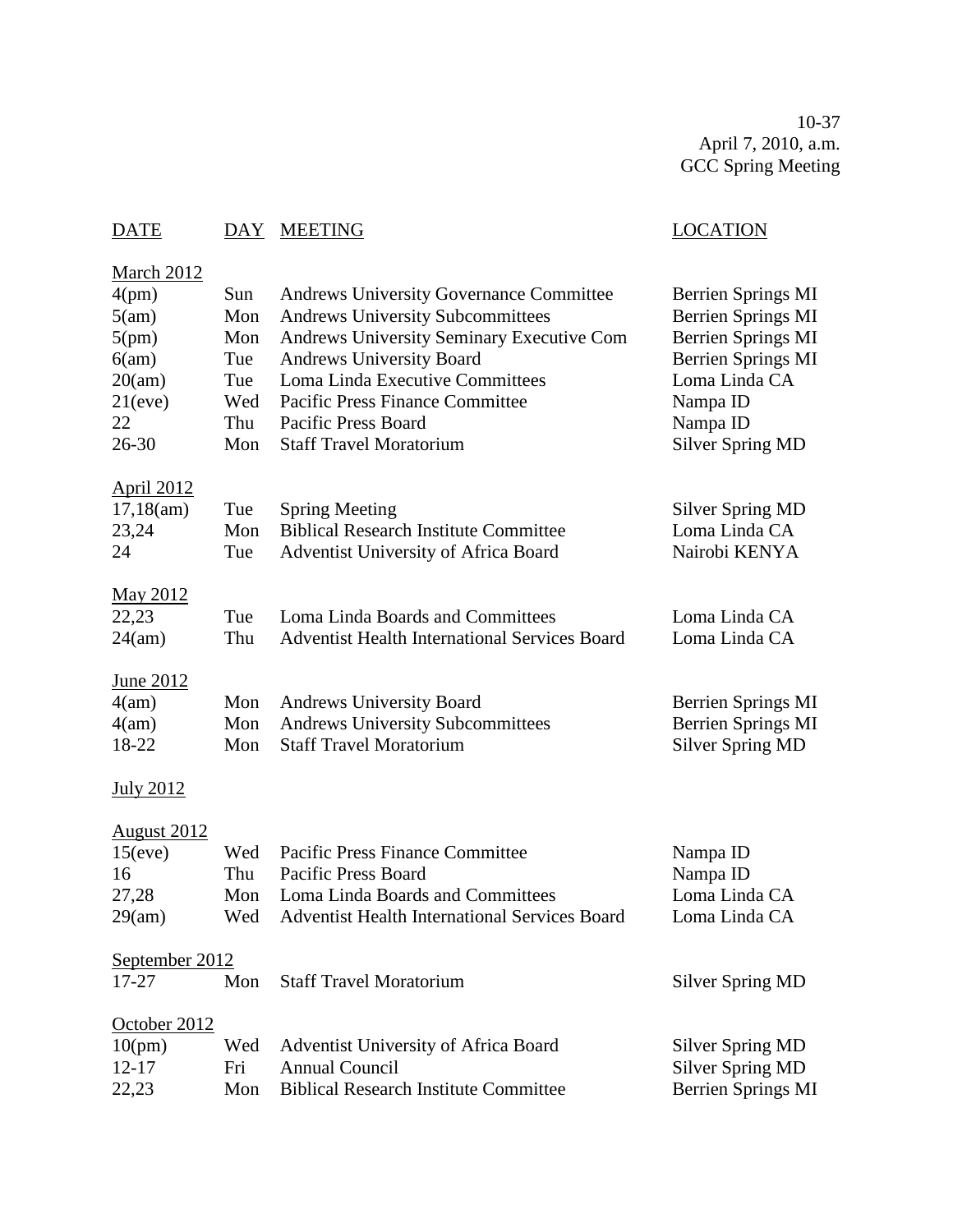10-37 April 7, 2010, a.m. GCC Spring Meeting

# DATE DAY MEETING LOCATION

| March 2012<br>4(pm)<br>5(am)<br>5(pm)<br>6(am)<br>20(am)<br>21(eve)<br>22<br>$26 - 30$ | Sun<br>Mon<br>Mon<br>Tue<br>Tue<br>Wed<br>Thu<br>Mon | <b>Andrews University Governance Committee</b><br><b>Andrews University Subcommittees</b><br>Andrews University Seminary Executive Com<br><b>Andrews University Board</b><br>Loma Linda Executive Committees<br>Pacific Press Finance Committee<br>Pacific Press Board<br><b>Staff Travel Moratorium</b> | Berrien Springs MI<br>Berrien Springs MI<br><b>Berrien Springs MI</b><br><b>Berrien Springs MI</b><br>Loma Linda CA<br>Nampa ID<br>Nampa ID<br><b>Silver Spring MD</b> |
|----------------------------------------------------------------------------------------|------------------------------------------------------|----------------------------------------------------------------------------------------------------------------------------------------------------------------------------------------------------------------------------------------------------------------------------------------------------------|------------------------------------------------------------------------------------------------------------------------------------------------------------------------|
| <b>April 2012</b><br>17,18(am)<br>23,24<br>24                                          | Tue<br>Mon<br>Tue                                    | <b>Spring Meeting</b><br><b>Biblical Research Institute Committee</b><br><b>Adventist University of Africa Board</b>                                                                                                                                                                                     | <b>Silver Spring MD</b><br>Loma Linda CA<br>Nairobi KENYA                                                                                                              |
| <u>May 2012</u><br>22,23<br>24(am)                                                     | Tue<br>Thu                                           | Loma Linda Boards and Committees<br><b>Adventist Health International Services Board</b>                                                                                                                                                                                                                 | Loma Linda CA<br>Loma Linda CA                                                                                                                                         |
| June 2012<br>4(am)<br>4(am)<br>18-22                                                   | Mon<br>Mon<br>Mon                                    | <b>Andrews University Board</b><br><b>Andrews University Subcommittees</b><br><b>Staff Travel Moratorium</b>                                                                                                                                                                                             | Berrien Springs MI<br><b>Berrien Springs MI</b><br><b>Silver Spring MD</b>                                                                                             |
| <b>July 2012</b>                                                                       |                                                      |                                                                                                                                                                                                                                                                                                          |                                                                                                                                                                        |
| <u>August 2012</u><br>15(eve)<br>16<br>27,28<br>29(am)                                 | Wed<br>Thu<br>Mon<br>Wed                             | <b>Pacific Press Finance Committee</b><br>Pacific Press Board<br>Loma Linda Boards and Committees<br>Adventist Health International Services Board                                                                                                                                                       | Nampa ID<br>Nampa ID<br>Loma Linda CA<br>Loma Linda CA                                                                                                                 |
| September 2012<br>17-27                                                                | Mon                                                  | <b>Staff Travel Moratorium</b>                                                                                                                                                                                                                                                                           | <b>Silver Spring MD</b>                                                                                                                                                |
| October 2012<br>10(pm)<br>$12 - 17$<br>22,23                                           | Wed<br>Fri<br>Mon                                    | Adventist University of Africa Board<br><b>Annual Council</b><br><b>Biblical Research Institute Committee</b>                                                                                                                                                                                            | <b>Silver Spring MD</b><br><b>Silver Spring MD</b><br><b>Berrien Springs MI</b>                                                                                        |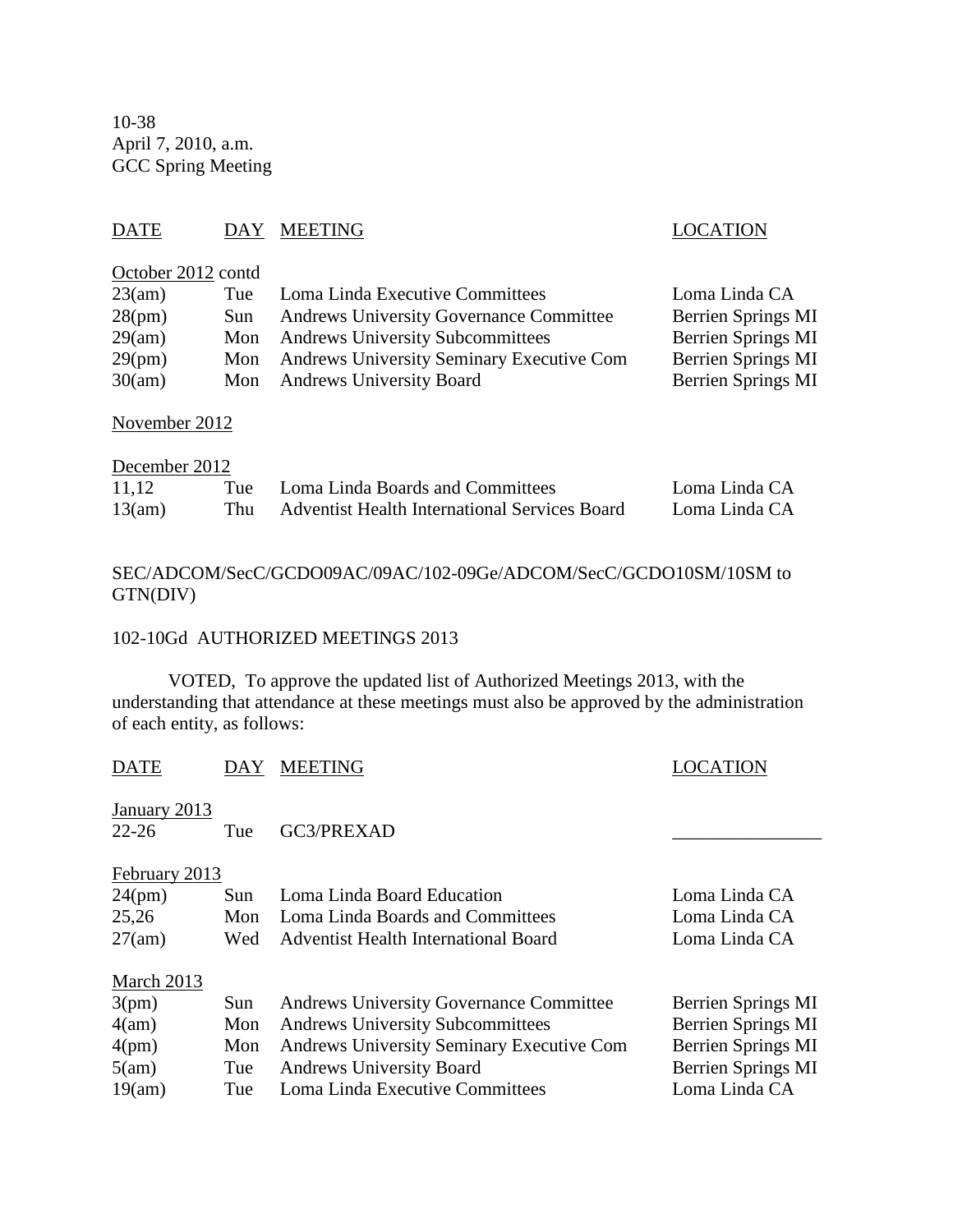10-38 April 7, 2010, a.m. GCC Spring Meeting

## DATE DAY MEETING DATE LOCATION

## October 2012 contd

| 23(am) | Tue  | Loma Linda Executive Committees                  | Loma Linda CA             |
|--------|------|--------------------------------------------------|---------------------------|
| 28(pm) | Sun. | <b>Andrews University Governance Committee</b>   | <b>Berrien Springs MI</b> |
| 29(am) |      | Mon Andrews University Subcommittees             | Berrien Springs MI        |
| 29(pm) | Mon  | <b>Andrews University Seminary Executive Com</b> | Berrien Springs MI        |
| 30(am) |      | Mon Andrews University Board                     | Berrien Springs MI        |

## November 2012

| December 2012 |  |                                                   |               |  |
|---------------|--|---------------------------------------------------|---------------|--|
| 11.12         |  | Tue Loma Linda Boards and Committees              | Loma Linda CA |  |
| 13(am)        |  | Thu Adventist Health International Services Board | Loma Linda CA |  |

## SEC/ADCOM/SecC/GCDO09AC/09AC/102-09Ge/ADCOM/SecC/GCDO10SM/10SM to GTN(DIV)

### 102-10Gd AUTHORIZED MEETINGS 2013

VOTED, To approve the updated list of Authorized Meetings 2013, with the understanding that attendance at these meetings must also be approved by the administration of each entity, as follows:

| DAY           | <b>MEETING</b>                                   | LOCATION           |
|---------------|--------------------------------------------------|--------------------|
| Tue           | GC3/PREXAD                                       |                    |
| February 2013 |                                                  |                    |
| Sun           | Loma Linda Board Education                       | Loma Linda CA      |
| Mon           | Loma Linda Boards and Committees                 | Loma Linda CA      |
| Wed           | <b>Adventist Health International Board</b>      | Loma Linda CA      |
|               |                                                  |                    |
| Sun           | <b>Andrews University Governance Committee</b>   | Berrien Springs MI |
| Mon           | <b>Andrews University Subcommittees</b>          | Berrien Springs MI |
| Mon           | <b>Andrews University Seminary Executive Com</b> | Berrien Springs MI |
| Tue           | <b>Andrews University Board</b>                  | Berrien Springs MI |
| Tue           | Loma Linda Executive Committees                  | Loma Linda CA      |
|               |                                                  |                    |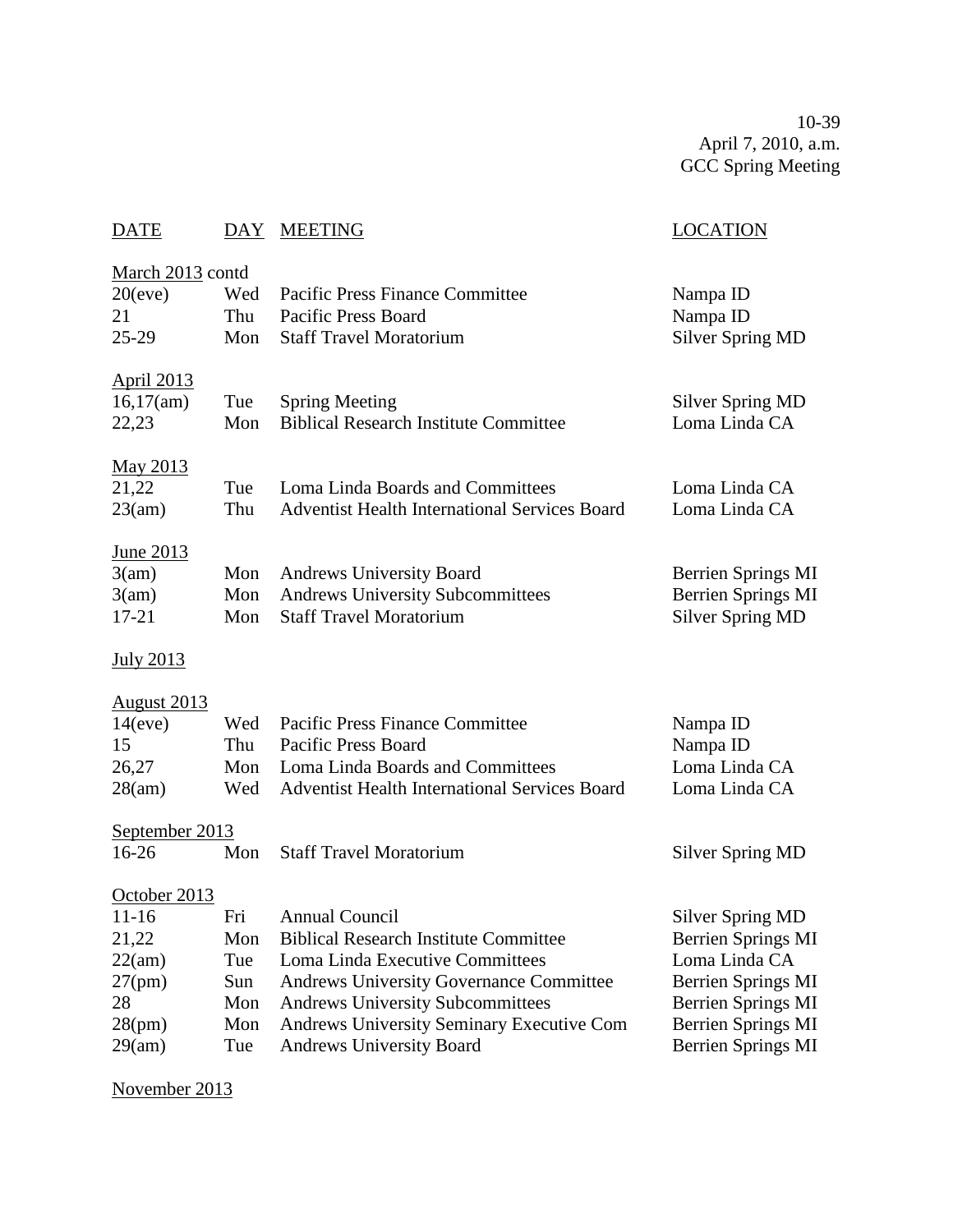10-39 April 7, 2010, a.m. GCC Spring Meeting

| <b>DATE</b>                                                                  | DAY                                           | <b>MEETING</b>                                                                                                                                                                                                                                                                        | <b>LOCATION</b>                                                                                                                                               |
|------------------------------------------------------------------------------|-----------------------------------------------|---------------------------------------------------------------------------------------------------------------------------------------------------------------------------------------------------------------------------------------------------------------------------------------|---------------------------------------------------------------------------------------------------------------------------------------------------------------|
| March 2013 contd<br>20(eve)<br>21<br>25-29                                   | Wed<br>Thu<br>Mon                             | <b>Pacific Press Finance Committee</b><br><b>Pacific Press Board</b><br><b>Staff Travel Moratorium</b>                                                                                                                                                                                | Nampa ID<br>Nampa ID<br><b>Silver Spring MD</b>                                                                                                               |
| <b>April 2013</b><br>16,17(am)<br>22,23                                      | Tue<br>Mon                                    | <b>Spring Meeting</b><br><b>Biblical Research Institute Committee</b>                                                                                                                                                                                                                 | <b>Silver Spring MD</b><br>Loma Linda CA                                                                                                                      |
| <u>May 2013</u><br>21,22<br>23(am)                                           | Tue<br>Thu                                    | Loma Linda Boards and Committees<br><b>Adventist Health International Services Board</b>                                                                                                                                                                                              | Loma Linda CA<br>Loma Linda CA                                                                                                                                |
| <u>June 2013</u><br>3(am)<br>3(am)<br>$17 - 21$                              | Mon<br>Mon<br>Mon                             | <b>Andrews University Board</b><br><b>Andrews University Subcommittees</b><br><b>Staff Travel Moratorium</b>                                                                                                                                                                          | Berrien Springs MI<br>Berrien Springs MI<br><b>Silver Spring MD</b>                                                                                           |
| <b>July 2013</b>                                                             |                                               |                                                                                                                                                                                                                                                                                       |                                                                                                                                                               |
| <u>August 2013</u><br>14(eve)<br>15<br>26,27<br>28(am)                       | Wed<br>Thu<br>Mon<br>Wed                      | <b>Pacific Press Finance Committee</b><br><b>Pacific Press Board</b><br>Loma Linda Boards and Committees<br><b>Adventist Health International Services Board</b>                                                                                                                      | Nampa ID<br>Nampa ID<br>Loma Linda CA<br>Loma Linda CA                                                                                                        |
| September 2013<br>16-26                                                      | Mon                                           | <b>Staff Travel Moratorium</b>                                                                                                                                                                                                                                                        | <b>Silver Spring MD</b>                                                                                                                                       |
| October 2013<br>11-16<br>21,22<br>22(am)<br>27(pm)<br>28<br>28(pm)<br>29(am) | Fri<br>Mon<br>Tue<br>Sun<br>Mon<br>Mon<br>Tue | <b>Annual Council</b><br><b>Biblical Research Institute Committee</b><br>Loma Linda Executive Committees<br><b>Andrews University Governance Committee</b><br>Andrews University Subcommittees<br><b>Andrews University Seminary Executive Com</b><br><b>Andrews University Board</b> | <b>Silver Spring MD</b><br>Berrien Springs MI<br>Loma Linda CA<br><b>Berrien Springs MI</b><br>Berrien Springs MI<br>Berrien Springs MI<br>Berrien Springs MI |

November 2013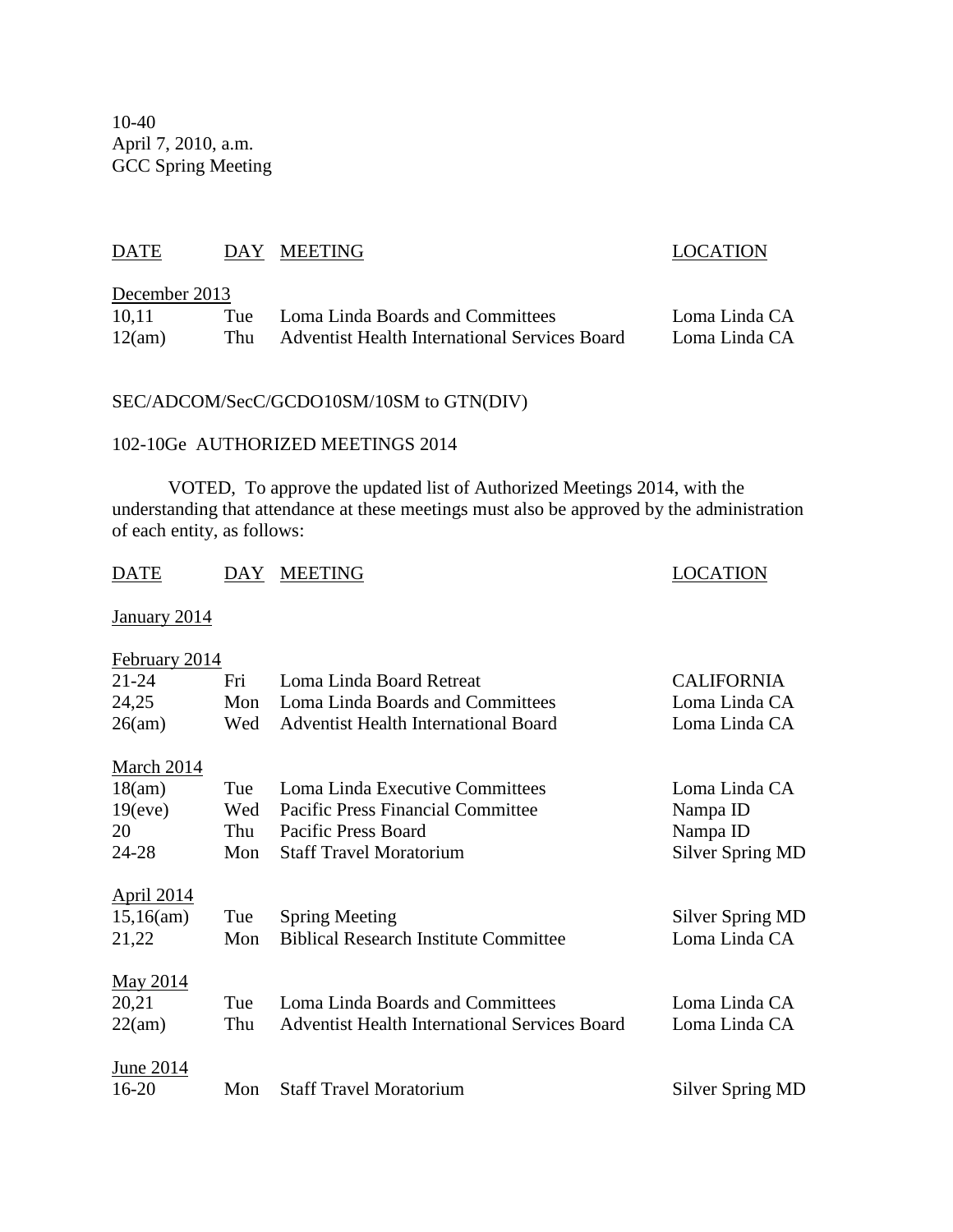10-40 April 7, 2010, a.m. GCC Spring Meeting

## DATE DAY MEETING LOCATION

### December 2013

| 10,11  | Tue | Loma Linda Boards and Committees                     | Loma Linda CA |
|--------|-----|------------------------------------------------------|---------------|
| 12(am) | Thu | <b>Adventist Health International Services Board</b> | Loma Linda CA |

## SEC/ADCOM/SecC/GCDO10SM/10SM to GTN(DIV)

### 102-10Ge AUTHORIZED MEETINGS 2014

VOTED, To approve the updated list of Authorized Meetings 2014, with the understanding that attendance at these meetings must also be approved by the administration of each entity, as follows:

| DATE                | DAY | <b>MEETING</b>                                       | <b>LOCATION</b>         |
|---------------------|-----|------------------------------------------------------|-------------------------|
| <b>January 2014</b> |     |                                                      |                         |
| February 2014       |     |                                                      |                         |
| 21-24               | Fri | Loma Linda Board Retreat                             | <b>CALIFORNIA</b>       |
| 24,25               | Mon | Loma Linda Boards and Committees                     | Loma Linda CA           |
| 26(am)              | Wed | <b>Adventist Health International Board</b>          | Loma Linda CA           |
| <b>March 2014</b>   |     |                                                      |                         |
| 18(am)              | Tue | Loma Linda Executive Committees                      | Loma Linda CA           |
| 19(eve)             | Wed | <b>Pacific Press Financial Committee</b>             | Nampa ID                |
| 20                  | Thu | <b>Pacific Press Board</b>                           | Nampa ID                |
| 24-28               | Mon | <b>Staff Travel Moratorium</b>                       | <b>Silver Spring MD</b> |
| <b>April 2014</b>   |     |                                                      |                         |
| 15,16(am)           | Tue | <b>Spring Meeting</b>                                | Silver Spring MD        |
| 21,22               | Mon | <b>Biblical Research Institute Committee</b>         | Loma Linda CA           |
| <u>May 2014</u>     |     |                                                      |                         |
| 20,21               | Tue | Loma Linda Boards and Committees                     | Loma Linda CA           |
| 22(am)              | Thu | <b>Adventist Health International Services Board</b> | Loma Linda CA           |
|                     |     |                                                      |                         |
| June 2014           |     |                                                      |                         |
| $16 - 20$           | Mon | <b>Staff Travel Moratorium</b>                       | Silver Spring MD        |
|                     |     |                                                      |                         |
|                     |     |                                                      |                         |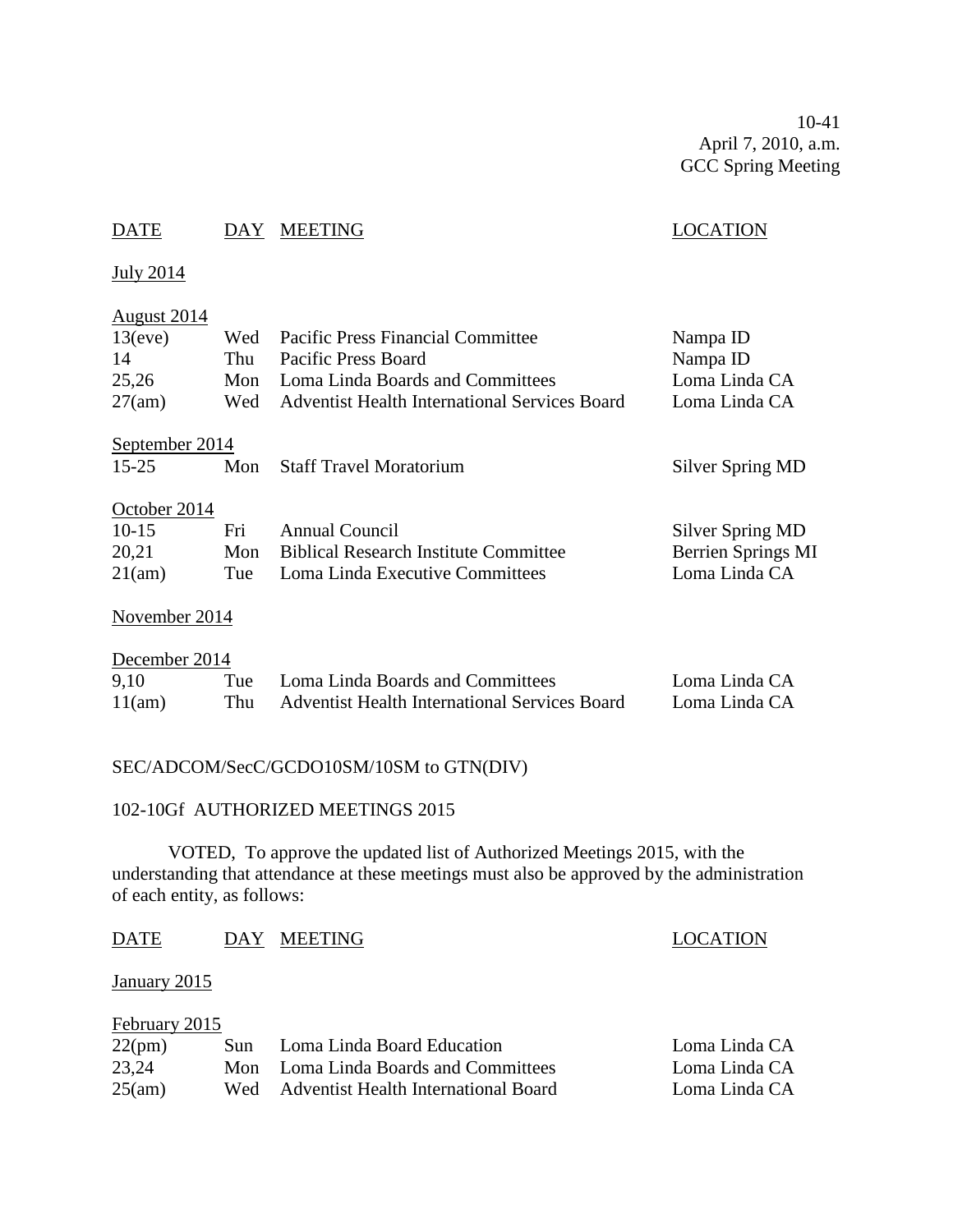10-41 April 7, 2010, a.m. GCC Spring Meeting

## DATE DAY MEETING DATE LOCATION

July 2014

## August 2014

| 13(eve)        | Wed | <b>Pacific Press Financial Committee</b>             | Nampa ID           |
|----------------|-----|------------------------------------------------------|--------------------|
| 14             | Thu | <b>Pacific Press Board</b>                           | Nampa ID           |
| 25,26          | Mon | Loma Linda Boards and Committees                     | Loma Linda CA      |
| 27(am)         | Wed | <b>Adventist Health International Services Board</b> | Loma Linda CA      |
| September 2014 |     |                                                      |                    |
| $15 - 25$      | Mon | <b>Staff Travel Moratorium</b>                       | Silver Spring MD   |
| October 2014   |     |                                                      |                    |
| $10-15$        | Fri | <b>Annual Council</b>                                | Silver Spring MD   |
| 20,21          | Mon | <b>Biblical Research Institute Committee</b>         | Berrien Springs MI |
| 21(am)         | Tue | Loma Linda Executive Committees                      | Loma Linda CA      |
|                |     |                                                      |                    |

#### November 2014

| December 2014 |     |                                                      |               |  |
|---------------|-----|------------------------------------------------------|---------------|--|
| 9.10          |     | Tue Loma Linda Boards and Committees                 | Loma Linda CA |  |
| 11(am)        | Thu | <b>Adventist Health International Services Board</b> | Loma Linda CA |  |

## SEC/ADCOM/SecC/GCDO10SM/10SM to GTN(DIV)

#### 102-10Gf AUTHORIZED MEETINGS 2015

VOTED, To approve the updated list of Authorized Meetings 2015, with the understanding that attendance at these meetings must also be approved by the administration of each entity, as follows:

#### DATE DAY MEETING LOCATION

#### January 2015

| February 2015 |  |                                          |               |  |
|---------------|--|------------------------------------------|---------------|--|
| 22(pm)        |  | Sun Loma Linda Board Education           | Loma Linda CA |  |
| 23,24         |  | Mon Loma Linda Boards and Committees     | Loma Linda CA |  |
| 25(am)        |  | Wed Adventist Health International Board | Loma Linda CA |  |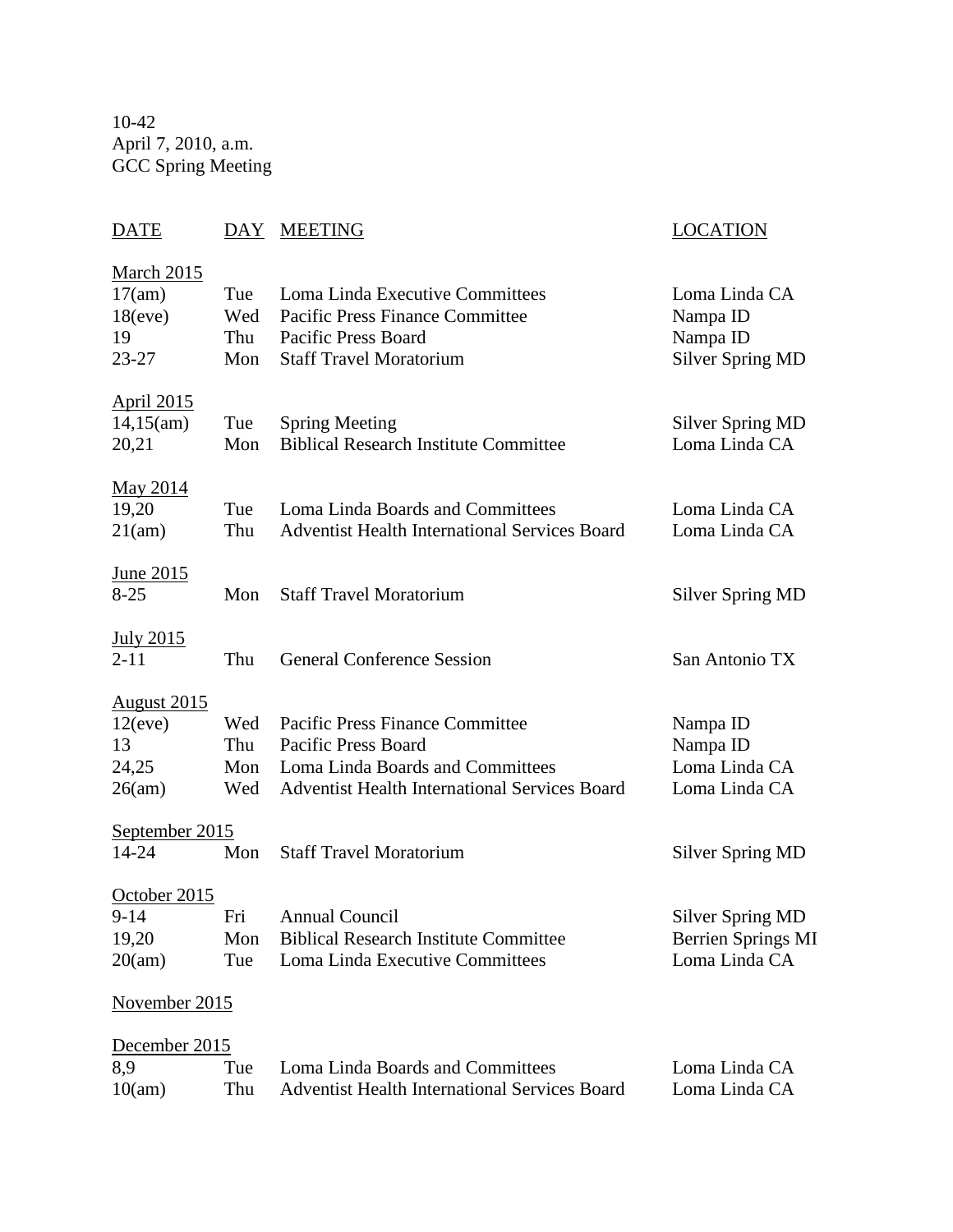10-42 April 7, 2010, a.m. GCC Spring Meeting

# DATE DAY MEETING LOCATION March 2015 17(am) Tue Loma Linda Executive Committees Loma Linda CA 18(eve) Wed Pacific Press Finance Committee Nampa ID 19 Thu Pacific Press Board Nampa ID 23-27 Mon Staff Travel Moratorium Silver Spring MD April 2015 14,15(am) Tue Spring Meeting Silver Spring MD 20,21 Mon Biblical Research Institute Committee Loma Linda CA May 2014 19,20 Tue Loma Linda Boards and Committees Loma Linda CA 21(am) Thu Adventist Health International Services Board Loma Linda CA June 2015 8-25 Mon Staff Travel Moratorium Silver Spring MD July 2015 2-11 Thu General Conference Session San Antonio TX August 2015 12(eve) Wed Pacific Press Finance Committee Nampa ID 13 Thu Pacific Press Board Nampa ID 24,25 Mon Loma Linda Boards and Committees Loma Linda CA 26(am) Wed Adventist Health International Services Board Loma Linda CA September 2015 14-24 Mon Staff Travel Moratorium Silver Spring MD October 2015 9-14 Fri Annual Council Silver Spring MD 19,20 Mon Biblical Research Institute Committee Berrien Springs MI 20(am) Tue Loma Linda Executive Committees Loma Linda CA November 2015 December 2015 8,9 Tue Loma Linda Boards and Committees Loma Linda CA 10(am) Thu Adventist Health International Services Board Loma Linda CA